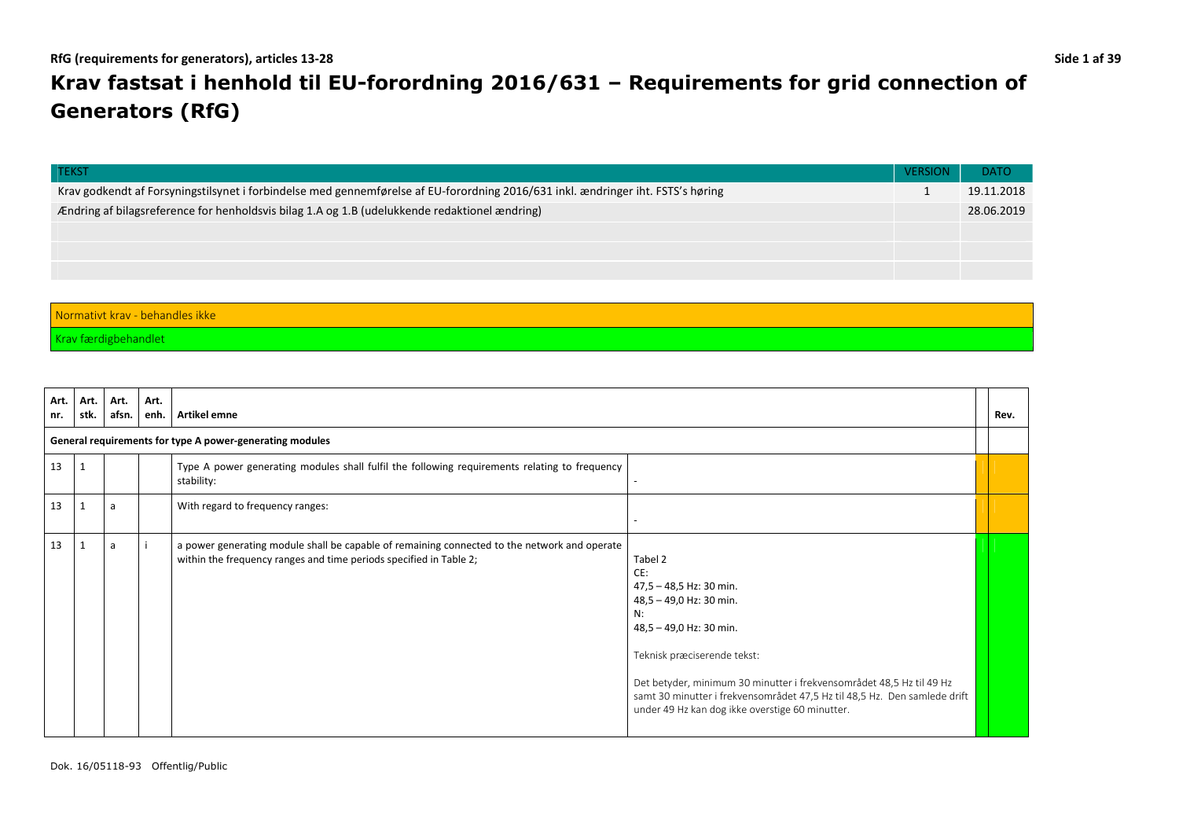# **Krav fastsat i henhold til EU-forordning 2016/631 – Requirements for grid connection of Generators (RfG)**

| <b>TEKST</b>                                                                                                                     | <b>VERSION</b> | <b>DATO</b> |  |  |  |
|----------------------------------------------------------------------------------------------------------------------------------|----------------|-------------|--|--|--|
| Krav godkendt af Forsyningstilsynet i forbindelse med gennemførelse af EU-forordning 2016/631 inkl. ændringer iht. FSTS's høring |                | 19.11.2018  |  |  |  |
| Ændring af bilagsreference for henholdsvis bilag 1.A og 1.B (udelukkende redaktionel ændring)                                    |                |             |  |  |  |
|                                                                                                                                  |                |             |  |  |  |
|                                                                                                                                  |                |             |  |  |  |
|                                                                                                                                  |                |             |  |  |  |
|                                                                                                                                  |                |             |  |  |  |

## Normativt krav - behandles ikke

Krav færdigbehandlet

| Art.<br>nr. | Art.<br>stk. | Art.<br>afsn. | Art.<br>enh. | Artikel emne                                                                                                                                                       |                                                                                                                                                                                                                                                                                                                                              | Rev. |
|-------------|--------------|---------------|--------------|--------------------------------------------------------------------------------------------------------------------------------------------------------------------|----------------------------------------------------------------------------------------------------------------------------------------------------------------------------------------------------------------------------------------------------------------------------------------------------------------------------------------------|------|
|             |              |               |              | General requirements for type A power-generating modules                                                                                                           |                                                                                                                                                                                                                                                                                                                                              |      |
| 13          |              |               |              | Type A power generating modules shall fulfil the following requirements relating to frequency<br>stability:                                                        |                                                                                                                                                                                                                                                                                                                                              |      |
| 13          |              | a             |              | With regard to frequency ranges:                                                                                                                                   |                                                                                                                                                                                                                                                                                                                                              |      |
| 13          |              | a             |              | a power generating module shall be capable of remaining connected to the network and operate<br>within the frequency ranges and time periods specified in Table 2; | Tabel 2<br>CE:<br>47,5 - 48,5 Hz: 30 min.<br>48,5 - 49,0 Hz: 30 min.<br>N:<br>48,5 - 49,0 Hz: 30 min.<br>Teknisk præciserende tekst:<br>Det betyder, minimum 30 minutter i frekvensområdet 48,5 Hz til 49 Hz<br>samt 30 minutter i frekvensområdet 47,5 Hz til 48,5 Hz. Den samlede drift<br>under 49 Hz kan dog ikke overstige 60 minutter. |      |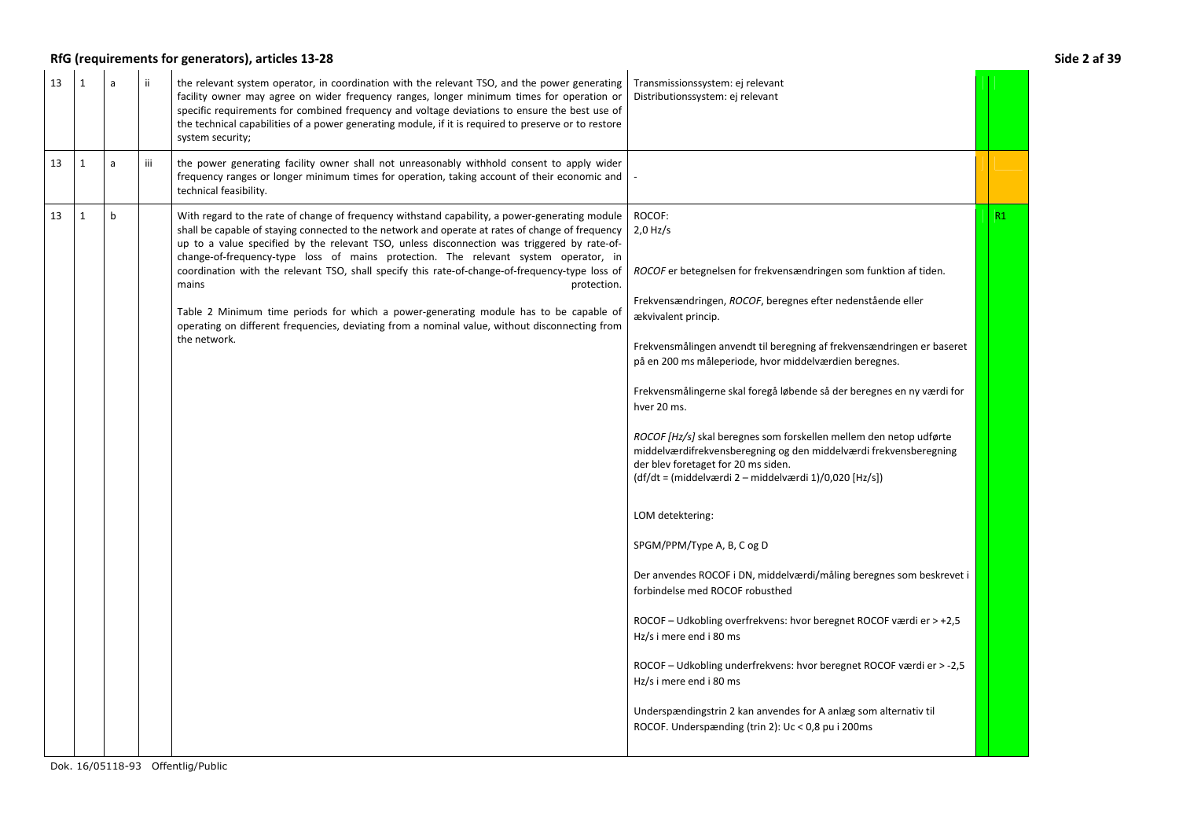## RfG (requirements for generators), articles 13-28 Side 2 af 39

| 13 | $\mathbf{1}$ | a           | ii. | the relevant system operator, in coordination with the relevant TSO, and the power generating<br>facility owner may agree on wider frequency ranges, longer minimum times for operation or<br>specific requirements for combined frequency and voltage deviations to ensure the best use of<br>the technical capabilities of a power generating module, if it is required to preserve or to restore<br>system security;                                                                                                                                                                                                                                                                                                        | Transmissionssystem: ej relevant<br>Distributionssystem: ej relevant                                                                                                                                                                                                                                                                                                                                                                                                                                                                                                                                                                                                                                                                                                                                                                                                                                                                                                                            |    |
|----|--------------|-------------|-----|--------------------------------------------------------------------------------------------------------------------------------------------------------------------------------------------------------------------------------------------------------------------------------------------------------------------------------------------------------------------------------------------------------------------------------------------------------------------------------------------------------------------------------------------------------------------------------------------------------------------------------------------------------------------------------------------------------------------------------|-------------------------------------------------------------------------------------------------------------------------------------------------------------------------------------------------------------------------------------------------------------------------------------------------------------------------------------------------------------------------------------------------------------------------------------------------------------------------------------------------------------------------------------------------------------------------------------------------------------------------------------------------------------------------------------------------------------------------------------------------------------------------------------------------------------------------------------------------------------------------------------------------------------------------------------------------------------------------------------------------|----|
| 13 | $\mathbf{1}$ | a           | iii | the power generating facility owner shall not unreasonably withhold consent to apply wider<br>frequency ranges or longer minimum times for operation, taking account of their economic and<br>technical feasibility.                                                                                                                                                                                                                                                                                                                                                                                                                                                                                                           |                                                                                                                                                                                                                                                                                                                                                                                                                                                                                                                                                                                                                                                                                                                                                                                                                                                                                                                                                                                                 |    |
| 13 | $\mathbf{1}$ | $\mathbf b$ |     | With regard to the rate of change of frequency withstand capability, a power-generating module<br>shall be capable of staying connected to the network and operate at rates of change of frequency<br>up to a value specified by the relevant TSO, unless disconnection was triggered by rate-of-<br>change-of-frequency-type loss of mains protection. The relevant system operator, in<br>coordination with the relevant TSO, shall specify this rate-of-change-of-frequency-type loss of<br>protection.<br>mains<br>Table 2 Minimum time periods for which a power-generating module has to be capable of<br>operating on different frequencies, deviating from a nominal value, without disconnecting from<br>the network. | ROCOF:<br>$2.0$ Hz/s<br>ROCOF er betegnelsen for frekvensændringen som funktion af tiden.<br>Frekvensændringen, ROCOF, beregnes efter nedenstående eller<br>ækvivalent princip.<br>Frekvensmålingen anvendt til beregning af frekvensændringen er baseret<br>på en 200 ms måleperiode, hvor middelværdien beregnes.<br>Frekvensmålingerne skal foregå løbende så der beregnes en ny værdi for<br>hver 20 ms.<br>ROCOF [Hz/s] skal beregnes som forskellen mellem den netop udførte<br>middelværdifrekvensberegning og den middelværdi frekvensberegning<br>der blev foretaget for 20 ms siden.<br>(df/dt = (middelværdi 2 – middelværdi 1)/0,020 [Hz/s])<br>LOM detektering:<br>SPGM/PPM/Type A, B, C og D<br>Der anvendes ROCOF i DN, middelværdi/måling beregnes som beskrevet i<br>forbindelse med ROCOF robusthed<br>ROCOF - Udkobling overfrekvens: hvor beregnet ROCOF værdi er > +2,5<br>Hz/s i mere end i 80 ms<br>ROCOF - Udkobling underfrekvens: hvor beregnet ROCOF værdi er > -2,5 | R1 |
|    |              |             |     |                                                                                                                                                                                                                                                                                                                                                                                                                                                                                                                                                                                                                                                                                                                                | Hz/s i mere end i 80 ms<br>Underspændingstrin 2 kan anvendes for A anlæg som alternativ til<br>ROCOF. Underspænding (trin 2): Uc < 0,8 pu i 200ms                                                                                                                                                                                                                                                                                                                                                                                                                                                                                                                                                                                                                                                                                                                                                                                                                                               |    |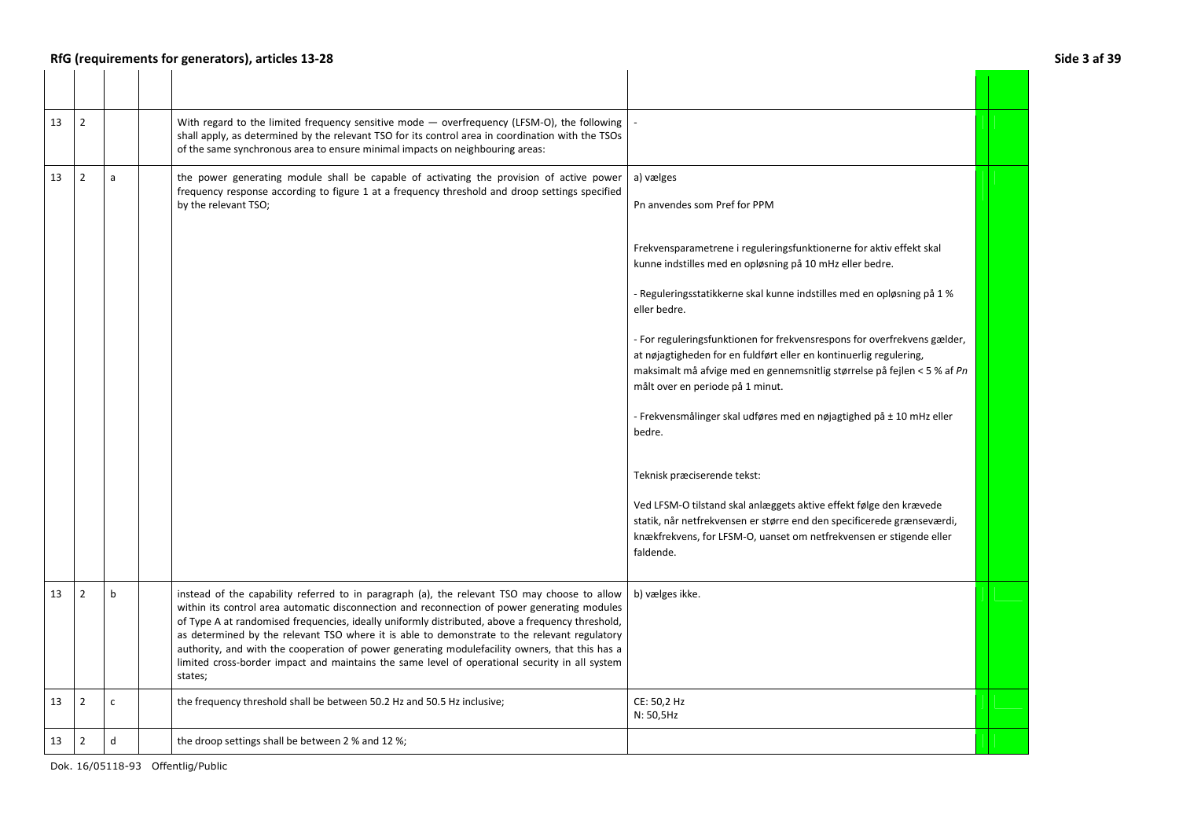## RfG (requirements for generators), articles 13-28 **Side 3 af 39**

| 13 | $\overline{2}$ |              | With regard to the limited frequency sensitive mode — overfrequency (LFSM-O), the following<br>shall apply, as determined by the relevant TSO for its control area in coordination with the TSOs<br>of the same synchronous area to ensure minimal impacts on neighbouring areas:                                                                                                                                                                                                                                                                                                                               |                                                                                                                                                                                                                                                                                                                                                                                                                                                                                                                                                                                                                                                                                                                                                                                                                                                                                               |  |
|----|----------------|--------------|-----------------------------------------------------------------------------------------------------------------------------------------------------------------------------------------------------------------------------------------------------------------------------------------------------------------------------------------------------------------------------------------------------------------------------------------------------------------------------------------------------------------------------------------------------------------------------------------------------------------|-----------------------------------------------------------------------------------------------------------------------------------------------------------------------------------------------------------------------------------------------------------------------------------------------------------------------------------------------------------------------------------------------------------------------------------------------------------------------------------------------------------------------------------------------------------------------------------------------------------------------------------------------------------------------------------------------------------------------------------------------------------------------------------------------------------------------------------------------------------------------------------------------|--|
| 13 | $\overline{2}$ | a            | the power generating module shall be capable of activating the provision of active power<br>frequency response according to figure 1 at a frequency threshold and droop settings specified<br>by the relevant TSO;                                                                                                                                                                                                                                                                                                                                                                                              | a) vælges<br>Pn anvendes som Pref for PPM<br>Frekvensparametrene i reguleringsfunktionerne for aktiv effekt skal<br>kunne indstilles med en opløsning på 10 mHz eller bedre.<br>- Reguleringsstatikkerne skal kunne indstilles med en opløsning på 1 %<br>eller bedre.<br>- For reguleringsfunktionen for frekvensrespons for overfrekvens gælder,<br>at nøjagtigheden for en fuldført eller en kontinuerlig regulering,<br>maksimalt må afvige med en gennemsnitlig størrelse på fejlen < 5 % af Pn<br>målt over en periode på 1 minut.<br>- Frekvensmålinger skal udføres med en nøjagtighed på ± 10 mHz eller<br>bedre.<br>Teknisk præciserende tekst:<br>Ved LFSM-O tilstand skal anlæggets aktive effekt følge den krævede<br>statik, når netfrekvensen er større end den specificerede grænseværdi,<br>knækfrekvens, for LFSM-O, uanset om netfrekvensen er stigende eller<br>faldende. |  |
| 13 | $\overline{2}$ | b            | instead of the capability referred to in paragraph (a), the relevant TSO may choose to allow<br>within its control area automatic disconnection and reconnection of power generating modules<br>of Type A at randomised frequencies, ideally uniformly distributed, above a frequency threshold,<br>as determined by the relevant TSO where it is able to demonstrate to the relevant regulatory<br>authority, and with the cooperation of power generating modulefacility owners, that this has a<br>limited cross-border impact and maintains the same level of operational security in all system<br>states; | b) vælges ikke.                                                                                                                                                                                                                                                                                                                                                                                                                                                                                                                                                                                                                                                                                                                                                                                                                                                                               |  |
| 13 | $\overline{2}$ | $\mathsf{C}$ | the frequency threshold shall be between 50.2 Hz and 50.5 Hz inclusive;                                                                                                                                                                                                                                                                                                                                                                                                                                                                                                                                         | CE: 50,2 Hz<br>N: 50,5Hz                                                                                                                                                                                                                                                                                                                                                                                                                                                                                                                                                                                                                                                                                                                                                                                                                                                                      |  |
| 13 | $\overline{2}$ | d            | the droop settings shall be between 2 % and 12 %;                                                                                                                                                                                                                                                                                                                                                                                                                                                                                                                                                               |                                                                                                                                                                                                                                                                                                                                                                                                                                                                                                                                                                                                                                                                                                                                                                                                                                                                                               |  |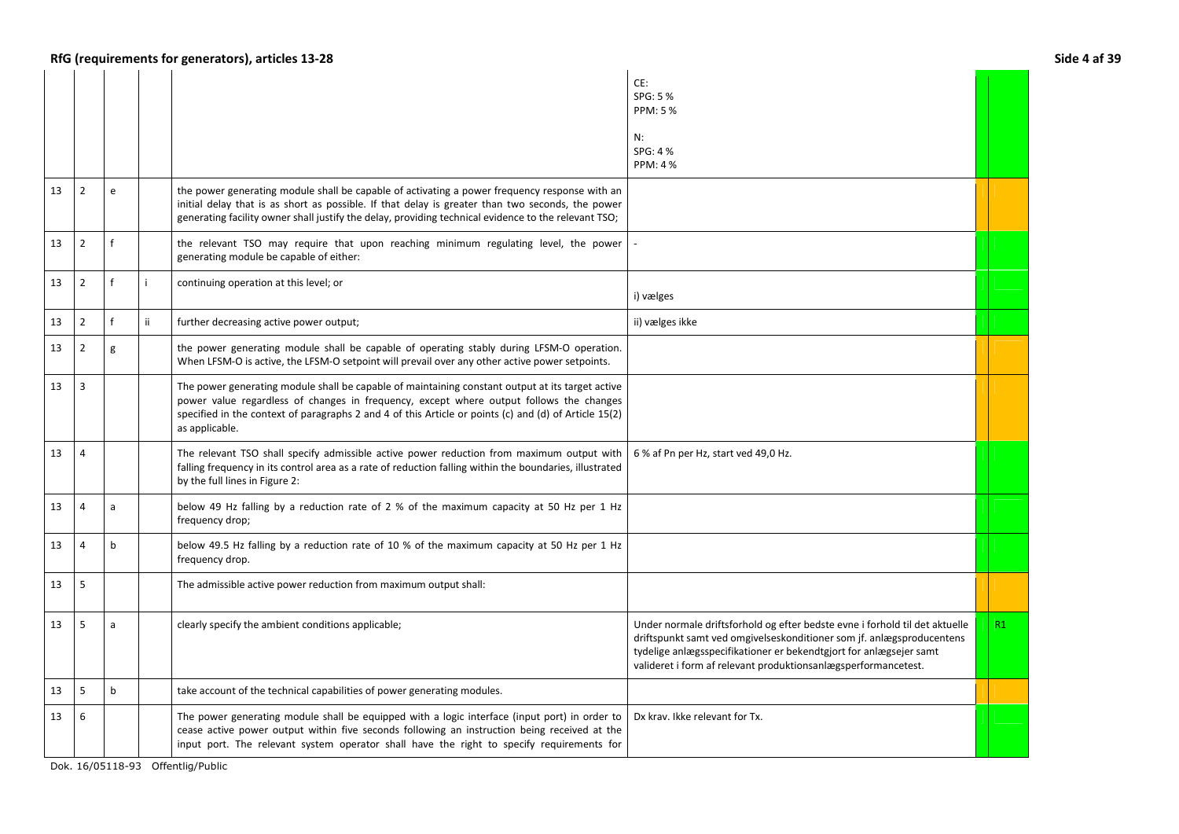|    |                |              |     |                                                                                                                                                                                                                                                                                                                        | CE:<br>SPG: 5 %<br>PPM: 5%<br>N:<br>SPG: 4 %<br><b>PPM: 4%</b>                                                                                                                                                                                                                               |    |
|----|----------------|--------------|-----|------------------------------------------------------------------------------------------------------------------------------------------------------------------------------------------------------------------------------------------------------------------------------------------------------------------------|----------------------------------------------------------------------------------------------------------------------------------------------------------------------------------------------------------------------------------------------------------------------------------------------|----|
| 13 | $\overline{2}$ | e            |     | the power generating module shall be capable of activating a power frequency response with an<br>initial delay that is as short as possible. If that delay is greater than two seconds, the power<br>generating facility owner shall justify the delay, providing technical evidence to the relevant TSO;              |                                                                                                                                                                                                                                                                                              |    |
| 13 | $\overline{2}$ |              |     | the relevant TSO may require that upon reaching minimum regulating level, the power<br>generating module be capable of either:                                                                                                                                                                                         |                                                                                                                                                                                                                                                                                              |    |
| 13 | $\overline{2}$ |              | i.  | continuing operation at this level; or                                                                                                                                                                                                                                                                                 | i) vælges                                                                                                                                                                                                                                                                                    |    |
| 13 | $\overline{2}$ |              | ii. | further decreasing active power output;                                                                                                                                                                                                                                                                                | ii) vælges ikke                                                                                                                                                                                                                                                                              |    |
| 13 | $\overline{2}$ | g            |     | the power generating module shall be capable of operating stably during LFSM-O operation.<br>When LFSM-O is active, the LFSM-O setpoint will prevail over any other active power setpoints.                                                                                                                            |                                                                                                                                                                                                                                                                                              |    |
| 13 | 3              |              |     | The power generating module shall be capable of maintaining constant output at its target active<br>power value regardless of changes in frequency, except where output follows the changes<br>specified in the context of paragraphs 2 and 4 of this Article or points (c) and (d) of Article 15(2)<br>as applicable. |                                                                                                                                                                                                                                                                                              |    |
| 13 | $\overline{4}$ |              |     | The relevant TSO shall specify admissible active power reduction from maximum output with<br>falling frequency in its control area as a rate of reduction falling within the boundaries, illustrated<br>by the full lines in Figure 2:                                                                                 | 6 % af Pn per Hz, start ved 49,0 Hz.                                                                                                                                                                                                                                                         |    |
| 13 | $\overline{4}$ | a            |     | below 49 Hz falling by a reduction rate of 2 % of the maximum capacity at 50 Hz per 1 Hz<br>frequency drop;                                                                                                                                                                                                            |                                                                                                                                                                                                                                                                                              |    |
| 13 | $\overline{4}$ | b            |     | below 49.5 Hz falling by a reduction rate of 10 % of the maximum capacity at 50 Hz per 1 Hz<br>frequency drop.                                                                                                                                                                                                         |                                                                                                                                                                                                                                                                                              |    |
| 13 | 5              |              |     | The admissible active power reduction from maximum output shall:                                                                                                                                                                                                                                                       |                                                                                                                                                                                                                                                                                              |    |
| 13 | 5              | a            |     | clearly specify the ambient conditions applicable;                                                                                                                                                                                                                                                                     | Under normale driftsforhold og efter bedste evne i forhold til det aktuelle<br>driftspunkt samt ved omgivelseskonditioner som jf. anlægsproducentens<br>tydelige anlægsspecifikationer er bekendtgjort for anlægsejer samt<br>valideret i form af relevant produktionsanlægsperformancetest. | R1 |
| 13 | 5              | <sub>b</sub> |     | take account of the technical capabilities of power generating modules.                                                                                                                                                                                                                                                |                                                                                                                                                                                                                                                                                              |    |
| 13 | 6              |              |     | The power generating module shall be equipped with a logic interface (input port) in order to<br>cease active power output within five seconds following an instruction being received at the<br>input port. The relevant system operator shall have the right to specify requirements for                             | Dx krav. Ikke relevant for Tx.                                                                                                                                                                                                                                                               |    |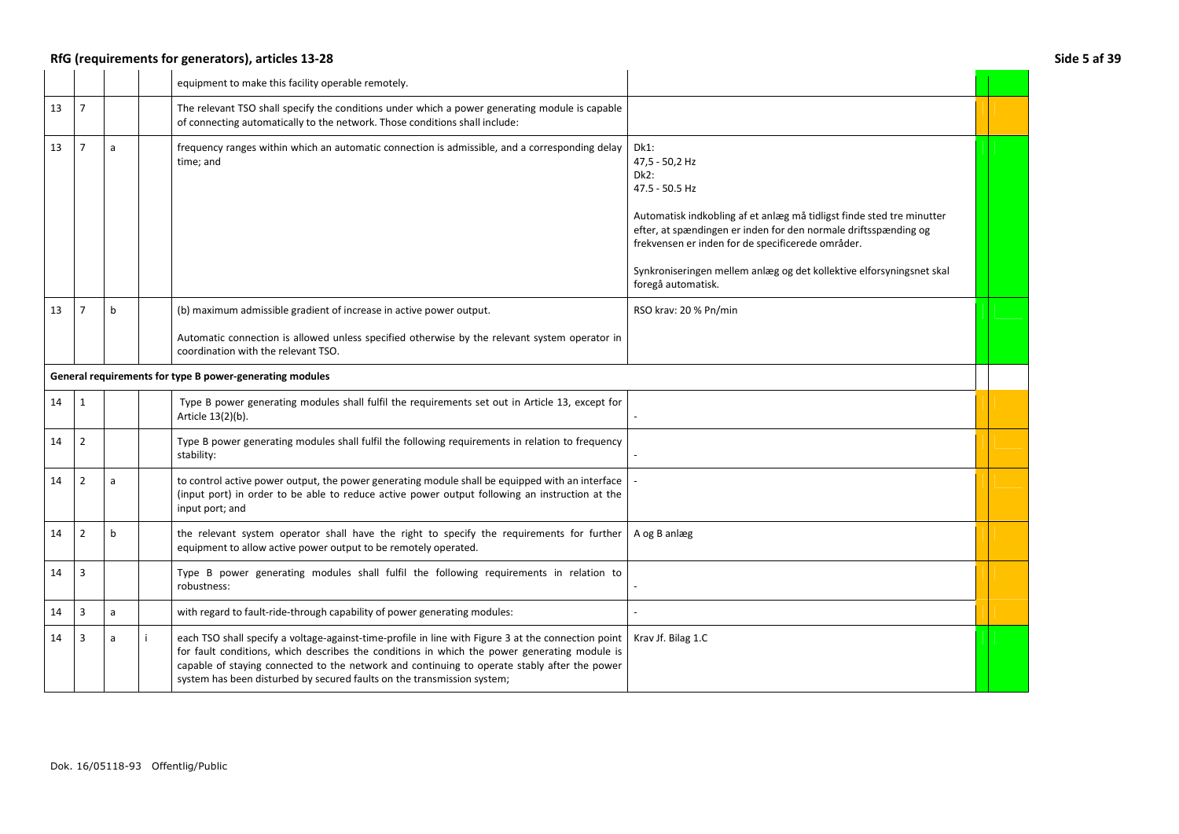## RfG (requirements for generators), articles 13-28 Side 5 af 39

|    |                |   | equipment to make this facility operable remotely.                                                                                                                                                                                                                                                                                                                             |                                                                                                                                                                                                                                                                                                                                                    |  |
|----|----------------|---|--------------------------------------------------------------------------------------------------------------------------------------------------------------------------------------------------------------------------------------------------------------------------------------------------------------------------------------------------------------------------------|----------------------------------------------------------------------------------------------------------------------------------------------------------------------------------------------------------------------------------------------------------------------------------------------------------------------------------------------------|--|
| 13 | $\overline{7}$ |   | The relevant TSO shall specify the conditions under which a power generating module is capable<br>of connecting automatically to the network. Those conditions shall include:                                                                                                                                                                                                  |                                                                                                                                                                                                                                                                                                                                                    |  |
| 13 | $\overline{7}$ | a | frequency ranges within which an automatic connection is admissible, and a corresponding delay<br>time: and                                                                                                                                                                                                                                                                    | Dk1:<br>47,5 - 50,2 Hz<br>$Dk2$ :<br>47.5 - 50.5 Hz<br>Automatisk indkobling af et anlæg må tidligst finde sted tre minutter<br>efter, at spændingen er inden for den normale driftsspænding og<br>frekvensen er inden for de specificerede områder.<br>Synkroniseringen mellem anlæg og det kollektive elforsyningsnet skal<br>foregå automatisk. |  |
| 13 |                | b | (b) maximum admissible gradient of increase in active power output.<br>Automatic connection is allowed unless specified otherwise by the relevant system operator in<br>coordination with the relevant TSO.                                                                                                                                                                    | RSO krav: 20 % Pn/min                                                                                                                                                                                                                                                                                                                              |  |
|    |                |   | General requirements for type B power-generating modules                                                                                                                                                                                                                                                                                                                       |                                                                                                                                                                                                                                                                                                                                                    |  |
| 14 | 1              |   | Type B power generating modules shall fulfil the requirements set out in Article 13, except for<br>Article 13(2)(b).                                                                                                                                                                                                                                                           |                                                                                                                                                                                                                                                                                                                                                    |  |
| 14 | $\overline{2}$ |   | Type B power generating modules shall fulfil the following requirements in relation to frequency<br>stability:                                                                                                                                                                                                                                                                 |                                                                                                                                                                                                                                                                                                                                                    |  |
| 14 | $\overline{2}$ | a | to control active power output, the power generating module shall be equipped with an interface<br>(input port) in order to be able to reduce active power output following an instruction at the<br>input port; and                                                                                                                                                           |                                                                                                                                                                                                                                                                                                                                                    |  |
| 14 | $\overline{2}$ | b | the relevant system operator shall have the right to specify the requirements for further<br>equipment to allow active power output to be remotely operated.                                                                                                                                                                                                                   | A og B anlæg                                                                                                                                                                                                                                                                                                                                       |  |
| 14 | 3              |   | Type B power generating modules shall fulfil the following requirements in relation to<br>robustness:                                                                                                                                                                                                                                                                          |                                                                                                                                                                                                                                                                                                                                                    |  |
| 14 | 3              | a | with regard to fault-ride-through capability of power generating modules:                                                                                                                                                                                                                                                                                                      |                                                                                                                                                                                                                                                                                                                                                    |  |
| 14 | 3              | a | each TSO shall specify a voltage-against-time-profile in line with Figure 3 at the connection point<br>for fault conditions, which describes the conditions in which the power generating module is<br>capable of staying connected to the network and continuing to operate stably after the power<br>system has been disturbed by secured faults on the transmission system; | Krav Jf. Bilag 1.C                                                                                                                                                                                                                                                                                                                                 |  |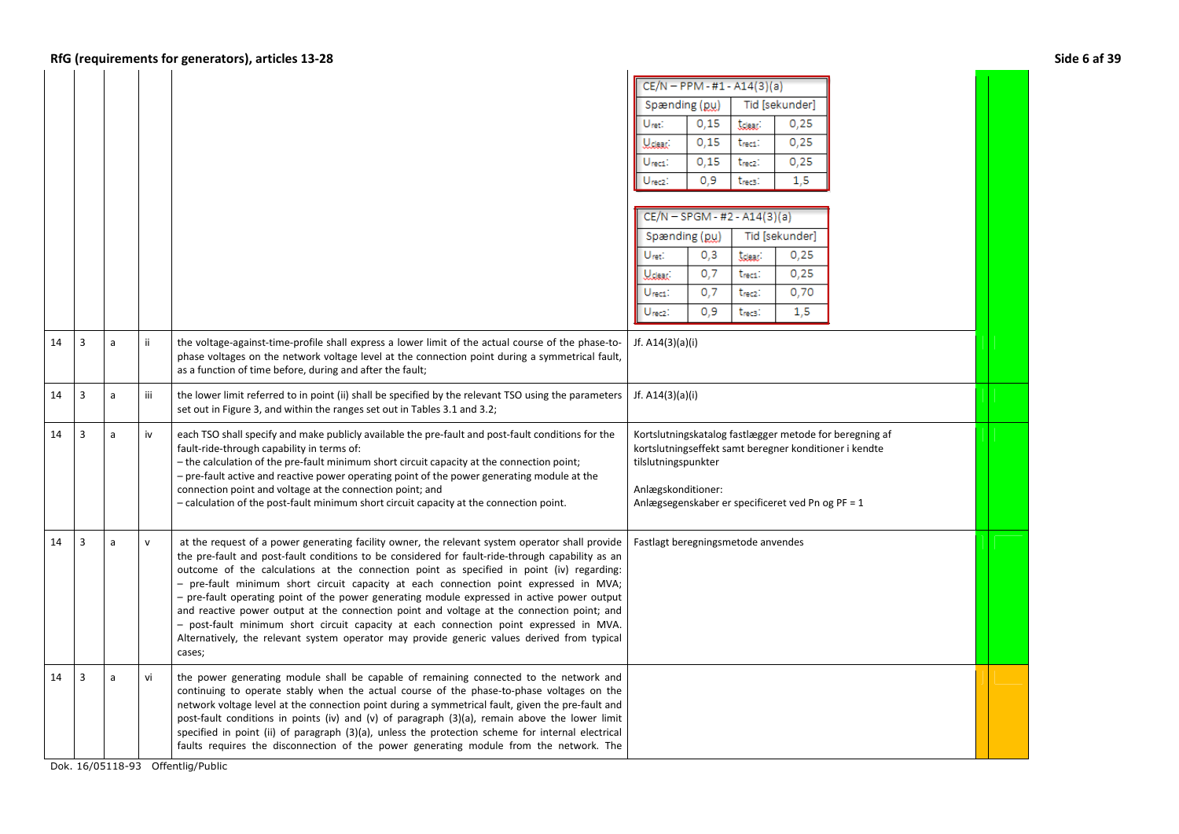|    |                |   |              | RfG (requirements for generators), articles 13-28                                                                                                                                                                                                                                                                                                                                                                                                                                                                                                                                                                                                                                                                                                                                         |                                                                                                                                                                                                                     | <b>Side 6 af 39</b> |
|----|----------------|---|--------------|-------------------------------------------------------------------------------------------------------------------------------------------------------------------------------------------------------------------------------------------------------------------------------------------------------------------------------------------------------------------------------------------------------------------------------------------------------------------------------------------------------------------------------------------------------------------------------------------------------------------------------------------------------------------------------------------------------------------------------------------------------------------------------------------|---------------------------------------------------------------------------------------------------------------------------------------------------------------------------------------------------------------------|---------------------|
|    |                |   |              |                                                                                                                                                                                                                                                                                                                                                                                                                                                                                                                                                                                                                                                                                                                                                                                           | $CE/N - PPM - #1 - A14(3)(a)$                                                                                                                                                                                       |                     |
|    |                |   |              |                                                                                                                                                                                                                                                                                                                                                                                                                                                                                                                                                                                                                                                                                                                                                                                           | Tid [sekunder]<br>Spænding (pu)<br>Uret:<br>0,15<br>0,25<br><b>Idea:</b>                                                                                                                                            |                     |
|    |                |   |              |                                                                                                                                                                                                                                                                                                                                                                                                                                                                                                                                                                                                                                                                                                                                                                                           | 0,15<br>0,25<br>t <sub>rect</sub> :<br>Welear).                                                                                                                                                                     |                     |
|    |                |   |              |                                                                                                                                                                                                                                                                                                                                                                                                                                                                                                                                                                                                                                                                                                                                                                                           | 0.15<br>0,25<br>Urect:<br>t <sub>rec2</sub> :                                                                                                                                                                       |                     |
|    |                |   |              |                                                                                                                                                                                                                                                                                                                                                                                                                                                                                                                                                                                                                                                                                                                                                                                           | 0,9<br>Urecz:<br>1,5<br>t <sub>rec3</sub> :                                                                                                                                                                         |                     |
|    |                |   |              |                                                                                                                                                                                                                                                                                                                                                                                                                                                                                                                                                                                                                                                                                                                                                                                           |                                                                                                                                                                                                                     |                     |
|    |                |   |              |                                                                                                                                                                                                                                                                                                                                                                                                                                                                                                                                                                                                                                                                                                                                                                                           | $CE/N - SPGM - #2 - A14(3)(a)$                                                                                                                                                                                      |                     |
|    |                |   |              |                                                                                                                                                                                                                                                                                                                                                                                                                                                                                                                                                                                                                                                                                                                                                                                           | Tid [sekunder]<br>Spænding (pu)                                                                                                                                                                                     |                     |
|    |                |   |              |                                                                                                                                                                                                                                                                                                                                                                                                                                                                                                                                                                                                                                                                                                                                                                                           | 0,3<br>Uret:<br>0,25<br>tdear:                                                                                                                                                                                      |                     |
|    |                |   |              |                                                                                                                                                                                                                                                                                                                                                                                                                                                                                                                                                                                                                                                                                                                                                                                           | 0,7<br>0,25<br><b>U</b> clear:<br>t <sub>rec1</sub> :                                                                                                                                                               |                     |
|    |                |   |              |                                                                                                                                                                                                                                                                                                                                                                                                                                                                                                                                                                                                                                                                                                                                                                                           | 0,7<br>0,70<br>$U_{\text{rect}}$ :<br>t <sub>rec2</sub> :                                                                                                                                                           |                     |
|    |                |   |              |                                                                                                                                                                                                                                                                                                                                                                                                                                                                                                                                                                                                                                                                                                                                                                                           | 0.9<br>1,5<br>Urec <sub>2</sub> :<br>t <sub>rec3</sub> :                                                                                                                                                            |                     |
| 14 | $\overline{3}$ | a | ii.          | the voltage-against-time-profile shall express a lower limit of the actual course of the phase-to-<br>phase voltages on the network voltage level at the connection point during a symmetrical fault,<br>as a function of time before, during and after the fault;                                                                                                                                                                                                                                                                                                                                                                                                                                                                                                                        | Jf. A14(3)(a)(i)                                                                                                                                                                                                    |                     |
| 14 | 3              | a | iii          | the lower limit referred to in point (ii) shall be specified by the relevant TSO using the parameters<br>set out in Figure 3, and within the ranges set out in Tables 3.1 and 3.2;                                                                                                                                                                                                                                                                                                                                                                                                                                                                                                                                                                                                        | Jf. A14(3)(a)(i)                                                                                                                                                                                                    |                     |
| 14 | $\overline{3}$ | a | iv           | each TSO shall specify and make publicly available the pre-fault and post-fault conditions for the<br>fault-ride-through capability in terms of:<br>- the calculation of the pre-fault minimum short circuit capacity at the connection point;<br>- pre-fault active and reactive power operating point of the power generating module at the<br>connection point and voltage at the connection point; and<br>- calculation of the post-fault minimum short circuit capacity at the connection point.                                                                                                                                                                                                                                                                                     | Kortslutningskatalog fastlægger metode for beregning af<br>kortslutningseffekt samt beregner konditioner i kendte<br>tilslutningspunkter<br>Anlægskonditioner:<br>Anlægsegenskaber er specificeret ved Pn og PF = 1 |                     |
| 14 | 3              | a | $\mathsf{v}$ | at the request of a power generating facility owner, the relevant system operator shall provide<br>the pre-fault and post-fault conditions to be considered for fault-ride-through capability as an<br>outcome of the calculations at the connection point as specified in point (iv) regarding:<br>- pre-fault minimum short circuit capacity at each connection point expressed in MVA;<br>- pre-fault operating point of the power generating module expressed in active power output<br>and reactive power output at the connection point and voltage at the connection point; and<br>- post-fault minimum short circuit capacity at each connection point expressed in MVA.<br>Alternatively, the relevant system operator may provide generic values derived from typical<br>cases; | Fastlagt beregningsmetode anvendes                                                                                                                                                                                  |                     |
| 14 | $\overline{3}$ | a | vi           | the power generating module shall be capable of remaining connected to the network and<br>continuing to operate stably when the actual course of the phase-to-phase voltages on the<br>network voltage level at the connection point during a symmetrical fault, given the pre-fault and<br>post-fault conditions in points (iv) and (v) of paragraph $(3)(a)$ , remain above the lower limit<br>specified in point (ii) of paragraph (3)(a), unless the protection scheme for internal electrical<br>faults requires the disconnection of the power generating module from the network. The                                                                                                                                                                                              |                                                                                                                                                                                                                     |                     |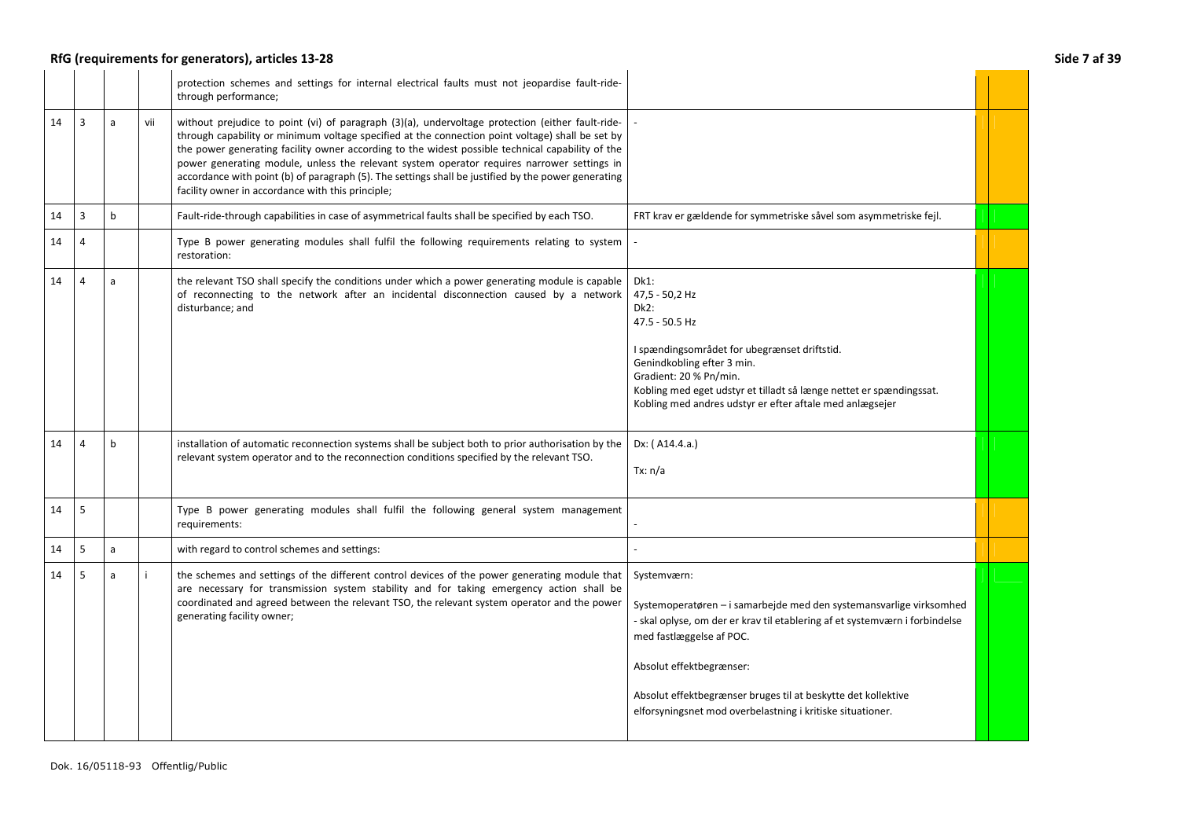## RfG (requirements for generators), articles 13-28 **Side 7 af 39**

|    |                |             |     | protection schemes and settings for internal electrical faults must not jeopardise fault-ride-<br>through performance;                                                                                                                                                                                                                                                                                                                                                                                                                                             |                                                                                                                                                                                                                                                                                                                                                          |  |
|----|----------------|-------------|-----|--------------------------------------------------------------------------------------------------------------------------------------------------------------------------------------------------------------------------------------------------------------------------------------------------------------------------------------------------------------------------------------------------------------------------------------------------------------------------------------------------------------------------------------------------------------------|----------------------------------------------------------------------------------------------------------------------------------------------------------------------------------------------------------------------------------------------------------------------------------------------------------------------------------------------------------|--|
| 14 | $\overline{3}$ | a           | vii | without prejudice to point (vi) of paragraph (3)(a), undervoltage protection (either fault-ride-<br>through capability or minimum voltage specified at the connection point voltage) shall be set by<br>the power generating facility owner according to the widest possible technical capability of the<br>power generating module, unless the relevant system operator requires narrower settings in<br>accordance with point (b) of paragraph (5). The settings shall be justified by the power generating<br>facility owner in accordance with this principle; |                                                                                                                                                                                                                                                                                                                                                          |  |
| 14 | 3              | $\mathsf b$ |     | Fault-ride-through capabilities in case of asymmetrical faults shall be specified by each TSO.                                                                                                                                                                                                                                                                                                                                                                                                                                                                     | FRT krav er gældende for symmetriske såvel som asymmetriske fejl.                                                                                                                                                                                                                                                                                        |  |
| 14 | Δ              |             |     | Type B power generating modules shall fulfil the following requirements relating to system<br>restoration:                                                                                                                                                                                                                                                                                                                                                                                                                                                         |                                                                                                                                                                                                                                                                                                                                                          |  |
| 14 | 4              | a           |     | the relevant TSO shall specify the conditions under which a power generating module is capable<br>of reconnecting to the network after an incidental disconnection caused by a network<br>disturbance; and                                                                                                                                                                                                                                                                                                                                                         | $Dk1$ :<br>47,5 - 50,2 Hz<br>Dk2:<br>47.5 - 50.5 Hz<br>I spændingsområdet for ubegrænset driftstid.<br>Genindkobling efter 3 min.<br>Gradient: 20 % Pn/min.<br>Kobling med eget udstyr et tilladt så længe nettet er spændingssat.<br>Kobling med andres udstyr er efter aftale med anlægsejer                                                           |  |
| 14 | $\Delta$       | h           |     | installation of automatic reconnection systems shall be subject both to prior authorisation by the<br>relevant system operator and to the reconnection conditions specified by the relevant TSO.                                                                                                                                                                                                                                                                                                                                                                   | Dx: (A14.4.a.)<br>Tx: n/a                                                                                                                                                                                                                                                                                                                                |  |
| 14 | 5              |             |     | Type B power generating modules shall fulfil the following general system management<br>requirements:                                                                                                                                                                                                                                                                                                                                                                                                                                                              |                                                                                                                                                                                                                                                                                                                                                          |  |
| 14 | 5              | a           |     | with regard to control schemes and settings:                                                                                                                                                                                                                                                                                                                                                                                                                                                                                                                       |                                                                                                                                                                                                                                                                                                                                                          |  |
| 14 | 5              | a           | j.  | the schemes and settings of the different control devices of the power generating module that<br>are necessary for transmission system stability and for taking emergency action shall be<br>coordinated and agreed between the relevant TSO, the relevant system operator and the power<br>generating facility owner;                                                                                                                                                                                                                                             | Systemværn:<br>Systemoperatøren – i samarbejde med den systemansvarlige virksomhed<br>- skal oplyse, om der er krav til etablering af et systemværn i forbindelse<br>med fastlæggelse af POC.<br>Absolut effektbegrænser:<br>Absolut effektbegrænser bruges til at beskytte det kollektive<br>elforsyningsnet mod overbelastning i kritiske situationer. |  |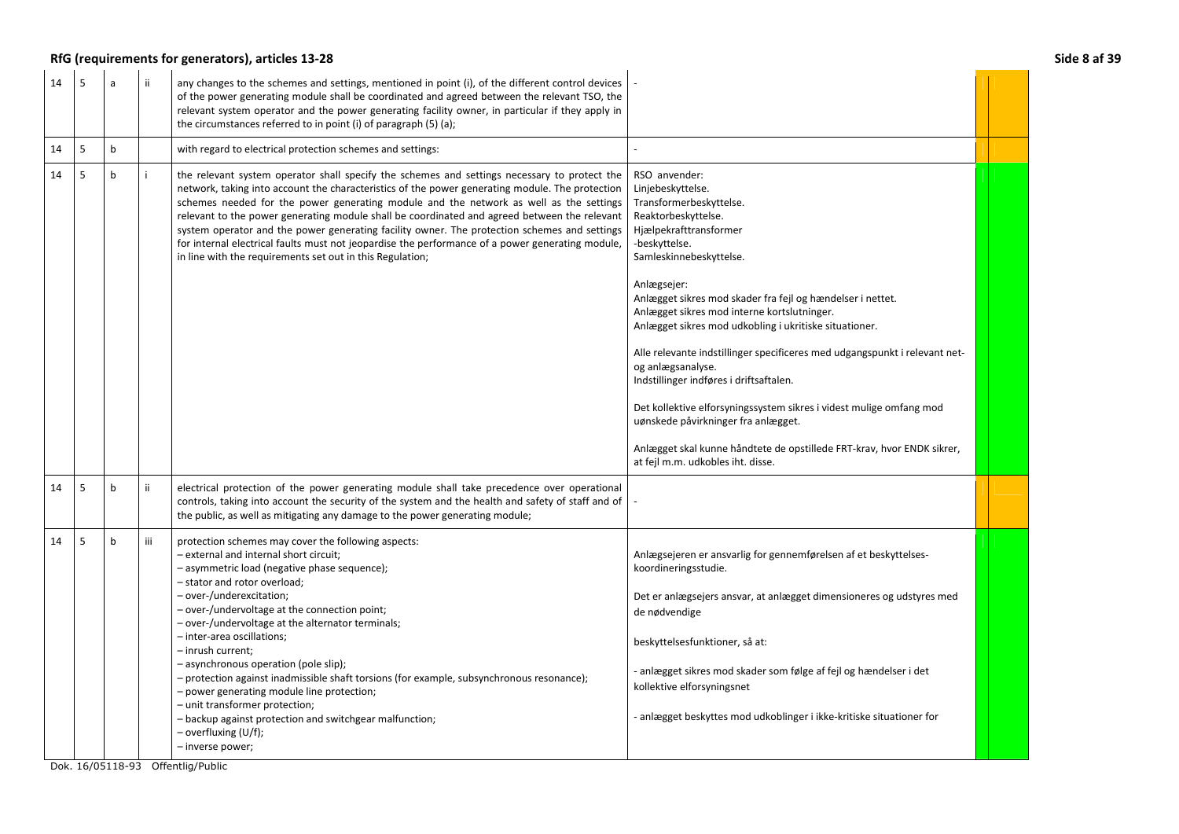## RfG (requirements for generators), articles 13-28 **Side 8 af 39**

| 14 | 5 | $\overline{a}$ | ii. | any changes to the schemes and settings, mentioned in point (i), of the different control devices<br>of the power generating module shall be coordinated and agreed between the relevant TSO, the<br>relevant system operator and the power generating facility owner, in particular if they apply in<br>the circumstances referred to in point (i) of paragraph (5) (a);                                                                                                                                                                                                                                                                                                                       |                                                                                                                                                                                                                                                                                                                                                                                                                                                                                                                                                                                                                                                                                                                             |  |
|----|---|----------------|-----|-------------------------------------------------------------------------------------------------------------------------------------------------------------------------------------------------------------------------------------------------------------------------------------------------------------------------------------------------------------------------------------------------------------------------------------------------------------------------------------------------------------------------------------------------------------------------------------------------------------------------------------------------------------------------------------------------|-----------------------------------------------------------------------------------------------------------------------------------------------------------------------------------------------------------------------------------------------------------------------------------------------------------------------------------------------------------------------------------------------------------------------------------------------------------------------------------------------------------------------------------------------------------------------------------------------------------------------------------------------------------------------------------------------------------------------------|--|
| 14 | 5 | $b$            |     | with regard to electrical protection schemes and settings:                                                                                                                                                                                                                                                                                                                                                                                                                                                                                                                                                                                                                                      |                                                                                                                                                                                                                                                                                                                                                                                                                                                                                                                                                                                                                                                                                                                             |  |
| 14 | 5 | $\mathbf b$    |     | the relevant system operator shall specify the schemes and settings necessary to protect the<br>network, taking into account the characteristics of the power generating module. The protection<br>schemes needed for the power generating module and the network as well as the settings<br>relevant to the power generating module shall be coordinated and agreed between the relevant<br>system operator and the power generating facility owner. The protection schemes and settings<br>for internal electrical faults must not jeopardise the performance of a power generating module,<br>in line with the requirements set out in this Regulation;                                      | RSO anvender:<br>Linjebeskyttelse.<br>Transformerbeskyttelse.<br>Reaktorbeskyttelse.<br>Hjælpekrafttransformer<br>-beskyttelse.<br>Samleskinnebeskyttelse.<br>Anlægsejer:<br>Anlægget sikres mod skader fra fejl og hændelser i nettet.<br>Anlægget sikres mod interne kortslutninger.<br>Anlægget sikres mod udkobling i ukritiske situationer.<br>Alle relevante indstillinger specificeres med udgangspunkt i relevant net-<br>og anlægsanalyse.<br>Indstillinger indføres i driftsaftalen.<br>Det kollektive elforsyningssystem sikres i videst mulige omfang mod<br>uønskede påvirkninger fra anlægget.<br>Anlægget skal kunne håndtete de opstillede FRT-krav, hvor ENDK sikrer,<br>at fejl m.m. udkobles iht. disse. |  |
| 14 | 5 | $\mathbf b$    | ii. | electrical protection of the power generating module shall take precedence over operational<br>controls, taking into account the security of the system and the health and safety of staff and of<br>the public, as well as mitigating any damage to the power generating module;                                                                                                                                                                                                                                                                                                                                                                                                               |                                                                                                                                                                                                                                                                                                                                                                                                                                                                                                                                                                                                                                                                                                                             |  |
| 14 | 5 | b              | iii | protection schemes may cover the following aspects:<br>- external and internal short circuit;<br>- asymmetric load (negative phase sequence);<br>- stator and rotor overload;<br>- over-/underexcitation;<br>- over-/undervoltage at the connection point;<br>- over-/undervoltage at the alternator terminals;<br>- inter-area oscillations;<br>- inrush current;<br>- asynchronous operation (pole slip);<br>- protection against inadmissible shaft torsions (for example, subsynchronous resonance);<br>- power generating module line protection;<br>- unit transformer protection;<br>- backup against protection and switchgear malfunction;<br>- overfluxing (U/f);<br>- inverse power; | Anlægsejeren er ansvarlig for gennemførelsen af et beskyttelses-<br>koordineringsstudie.<br>Det er anlægsejers ansvar, at anlægget dimensioneres og udstyres med<br>de nødvendige<br>beskyttelsesfunktioner, så at:<br>- anlægget sikres mod skader som følge af fejl og hændelser i det<br>kollektive elforsyningsnet<br>- anlægget beskyttes mod udkoblinger i ikke-kritiske situationer for                                                                                                                                                                                                                                                                                                                              |  |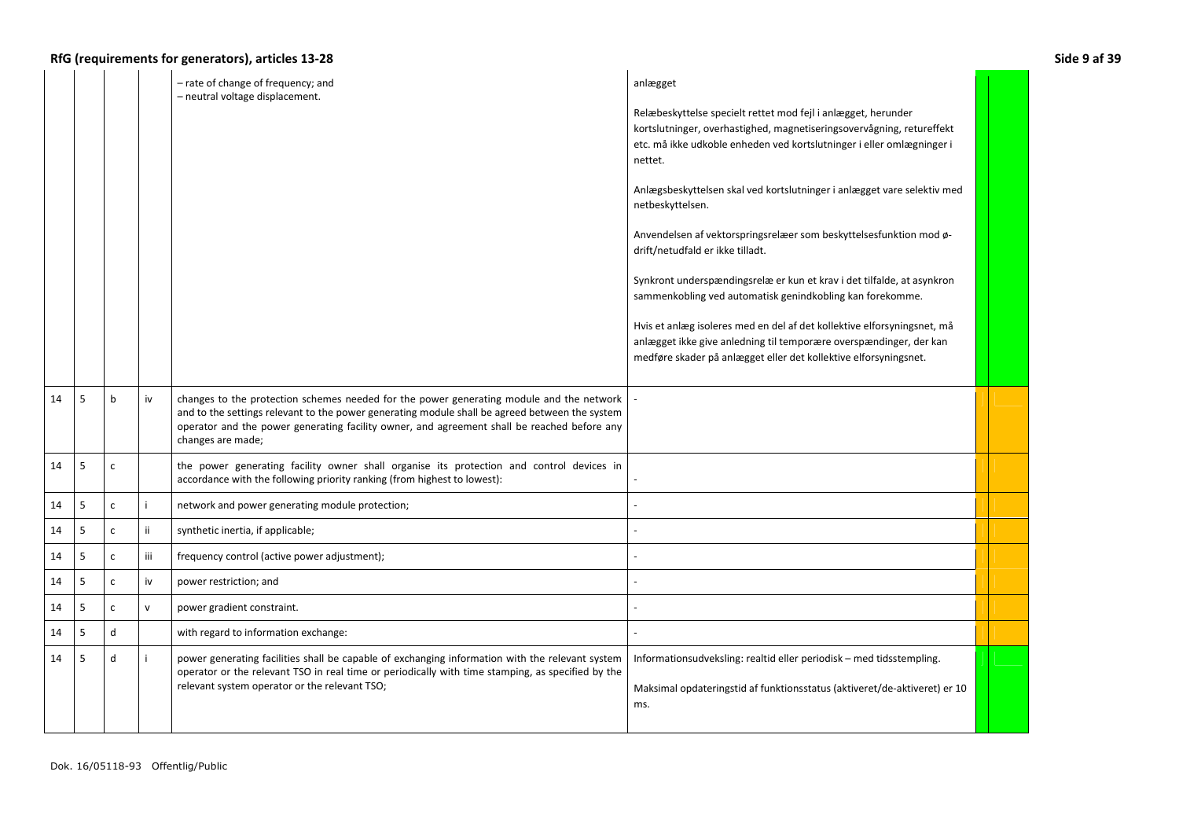|    |   |              |     | - rate of change of frequency; and<br>- neutral voltage displacement.                                                                                                                                                                                                                                          | anlægget<br>Relæbeskyttelse specielt rettet mod fejl i anlægget, herunder                                                                                                                                         |  |
|----|---|--------------|-----|----------------------------------------------------------------------------------------------------------------------------------------------------------------------------------------------------------------------------------------------------------------------------------------------------------------|-------------------------------------------------------------------------------------------------------------------------------------------------------------------------------------------------------------------|--|
|    |   |              |     |                                                                                                                                                                                                                                                                                                                | kortslutninger, overhastighed, magnetiseringsovervågning, retureffekt<br>etc. må ikke udkoble enheden ved kortslutninger i eller omlægninger i<br>nettet.                                                         |  |
|    |   |              |     |                                                                                                                                                                                                                                                                                                                | Anlægsbeskyttelsen skal ved kortslutninger i anlægget vare selektiv med<br>netbeskyttelsen.                                                                                                                       |  |
|    |   |              |     |                                                                                                                                                                                                                                                                                                                | Anvendelsen af vektorspringsrelæer som beskyttelsesfunktion mod ø-<br>drift/netudfald er ikke tilladt.                                                                                                            |  |
|    |   |              |     |                                                                                                                                                                                                                                                                                                                | Synkront underspændingsrelæ er kun et krav i det tilfalde, at asynkron<br>sammenkobling ved automatisk genindkobling kan forekomme.                                                                               |  |
|    |   |              |     |                                                                                                                                                                                                                                                                                                                | Hvis et anlæg isoleres med en del af det kollektive elforsyningsnet, må<br>anlægget ikke give anledning til temporære overspændinger, der kan<br>medføre skader på anlægget eller det kollektive elforsyningsnet. |  |
| 14 | 5 | b            | iv  | changes to the protection schemes needed for the power generating module and the network<br>and to the settings relevant to the power generating module shall be agreed between the system<br>operator and the power generating facility owner, and agreement shall be reached before any<br>changes are made; |                                                                                                                                                                                                                   |  |
| 14 | 5 | $\mathsf{C}$ |     | the power generating facility owner shall organise its protection and control devices in<br>accordance with the following priority ranking (from highest to lowest):                                                                                                                                           |                                                                                                                                                                                                                   |  |
| 14 | 5 | c            | j.  | network and power generating module protection;                                                                                                                                                                                                                                                                |                                                                                                                                                                                                                   |  |
| 14 | 5 | $\mathsf{C}$ | ij. | synthetic inertia, if applicable;                                                                                                                                                                                                                                                                              |                                                                                                                                                                                                                   |  |
| 14 | 5 | $\mathsf{C}$ | iii | frequency control (active power adjustment);                                                                                                                                                                                                                                                                   |                                                                                                                                                                                                                   |  |
| 14 | 5 | c            | iv  | power restriction; and                                                                                                                                                                                                                                                                                         |                                                                                                                                                                                                                   |  |
| 14 | 5 | $\mathsf{C}$ | v   | power gradient constraint.                                                                                                                                                                                                                                                                                     |                                                                                                                                                                                                                   |  |
| 14 | 5 | d            |     | with regard to information exchange:                                                                                                                                                                                                                                                                           |                                                                                                                                                                                                                   |  |
| 14 | 5 | d            | i   | power generating facilities shall be capable of exchanging information with the relevant system<br>operator or the relevant TSO in real time or periodically with time stamping, as specified by the<br>relevant system operator or the relevant TSO;                                                          | Informationsudveksling: realtid eller periodisk - med tidsstempling.<br>Maksimal opdateringstid af funktionsstatus (aktiveret/de-aktiveret) er 10<br>ms.                                                          |  |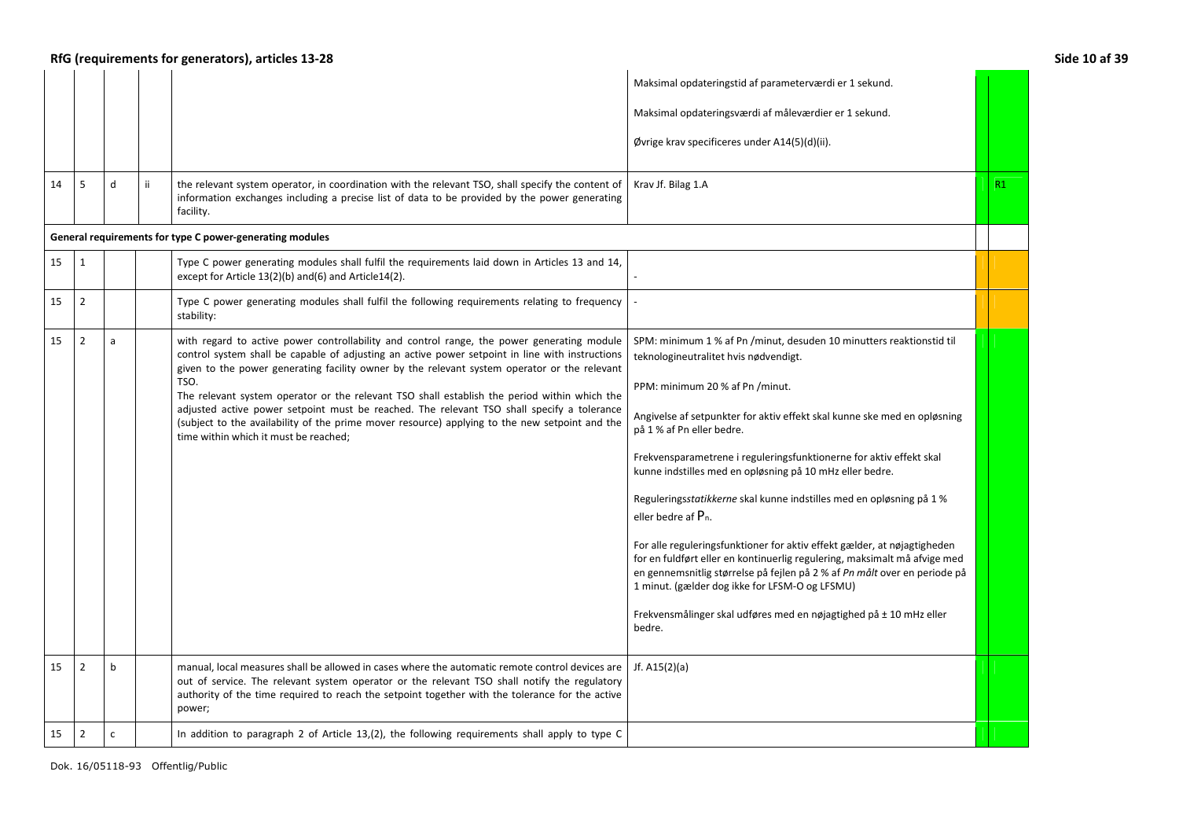|    | RfG (requirements for generators), articles 13-28<br>Side 10 af 39 |              |    |                                                                                                                                                                                                                                                                                                                                                                                                                                                                                                                                                                                                                                                |                                                                                                                                                                                                                                                                                                                                                                                                                                                                                                                                                                                                                                                                                                                                                                                                                                                                                 |    |  |
|----|--------------------------------------------------------------------|--------------|----|------------------------------------------------------------------------------------------------------------------------------------------------------------------------------------------------------------------------------------------------------------------------------------------------------------------------------------------------------------------------------------------------------------------------------------------------------------------------------------------------------------------------------------------------------------------------------------------------------------------------------------------------|---------------------------------------------------------------------------------------------------------------------------------------------------------------------------------------------------------------------------------------------------------------------------------------------------------------------------------------------------------------------------------------------------------------------------------------------------------------------------------------------------------------------------------------------------------------------------------------------------------------------------------------------------------------------------------------------------------------------------------------------------------------------------------------------------------------------------------------------------------------------------------|----|--|
|    |                                                                    |              |    |                                                                                                                                                                                                                                                                                                                                                                                                                                                                                                                                                                                                                                                | Maksimal opdateringstid af parameterværdi er 1 sekund.                                                                                                                                                                                                                                                                                                                                                                                                                                                                                                                                                                                                                                                                                                                                                                                                                          |    |  |
|    |                                                                    |              |    |                                                                                                                                                                                                                                                                                                                                                                                                                                                                                                                                                                                                                                                | Maksimal opdateringsværdi af måleværdier er 1 sekund.                                                                                                                                                                                                                                                                                                                                                                                                                                                                                                                                                                                                                                                                                                                                                                                                                           |    |  |
|    |                                                                    |              |    |                                                                                                                                                                                                                                                                                                                                                                                                                                                                                                                                                                                                                                                | Øvrige krav specificeres under A14(5)(d)(ii).                                                                                                                                                                                                                                                                                                                                                                                                                                                                                                                                                                                                                                                                                                                                                                                                                                   |    |  |
| 14 | 5                                                                  | d            | ij | the relevant system operator, in coordination with the relevant TSO, shall specify the content of<br>information exchanges including a precise list of data to be provided by the power generating<br>facility.                                                                                                                                                                                                                                                                                                                                                                                                                                | Krav Jf. Bilag 1.A                                                                                                                                                                                                                                                                                                                                                                                                                                                                                                                                                                                                                                                                                                                                                                                                                                                              | R1 |  |
|    |                                                                    |              |    | General requirements for type C power-generating modules                                                                                                                                                                                                                                                                                                                                                                                                                                                                                                                                                                                       |                                                                                                                                                                                                                                                                                                                                                                                                                                                                                                                                                                                                                                                                                                                                                                                                                                                                                 |    |  |
| 15 | 1                                                                  |              |    | Type C power generating modules shall fulfil the requirements laid down in Articles 13 and 14,<br>except for Article 13(2)(b) and(6) and Article14(2).                                                                                                                                                                                                                                                                                                                                                                                                                                                                                         |                                                                                                                                                                                                                                                                                                                                                                                                                                                                                                                                                                                                                                                                                                                                                                                                                                                                                 |    |  |
| 15 | $\overline{2}$                                                     |              |    | Type C power generating modules shall fulfil the following requirements relating to frequency<br>stability:                                                                                                                                                                                                                                                                                                                                                                                                                                                                                                                                    |                                                                                                                                                                                                                                                                                                                                                                                                                                                                                                                                                                                                                                                                                                                                                                                                                                                                                 |    |  |
| 15 | $\overline{2}$                                                     | a            |    | with regard to active power controllability and control range, the power generating module<br>control system shall be capable of adjusting an active power setpoint in line with instructions<br>given to the power generating facility owner by the relevant system operator or the relevant<br>TSO.<br>The relevant system operator or the relevant TSO shall establish the period within which the<br>adjusted active power setpoint must be reached. The relevant TSO shall specify a tolerance<br>(subject to the availability of the prime mover resource) applying to the new setpoint and the<br>time within which it must be reached; | SPM: minimum 1 % af Pn /minut, desuden 10 minutters reaktionstid til<br>teknologineutralitet hvis nødvendigt.<br>PPM: minimum 20 % af Pn /minut.<br>Angivelse af setpunkter for aktiv effekt skal kunne ske med en opløsning<br>på 1 % af Pn eller bedre.<br>Frekvensparametrene i reguleringsfunktionerne for aktiv effekt skal<br>kunne indstilles med en opløsning på 10 mHz eller bedre.<br>Reguleringsstatikkerne skal kunne indstilles med en opløsning på 1 %<br>eller bedre af P <sub>n</sub> .<br>For alle reguleringsfunktioner for aktiv effekt gælder, at nøjagtigheden<br>for en fuldført eller en kontinuerlig regulering, maksimalt må afvige med<br>en gennemsnitlig størrelse på fejlen på 2 % af Pn målt over en periode på<br>1 minut. (gælder dog ikke for LFSM-O og LFSMU)<br>Frekvensmålinger skal udføres med en nøjagtighed på ± 10 mHz eller<br>bedre. |    |  |
| 15 | $\overline{2}$                                                     | $\mathbf b$  |    | manual, local measures shall be allowed in cases where the automatic remote control devices are<br>out of service. The relevant system operator or the relevant TSO shall notify the regulatory<br>authority of the time required to reach the setpoint together with the tolerance for the active<br>power;                                                                                                                                                                                                                                                                                                                                   | Jf. $A15(2)(a)$                                                                                                                                                                                                                                                                                                                                                                                                                                                                                                                                                                                                                                                                                                                                                                                                                                                                 |    |  |
| 15 | $\overline{2}$                                                     | $\mathsf{c}$ |    | In addition to paragraph 2 of Article $13,(2)$ , the following requirements shall apply to type C                                                                                                                                                                                                                                                                                                                                                                                                                                                                                                                                              |                                                                                                                                                                                                                                                                                                                                                                                                                                                                                                                                                                                                                                                                                                                                                                                                                                                                                 |    |  |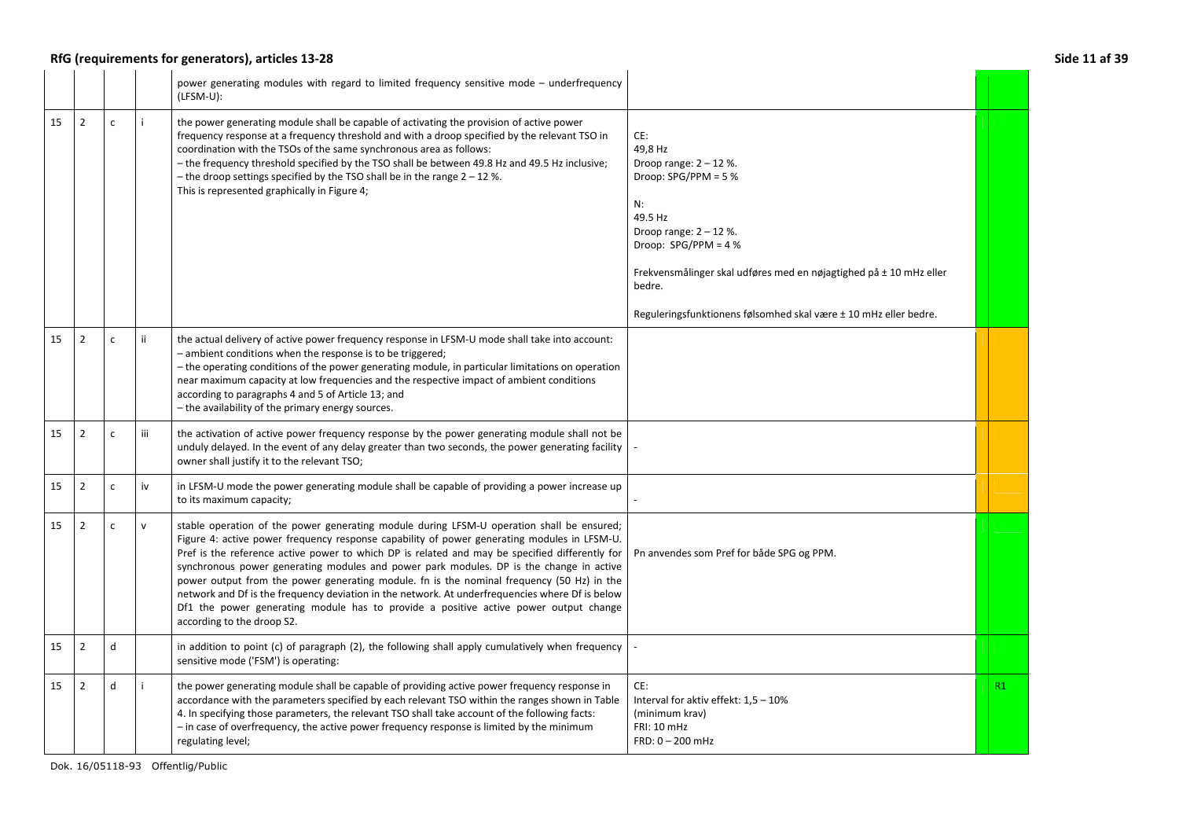## **RfG (requirements for generators), articles 13-28 Side 11 af 39**

|                      |              |     | power generating modules with regard to limited frequency sensitive mode – underfrequency<br>$(LFSM-U):$                                                                                                                                                                                                                                                                                                                                                                                                                                                                                                                                                                                                    |                                                                                                                                                                                                                                                                                               |    |
|----------------------|--------------|-----|-------------------------------------------------------------------------------------------------------------------------------------------------------------------------------------------------------------------------------------------------------------------------------------------------------------------------------------------------------------------------------------------------------------------------------------------------------------------------------------------------------------------------------------------------------------------------------------------------------------------------------------------------------------------------------------------------------------|-----------------------------------------------------------------------------------------------------------------------------------------------------------------------------------------------------------------------------------------------------------------------------------------------|----|
| $\overline{2}$<br>15 | $\mathsf{C}$ |     | the power generating module shall be capable of activating the provision of active power<br>frequency response at a frequency threshold and with a droop specified by the relevant TSO in<br>coordination with the TSOs of the same synchronous area as follows:<br>- the frequency threshold specified by the TSO shall be between 49.8 Hz and 49.5 Hz inclusive;<br>- the droop settings specified by the TSO shall be in the range $2 - 12$ %.<br>This is represented graphically in Figure 4;                                                                                                                                                                                                           | CE:<br>49,8 Hz<br>Droop range: $2 - 12$ %.<br>Droop: $SPG/PPM = 5%$<br>N:<br>49.5 Hz<br>Droop range: $2 - 12$ %.<br>Droop: $SPG/PPM = 4%$<br>Frekvensmålinger skal udføres med en nøjagtighed på ± 10 mHz eller<br>bedre.<br>Reguleringsfunktionens følsomhed skal være ± 10 mHz eller bedre. |    |
| $\overline{2}$<br>15 | $\mathsf{C}$ | ii. | the actual delivery of active power frequency response in LFSM-U mode shall take into account:<br>- ambient conditions when the response is to be triggered;<br>- the operating conditions of the power generating module, in particular limitations on operation<br>near maximum capacity at low frequencies and the respective impact of ambient conditions<br>according to paragraphs 4 and 5 of Article 13; and<br>- the availability of the primary energy sources.                                                                                                                                                                                                                                    |                                                                                                                                                                                                                                                                                               |    |
| $\overline{2}$<br>15 | $\mathsf{C}$ | iii | the activation of active power frequency response by the power generating module shall not be<br>unduly delayed. In the event of any delay greater than two seconds, the power generating facility<br>owner shall justify it to the relevant TSO;                                                                                                                                                                                                                                                                                                                                                                                                                                                           |                                                                                                                                                                                                                                                                                               |    |
| $\overline{2}$<br>15 | $\mathsf{C}$ | iv  | in LFSM-U mode the power generating module shall be capable of providing a power increase up<br>to its maximum capacity;                                                                                                                                                                                                                                                                                                                                                                                                                                                                                                                                                                                    |                                                                                                                                                                                                                                                                                               |    |
| $\overline{2}$<br>15 | C            | v   | stable operation of the power generating module during LFSM-U operation shall be ensured;<br>Figure 4: active power frequency response capability of power generating modules in LFSM-U.<br>Pref is the reference active power to which DP is related and may be specified differently for<br>synchronous power generating modules and power park modules. DP is the change in active<br>power output from the power generating module. fn is the nominal frequency (50 Hz) in the<br>network and Df is the frequency deviation in the network. At underfrequencies where Df is below<br>Df1 the power generating module has to provide a positive active power output change<br>according to the droop S2. | Pn anvendes som Pref for både SPG og PPM.                                                                                                                                                                                                                                                     |    |
| $\overline{2}$<br>15 | d            |     | in addition to point (c) of paragraph (2), the following shall apply cumulatively when frequency<br>sensitive mode ('FSM') is operating:                                                                                                                                                                                                                                                                                                                                                                                                                                                                                                                                                                    |                                                                                                                                                                                                                                                                                               |    |
| $\overline{2}$<br>15 | d            |     | the power generating module shall be capable of providing active power frequency response in<br>accordance with the parameters specified by each relevant TSO within the ranges shown in Table<br>4. In specifying those parameters, the relevant TSO shall take account of the following facts:<br>- in case of overfrequency, the active power frequency response is limited by the minimum<br>regulating level;                                                                                                                                                                                                                                                                                          | CE:<br>Interval for aktiv effekt: 1,5 - 10%<br>(minimum krav)<br>FRI: 10 mHz<br>$FRD: 0 - 200$ mHz                                                                                                                                                                                            | R1 |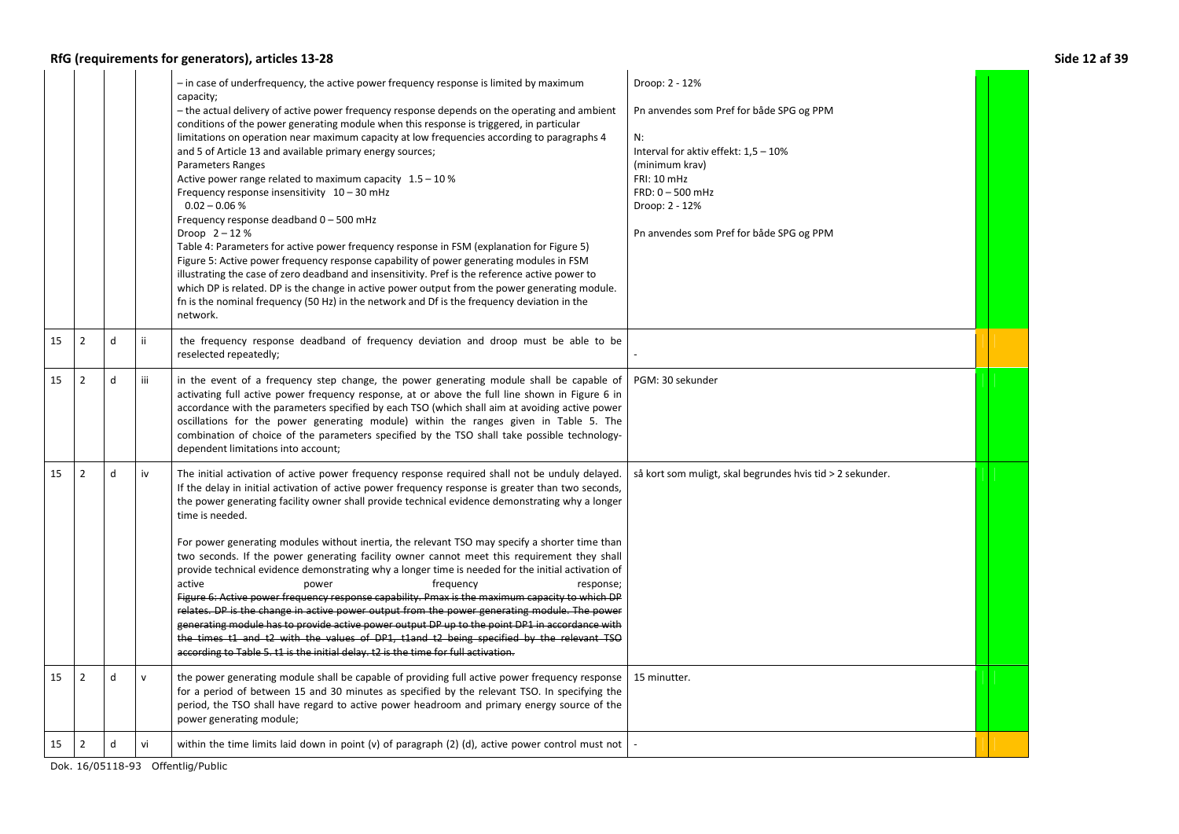## **RfG (requirements for generators), articles 13-28**

| Side 12 af 39 |  |  |  |
|---------------|--|--|--|
|---------------|--|--|--|

|    |                |   |              | - in case of underfrequency, the active power frequency response is limited by maximum<br>capacity;<br>- the actual delivery of active power frequency response depends on the operating and ambient<br>conditions of the power generating module when this response is triggered, in particular<br>limitations on operation near maximum capacity at low frequencies according to paragraphs 4<br>and 5 of Article 13 and available primary energy sources;<br><b>Parameters Ranges</b><br>Active power range related to maximum capacity $1.5 - 10\%$<br>Frequency response insensitivity 10 - 30 mHz<br>$0.02 - 0.06 %$<br>Frequency response deadband 0 - 500 mHz<br>Droop $2 - 12%$<br>Table 4: Parameters for active power frequency response in FSM (explanation for Figure 5)<br>Figure 5: Active power frequency response capability of power generating modules in FSM<br>illustrating the case of zero deadband and insensitivity. Pref is the reference active power to<br>which DP is related. DP is the change in active power output from the power generating module.<br>fn is the nominal frequency (50 Hz) in the network and Df is the frequency deviation in the<br>network. | Droop: 2 - 12%<br>Pn anvendes som Pref for både SPG og PPM<br>N:<br>Interval for aktiv effekt: 1,5 - 10%<br>(minimum krav)<br><b>FRI: 10 mHz</b><br>$FRD: 0 - 500$ mHz<br>Droop: 2 - 12%<br>Pn anvendes som Pref for både SPG og PPM |  |
|----|----------------|---|--------------|--------------------------------------------------------------------------------------------------------------------------------------------------------------------------------------------------------------------------------------------------------------------------------------------------------------------------------------------------------------------------------------------------------------------------------------------------------------------------------------------------------------------------------------------------------------------------------------------------------------------------------------------------------------------------------------------------------------------------------------------------------------------------------------------------------------------------------------------------------------------------------------------------------------------------------------------------------------------------------------------------------------------------------------------------------------------------------------------------------------------------------------------------------------------------------------------------|--------------------------------------------------------------------------------------------------------------------------------------------------------------------------------------------------------------------------------------|--|
| 15 | $\overline{2}$ | d | ίi           | the frequency response deadband of frequency deviation and droop must be able to be<br>reselected repeatedly;                                                                                                                                                                                                                                                                                                                                                                                                                                                                                                                                                                                                                                                                                                                                                                                                                                                                                                                                                                                                                                                                                    |                                                                                                                                                                                                                                      |  |
| 15 | $\overline{2}$ | d | iii          | in the event of a frequency step change, the power generating module shall be capable of<br>activating full active power frequency response, at or above the full line shown in Figure 6 in<br>accordance with the parameters specified by each TSO (which shall aim at avoiding active power<br>oscillations for the power generating module) within the ranges given in Table 5. The<br>combination of choice of the parameters specified by the TSO shall take possible technology-<br>dependent limitations into account;                                                                                                                                                                                                                                                                                                                                                                                                                                                                                                                                                                                                                                                                    | PGM: 30 sekunder                                                                                                                                                                                                                     |  |
| 15 | $\overline{2}$ | d | iv           | The initial activation of active power frequency response required shall not be unduly delayed.<br>If the delay in initial activation of active power frequency response is greater than two seconds,<br>the power generating facility owner shall provide technical evidence demonstrating why a longer<br>time is needed.<br>For power generating modules without inertia, the relevant TSO may specify a shorter time than<br>two seconds. If the power generating facility owner cannot meet this requirement they shall<br>provide technical evidence demonstrating why a longer time is needed for the initial activation of<br>active<br>power<br>frequency<br>response;<br>Figure 6: Active power frequency response capability. Pmax is the maximum capacity to which DP<br>relates. DP is the change in active power output from the power generating module. The power<br>generating module has to provide active power output DP up to the point DP1 in accordance with<br>the times t1 and t2 with the values of DP1, t1and t2 being specified by the relevant TSO<br>according to Table 5. t1 is the initial delay. t2 is the time for full activation.                            | så kort som muligt, skal begrundes hvis tid > 2 sekunder.                                                                                                                                                                            |  |
| 15 | $\overline{2}$ | d | $\mathsf{v}$ | the power generating module shall be capable of providing full active power frequency response<br>for a period of between 15 and 30 minutes as specified by the relevant TSO. In specifying the<br>period, the TSO shall have regard to active power headroom and primary energy source of the<br>power generating module;                                                                                                                                                                                                                                                                                                                                                                                                                                                                                                                                                                                                                                                                                                                                                                                                                                                                       | 15 minutter.                                                                                                                                                                                                                         |  |
| 15 | $\overline{2}$ | d | vi           | within the time limits laid down in point $(v)$ of paragraph $(2)$ $(d)$ , active power control must not                                                                                                                                                                                                                                                                                                                                                                                                                                                                                                                                                                                                                                                                                                                                                                                                                                                                                                                                                                                                                                                                                         |                                                                                                                                                                                                                                      |  |
|    |                |   |              | Dok. 16/05118-93 Offentlig/Public                                                                                                                                                                                                                                                                                                                                                                                                                                                                                                                                                                                                                                                                                                                                                                                                                                                                                                                                                                                                                                                                                                                                                                |                                                                                                                                                                                                                                      |  |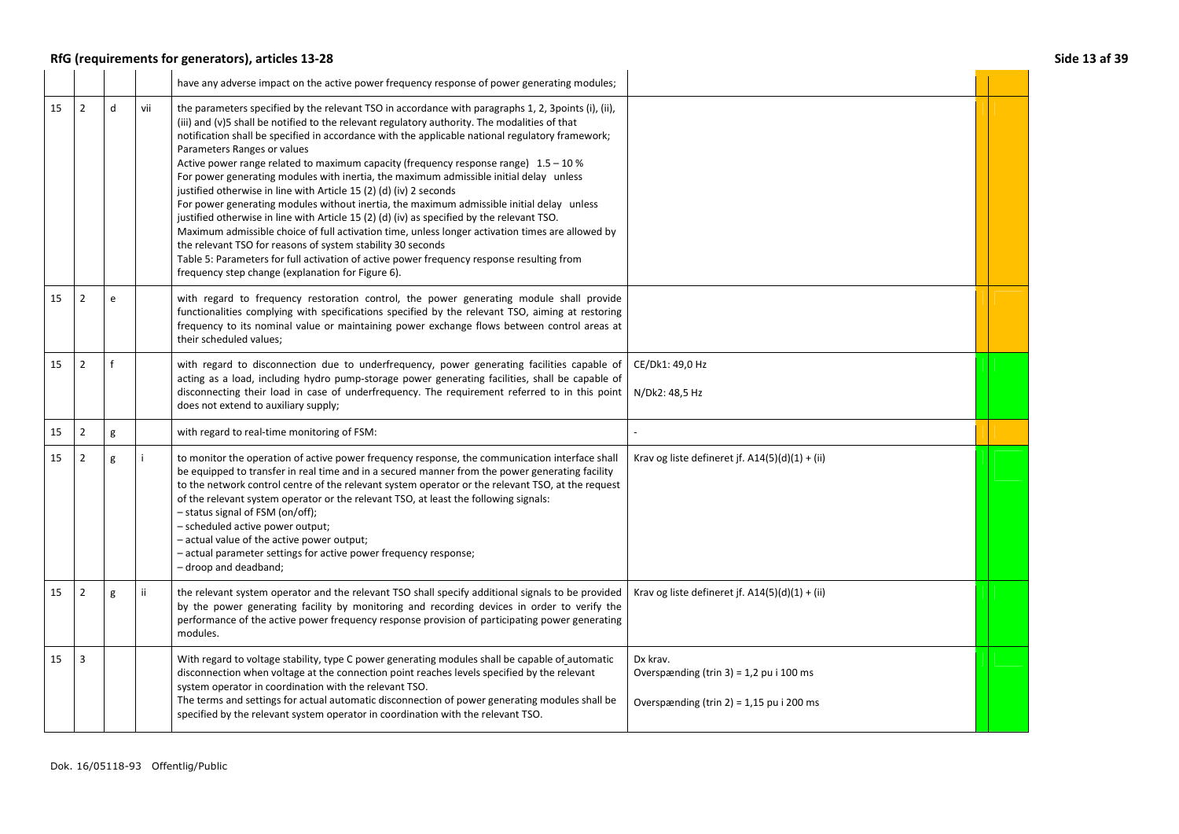## **RfG (requirements for generators), articles 13-28 Side 13 af 39**

|  | Side 13 af 39 |  |
|--|---------------|--|
|  |               |  |

|    |                |   |     | have any adverse impact on the active power frequency response of power generating modules;                                                                                                                                                                                                                                                                                                                                                                                                                                                                                                                                                                                                                                                                                                                                                                                                                                                                                                                                                                                                                        |                                                                                                   |  |
|----|----------------|---|-----|--------------------------------------------------------------------------------------------------------------------------------------------------------------------------------------------------------------------------------------------------------------------------------------------------------------------------------------------------------------------------------------------------------------------------------------------------------------------------------------------------------------------------------------------------------------------------------------------------------------------------------------------------------------------------------------------------------------------------------------------------------------------------------------------------------------------------------------------------------------------------------------------------------------------------------------------------------------------------------------------------------------------------------------------------------------------------------------------------------------------|---------------------------------------------------------------------------------------------------|--|
| 15 | $\overline{2}$ | d | vii | the parameters specified by the relevant TSO in accordance with paragraphs 1, 2, 3 points (i), (ii),<br>(iii) and (v)5 shall be notified to the relevant regulatory authority. The modalities of that<br>notification shall be specified in accordance with the applicable national regulatory framework;<br>Parameters Ranges or values<br>Active power range related to maximum capacity (frequency response range) $1.5 - 10\%$<br>For power generating modules with inertia, the maximum admissible initial delay unless<br>justified otherwise in line with Article 15 (2) (d) (iv) 2 seconds<br>For power generating modules without inertia, the maximum admissible initial delay unless<br>justified otherwise in line with Article 15 (2) (d) (iv) as specified by the relevant TSO.<br>Maximum admissible choice of full activation time, unless longer activation times are allowed by<br>the relevant TSO for reasons of system stability 30 seconds<br>Table 5: Parameters for full activation of active power frequency response resulting from<br>frequency step change (explanation for Figure 6). |                                                                                                   |  |
| 15 | $\overline{2}$ | e |     | with regard to frequency restoration control, the power generating module shall provide<br>functionalities complying with specifications specified by the relevant TSO, aiming at restoring<br>frequency to its nominal value or maintaining power exchange flows between control areas at<br>their scheduled values;                                                                                                                                                                                                                                                                                                                                                                                                                                                                                                                                                                                                                                                                                                                                                                                              |                                                                                                   |  |
| 15 | $\overline{2}$ |   |     | with regard to disconnection due to underfrequency, power generating facilities capable of<br>acting as a load, including hydro pump-storage power generating facilities, shall be capable of<br>disconnecting their load in case of underfrequency. The requirement referred to in this point<br>does not extend to auxiliary supply;                                                                                                                                                                                                                                                                                                                                                                                                                                                                                                                                                                                                                                                                                                                                                                             | CE/Dk1: 49,0 Hz<br>N/Dk2: 48,5 Hz                                                                 |  |
| 15 | $\overline{2}$ | g |     | with regard to real-time monitoring of FSM:                                                                                                                                                                                                                                                                                                                                                                                                                                                                                                                                                                                                                                                                                                                                                                                                                                                                                                                                                                                                                                                                        |                                                                                                   |  |
| 15 | $\overline{2}$ | g |     | to monitor the operation of active power frequency response, the communication interface shall<br>be equipped to transfer in real time and in a secured manner from the power generating facility<br>to the network control centre of the relevant system operator or the relevant TSO, at the request<br>of the relevant system operator or the relevant TSO, at least the following signals:<br>- status signal of FSM (on/off);<br>- scheduled active power output;<br>- actual value of the active power output;<br>- actual parameter settings for active power frequency response;<br>- droop and deadband;                                                                                                                                                                                                                                                                                                                                                                                                                                                                                                  | Krav og liste defineret jf. $A14(5)(d)(1) + (ii)$                                                 |  |
| 15 | $\overline{2}$ | g | ii. | the relevant system operator and the relevant TSO shall specify additional signals to be provided<br>by the power generating facility by monitoring and recording devices in order to verify the<br>performance of the active power frequency response provision of participating power generating<br>modules.                                                                                                                                                                                                                                                                                                                                                                                                                                                                                                                                                                                                                                                                                                                                                                                                     | Krav og liste defineret jf. A14(5)(d)(1) + (ii)                                                   |  |
| 15 | 3              |   |     | With regard to voltage stability, type C power generating modules shall be capable of automatic<br>disconnection when voltage at the connection point reaches levels specified by the relevant<br>system operator in coordination with the relevant TSO.<br>The terms and settings for actual automatic disconnection of power generating modules shall be<br>specified by the relevant system operator in coordination with the relevant TSO.                                                                                                                                                                                                                                                                                                                                                                                                                                                                                                                                                                                                                                                                     | Dx krav.<br>Overspænding (trin 3) = 1,2 pu i 100 ms<br>Overspænding (trin 2) = $1,15$ pu i 200 ms |  |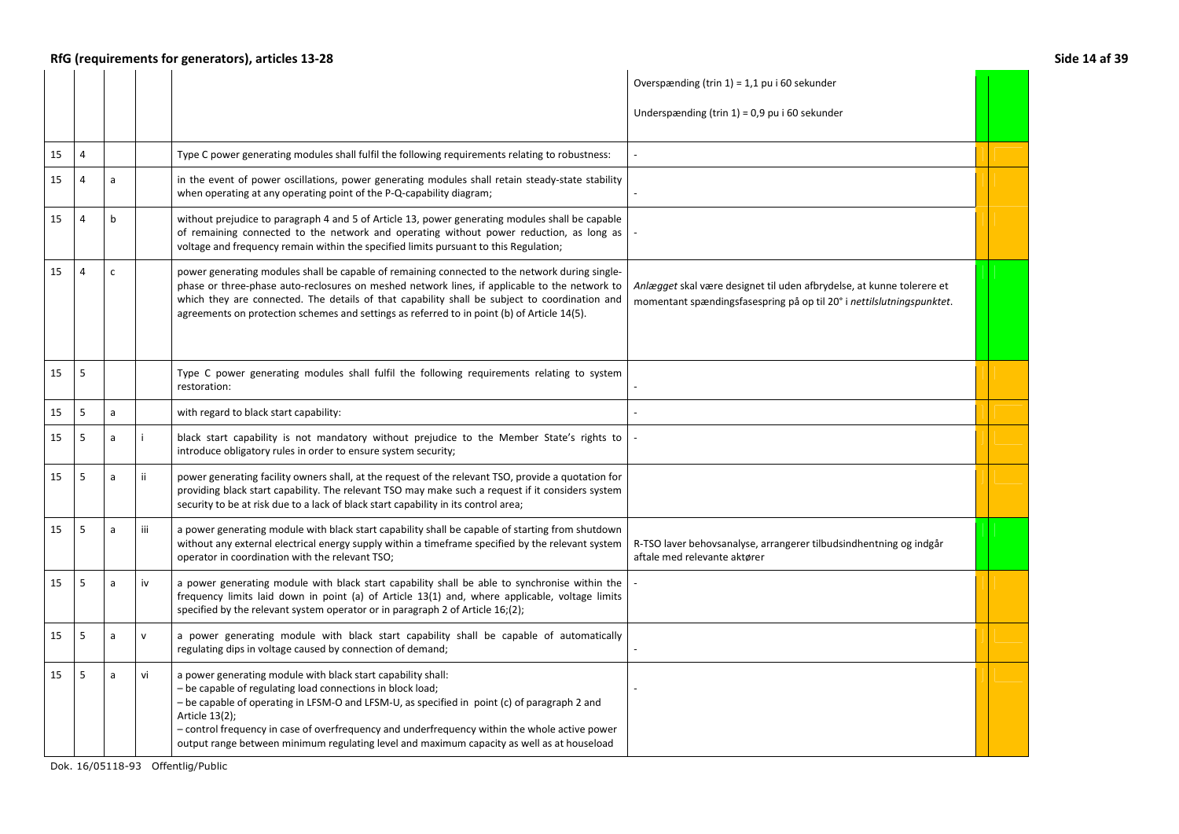|    | RfG (requirements for generators), articles 13-28<br>Side 14 af 39 |              |                        |                                                                                                                                                                                                                                                                                                                                                                                                                                             |                                                                                                                                                |  |  |
|----|--------------------------------------------------------------------|--------------|------------------------|---------------------------------------------------------------------------------------------------------------------------------------------------------------------------------------------------------------------------------------------------------------------------------------------------------------------------------------------------------------------------------------------------------------------------------------------|------------------------------------------------------------------------------------------------------------------------------------------------|--|--|
|    |                                                                    |              |                        |                                                                                                                                                                                                                                                                                                                                                                                                                                             | Overspænding (trin $1$ ) = 1,1 pu i 60 sekunder<br>Underspænding (trin $1$ ) = 0,9 pu i 60 sekunder                                            |  |  |
| 15 | 4                                                                  |              |                        | Type C power generating modules shall fulfil the following requirements relating to robustness:                                                                                                                                                                                                                                                                                                                                             |                                                                                                                                                |  |  |
| 15 | 4                                                                  | a            |                        | in the event of power oscillations, power generating modules shall retain steady-state stability<br>when operating at any operating point of the P-Q-capability diagram;                                                                                                                                                                                                                                                                    |                                                                                                                                                |  |  |
| 15 |                                                                    | $\mathsf{b}$ |                        | without prejudice to paragraph 4 and 5 of Article 13, power generating modules shall be capable<br>of remaining connected to the network and operating without power reduction, as long as<br>voltage and frequency remain within the specified limits pursuant to this Regulation;                                                                                                                                                         |                                                                                                                                                |  |  |
| 15 | $\overline{4}$                                                     | $\mathsf{C}$ |                        | power generating modules shall be capable of remaining connected to the network during single-<br>phase or three-phase auto-reclosures on meshed network lines, if applicable to the network to<br>which they are connected. The details of that capability shall be subject to coordination and<br>agreements on protection schemes and settings as referred to in point (b) of Article 14(5).                                             | Anlægget skal være designet til uden afbrydelse, at kunne tolerere et<br>momentant spændingsfasespring på op til 20° i nettilslutningspunktet. |  |  |
| 15 | 5                                                                  |              |                        | Type C power generating modules shall fulfil the following requirements relating to system<br>restoration:                                                                                                                                                                                                                                                                                                                                  |                                                                                                                                                |  |  |
| 15 | 5                                                                  | $\mathsf{a}$ |                        | with regard to black start capability:                                                                                                                                                                                                                                                                                                                                                                                                      |                                                                                                                                                |  |  |
| 15 | 5                                                                  | a            | j.                     | black start capability is not mandatory without prejudice to the Member State's rights to<br>introduce obligatory rules in order to ensure system security;                                                                                                                                                                                                                                                                                 |                                                                                                                                                |  |  |
| 15 | 5                                                                  | $\mathsf{a}$ | ii.                    | power generating facility owners shall, at the request of the relevant TSO, provide a quotation for<br>providing black start capability. The relevant TSO may make such a request if it considers system<br>security to be at risk due to a lack of black start capability in its control area;                                                                                                                                             |                                                                                                                                                |  |  |
| 15 | 5                                                                  | $\mathsf{a}$ | iii                    | a power generating module with black start capability shall be capable of starting from shutdown<br>without any external electrical energy supply within a timeframe specified by the relevant system<br>operator in coordination with the relevant TSO;                                                                                                                                                                                    | R-TSO laver behovsanalyse, arrangerer tilbudsindhentning og indgår<br>aftale med relevante aktører                                             |  |  |
| 15 | 5                                                                  | a            | $\mathsf{i}\mathsf{v}$ | a power generating module with black start capability shall be able to synchronise within the<br>frequency limits laid down in point (a) of Article 13(1) and, where applicable, voltage limits<br>specified by the relevant system operator or in paragraph 2 of Article 16;(2);                                                                                                                                                           |                                                                                                                                                |  |  |
| 15 | 5                                                                  | a            | $\mathbf{v}$           | a power generating module with black start capability shall be capable of automatically<br>regulating dips in voltage caused by connection of demand;                                                                                                                                                                                                                                                                                       |                                                                                                                                                |  |  |
| 15 | 5                                                                  | $\mathsf{a}$ | vi                     | a power generating module with black start capability shall:<br>- be capable of regulating load connections in block load;<br>- be capable of operating in LFSM-O and LFSM-U, as specified in point (c) of paragraph 2 and<br>Article 13(2);<br>- control frequency in case of overfrequency and underfrequency within the whole active power<br>output range between minimum regulating level and maximum capacity as well as at houseload |                                                                                                                                                |  |  |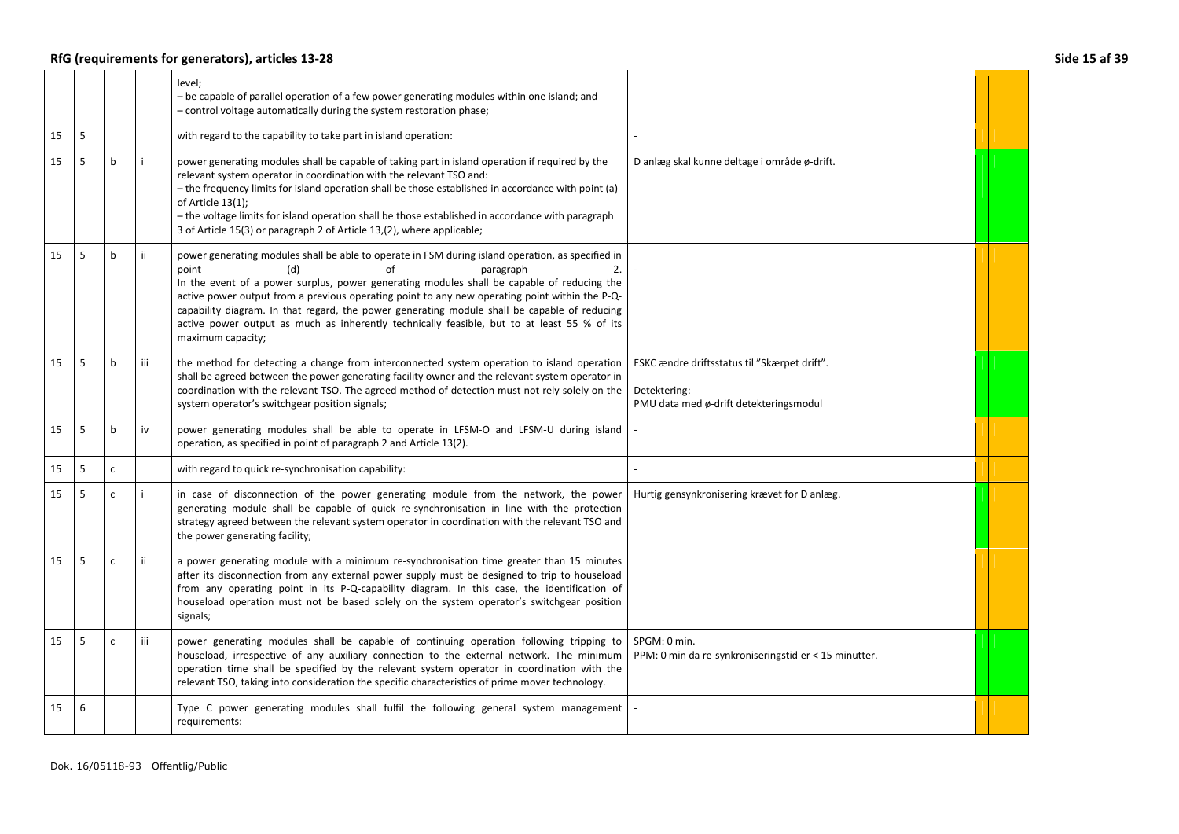## **RfG (requirements for generators), articles 13-28 Side 15 af 39**

|    |   |              |     | level:<br>- be capable of parallel operation of a few power generating modules within one island; and<br>- control voltage automatically during the system restoration phase;                                                                                                                                                                                                                                                                                                                                                                                  |                                                                                                        |  |
|----|---|--------------|-----|----------------------------------------------------------------------------------------------------------------------------------------------------------------------------------------------------------------------------------------------------------------------------------------------------------------------------------------------------------------------------------------------------------------------------------------------------------------------------------------------------------------------------------------------------------------|--------------------------------------------------------------------------------------------------------|--|
| 15 | 5 |              |     | with regard to the capability to take part in island operation:                                                                                                                                                                                                                                                                                                                                                                                                                                                                                                |                                                                                                        |  |
| 15 | 5 | b            |     | power generating modules shall be capable of taking part in island operation if required by the<br>relevant system operator in coordination with the relevant TSO and:<br>- the frequency limits for island operation shall be those established in accordance with point (a)<br>of Article $13(1)$ ;<br>- the voltage limits for island operation shall be those established in accordance with paragraph<br>3 of Article 15(3) or paragraph 2 of Article 13,(2), where applicable;                                                                           | D anlæg skal kunne deltage i område ø-drift.                                                           |  |
| 15 | 5 | b            | ii. | power generating modules shall be able to operate in FSM during island operation, as specified in<br>οf<br>(d)<br>paragraph<br>2.<br>point<br>In the event of a power surplus, power generating modules shall be capable of reducing the<br>active power output from a previous operating point to any new operating point within the P-Q-<br>capability diagram. In that regard, the power generating module shall be capable of reducing<br>active power output as much as inherently technically feasible, but to at least 55 % of its<br>maximum capacity; |                                                                                                        |  |
| 15 | 5 | b            | iii | the method for detecting a change from interconnected system operation to island operation<br>shall be agreed between the power generating facility owner and the relevant system operator in<br>coordination with the relevant TSO. The agreed method of detection must not rely solely on the<br>system operator's switchgear position signals;                                                                                                                                                                                                              | ESKC ændre driftsstatus til "Skærpet drift".<br>Detektering:<br>PMU data med ø-drift detekteringsmodul |  |
| 15 | 5 | b            | iv  | power generating modules shall be able to operate in LFSM-O and LFSM-U during island<br>operation, as specified in point of paragraph 2 and Article 13(2).                                                                                                                                                                                                                                                                                                                                                                                                     |                                                                                                        |  |
| 15 | 5 | $\mathsf{C}$ |     | with regard to quick re-synchronisation capability:                                                                                                                                                                                                                                                                                                                                                                                                                                                                                                            |                                                                                                        |  |
| 15 | 5 | $\mathsf{C}$ |     | in case of disconnection of the power generating module from the network, the power<br>generating module shall be capable of quick re-synchronisation in line with the protection<br>strategy agreed between the relevant system operator in coordination with the relevant TSO and<br>the power generating facility;                                                                                                                                                                                                                                          | Hurtig gensynkronisering krævet for D anlæg.                                                           |  |
| 15 | 5 | $\mathsf{c}$ | ii. | a power generating module with a minimum re-synchronisation time greater than 15 minutes<br>after its disconnection from any external power supply must be designed to trip to houseload<br>from any operating point in its P-Q-capability diagram. In this case, the identification of<br>houseload operation must not be based solely on the system operator's switchgear position<br>signals;                                                                                                                                                               |                                                                                                        |  |
| 15 | 5 | $\mathsf{C}$ | iii | power generating modules shall be capable of continuing operation following tripping to<br>houseload, irrespective of any auxiliary connection to the external network. The minimum<br>operation time shall be specified by the relevant system operator in coordination with the<br>relevant TSO, taking into consideration the specific characteristics of prime mover technology.                                                                                                                                                                           | SPGM: 0 min.<br>PPM: 0 min da re-synkroniseringstid er < 15 minutter.                                  |  |
| 15 | 6 |              |     | Type C power generating modules shall fulfil the following general system management<br>requirements:                                                                                                                                                                                                                                                                                                                                                                                                                                                          |                                                                                                        |  |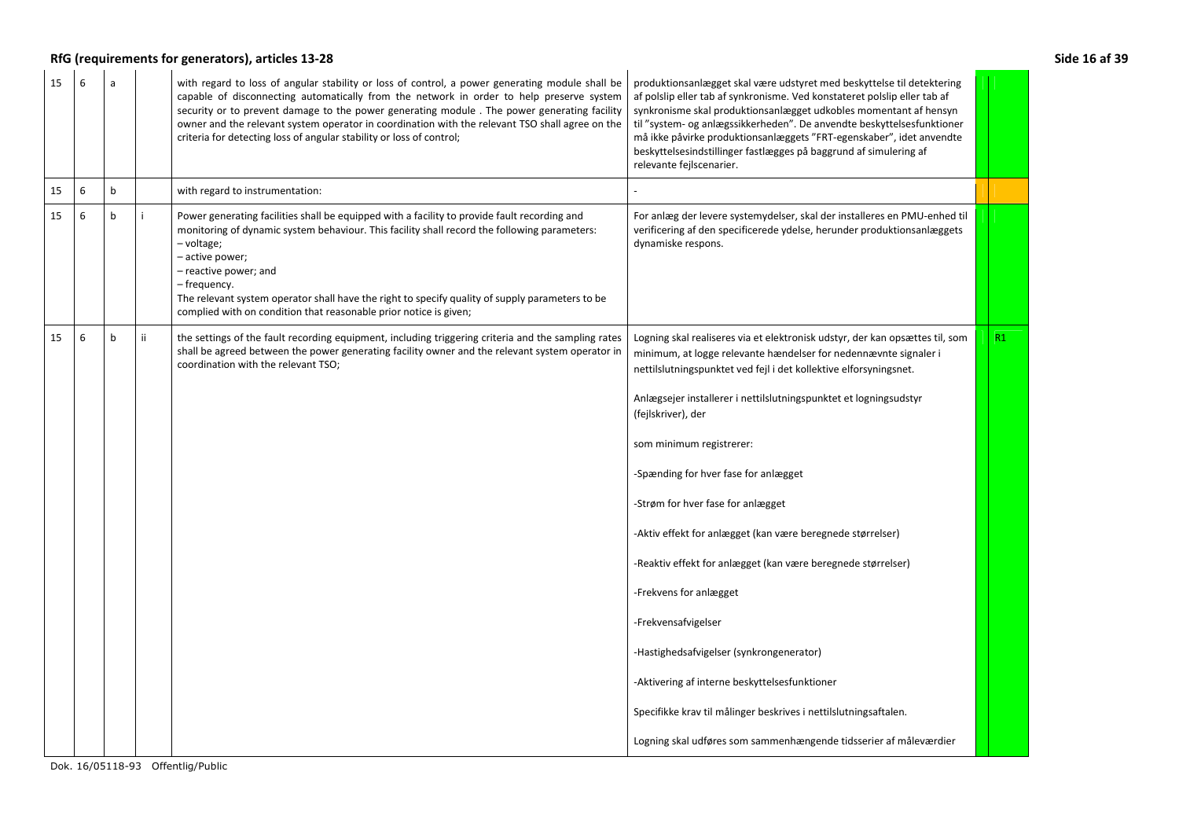| RfG (requirements for generators), articles 13-28<br>Side 16 af 39 |  |             |     |                                                                                                                                                                                                                                                                                                                                                                                                                                                                       |                                                                                                                                                                                                                                                                                                                                                                                                                                                                                                                                                                                                                                                                                                                                                                                                                                                |    |  |
|--------------------------------------------------------------------|--|-------------|-----|-----------------------------------------------------------------------------------------------------------------------------------------------------------------------------------------------------------------------------------------------------------------------------------------------------------------------------------------------------------------------------------------------------------------------------------------------------------------------|------------------------------------------------------------------------------------------------------------------------------------------------------------------------------------------------------------------------------------------------------------------------------------------------------------------------------------------------------------------------------------------------------------------------------------------------------------------------------------------------------------------------------------------------------------------------------------------------------------------------------------------------------------------------------------------------------------------------------------------------------------------------------------------------------------------------------------------------|----|--|
| 15<br>6                                                            |  |             |     | with regard to loss of angular stability or loss of control, a power generating module shall be<br>capable of disconnecting automatically from the network in order to help preserve system<br>security or to prevent damage to the power generating module. The power generating facility<br>owner and the relevant system operator in coordination with the relevant TSO shall agree on the<br>criteria for detecting loss of angular stability or loss of control; | produktionsanlægget skal være udstyret med beskyttelse til detektering<br>af polslip eller tab af synkronisme. Ved konstateret polslip eller tab af<br>synkronisme skal produktionsanlægget udkobles momentant af hensyn<br>til "system- og anlægssikkerheden". De anvendte beskyttelsesfunktioner<br>må ikke påvirke produktionsanlæggets "FRT-egenskaber", idet anvendte<br>beskyttelsesindstillinger fastlægges på baggrund af simulering af<br>relevante fejlscenarier.                                                                                                                                                                                                                                                                                                                                                                    |    |  |
| 15<br>6                                                            |  | $\mathsf b$ |     | with regard to instrumentation:                                                                                                                                                                                                                                                                                                                                                                                                                                       |                                                                                                                                                                                                                                                                                                                                                                                                                                                                                                                                                                                                                                                                                                                                                                                                                                                |    |  |
| 15<br>6                                                            |  | b           |     | Power generating facilities shall be equipped with a facility to provide fault recording and<br>monitoring of dynamic system behaviour. This facility shall record the following parameters:<br>- voltage;<br>- active power;<br>- reactive power; and<br>– frequency.<br>The relevant system operator shall have the right to specify quality of supply parameters to be<br>complied with on condition that reasonable prior notice is given;                        | For anlæg der levere systemydelser, skal der installeres en PMU-enhed til<br>verificering af den specificerede ydelse, herunder produktionsanlæggets<br>dynamiske respons.                                                                                                                                                                                                                                                                                                                                                                                                                                                                                                                                                                                                                                                                     |    |  |
| 15<br>6                                                            |  | b           | ii. | the settings of the fault recording equipment, including triggering criteria and the sampling rates<br>shall be agreed between the power generating facility owner and the relevant system operator in<br>coordination with the relevant TSO;                                                                                                                                                                                                                         | Logning skal realiseres via et elektronisk udstyr, der kan opsættes til, som<br>minimum, at logge relevante hændelser for nedennævnte signaler i<br>nettilslutningspunktet ved fejl i det kollektive elforsyningsnet.<br>Anlægsejer installerer i nettilslutningspunktet et logningsudstyr<br>(fejlskriver), der<br>som minimum registrerer:<br>-Spænding for hver fase for anlægget<br>-Strøm for hver fase for anlægget<br>-Aktiv effekt for anlægget (kan være beregnede størrelser)<br>-Reaktiv effekt for anlægget (kan være beregnede størrelser)<br>-Frekvens for anlægget<br>-Frekvensafvigelser<br>-Hastighedsafvigelser (synkrongenerator)<br>-Aktivering af interne beskyttelsesfunktioner<br>Specifikke krav til målinger beskrives i nettilslutningsaftalen.<br>Logning skal udføres som sammenhængende tidsserier af måleværdier | R1 |  |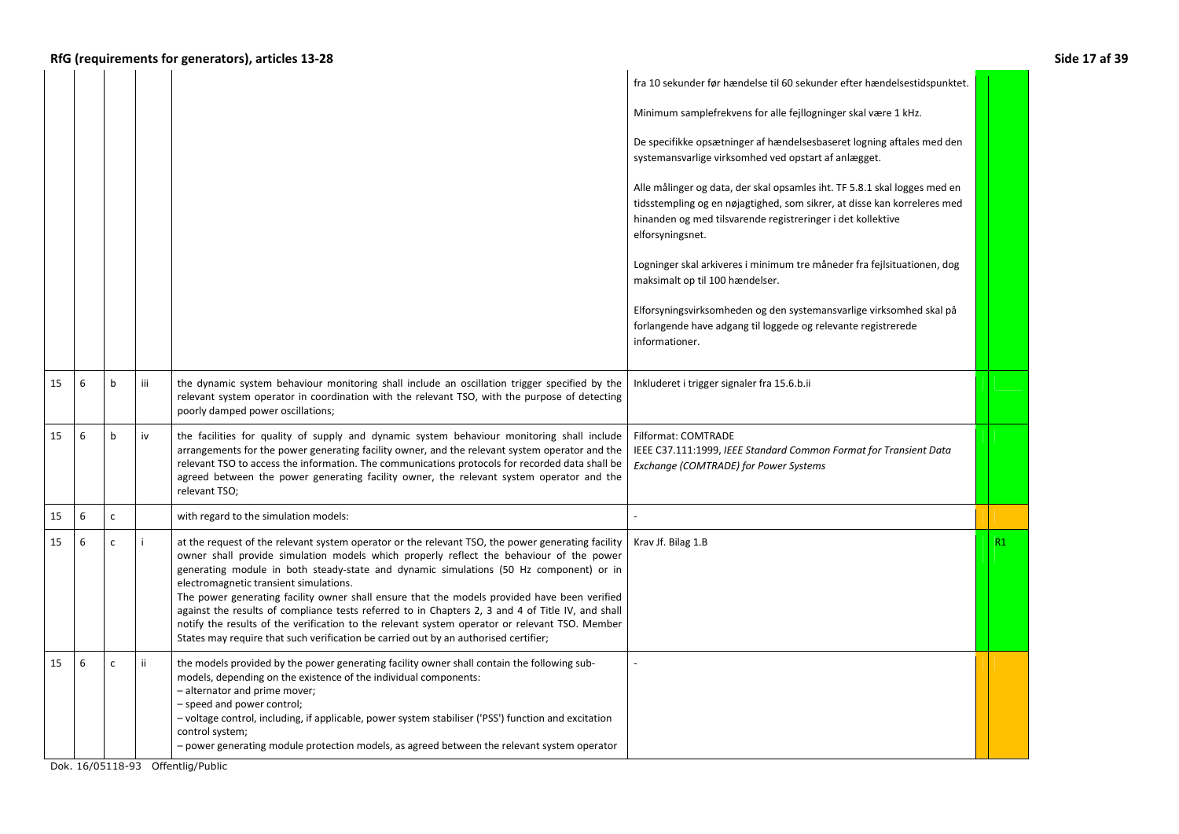|    |   |              |     |                                                                                                                                                                                                                                                                                                                                                                                                                                                                                                                                                                                                                                                                                                                                 | fra 10 sekunder før hændelse til 60 sekunder efter hændelsestidspunktet.                                                                                                                                                                 |    |
|----|---|--------------|-----|---------------------------------------------------------------------------------------------------------------------------------------------------------------------------------------------------------------------------------------------------------------------------------------------------------------------------------------------------------------------------------------------------------------------------------------------------------------------------------------------------------------------------------------------------------------------------------------------------------------------------------------------------------------------------------------------------------------------------------|------------------------------------------------------------------------------------------------------------------------------------------------------------------------------------------------------------------------------------------|----|
|    |   |              |     |                                                                                                                                                                                                                                                                                                                                                                                                                                                                                                                                                                                                                                                                                                                                 | Minimum samplefrekvens for alle fejllogninger skal være 1 kHz.                                                                                                                                                                           |    |
|    |   |              |     |                                                                                                                                                                                                                                                                                                                                                                                                                                                                                                                                                                                                                                                                                                                                 | De specifikke opsætninger af hændelsesbaseret logning aftales med den<br>systemansvarlige virksomhed ved opstart af anlægget.                                                                                                            |    |
|    |   |              |     |                                                                                                                                                                                                                                                                                                                                                                                                                                                                                                                                                                                                                                                                                                                                 | Alle målinger og data, der skal opsamles iht. TF 5.8.1 skal logges med en<br>tidsstempling og en nøjagtighed, som sikrer, at disse kan korreleres med<br>hinanden og med tilsvarende registreringer i det kollektive<br>elforsyningsnet. |    |
|    |   |              |     |                                                                                                                                                                                                                                                                                                                                                                                                                                                                                                                                                                                                                                                                                                                                 | Logninger skal arkiveres i minimum tre måneder fra fejlsituationen, dog<br>maksimalt op til 100 hændelser.                                                                                                                               |    |
|    |   |              |     |                                                                                                                                                                                                                                                                                                                                                                                                                                                                                                                                                                                                                                                                                                                                 | Elforsyningsvirksomheden og den systemansvarlige virksomhed skal på<br>forlangende have adgang til loggede og relevante registrerede<br>informationer.                                                                                   |    |
| 15 | 6 | $\mathsf b$  | iii | the dynamic system behaviour monitoring shall include an oscillation trigger specified by the<br>relevant system operator in coordination with the relevant TSO, with the purpose of detecting<br>poorly damped power oscillations;                                                                                                                                                                                                                                                                                                                                                                                                                                                                                             | Inkluderet i trigger signaler fra 15.6.b.ii                                                                                                                                                                                              |    |
| 15 | 6 | $\mathbf b$  | iv  | the facilities for quality of supply and dynamic system behaviour monitoring shall include<br>arrangements for the power generating facility owner, and the relevant system operator and the<br>relevant TSO to access the information. The communications protocols for recorded data shall be<br>agreed between the power generating facility owner, the relevant system operator and the<br>relevant TSO;                                                                                                                                                                                                                                                                                                                    | Filformat: COMTRADE<br>IEEE C37.111:1999, IEEE Standard Common Format for Transient Data<br>Exchange (COMTRADE) for Power Systems                                                                                                        |    |
| 15 | 6 | $\mathsf{C}$ |     | with regard to the simulation models:                                                                                                                                                                                                                                                                                                                                                                                                                                                                                                                                                                                                                                                                                           |                                                                                                                                                                                                                                          |    |
| 15 | 6 | $\mathsf{C}$ |     | at the request of the relevant system operator or the relevant TSO, the power generating facility<br>owner shall provide simulation models which properly reflect the behaviour of the power<br>generating module in both steady-state and dynamic simulations (50 Hz component) or in<br>electromagnetic transient simulations.<br>The power generating facility owner shall ensure that the models provided have been verified<br>against the results of compliance tests referred to in Chapters 2, 3 and 4 of Title IV, and shall<br>notify the results of the verification to the relevant system operator or relevant TSO. Member<br>States may require that such verification be carried out by an authorised certifier; | Krav Jf. Bilag 1.B                                                                                                                                                                                                                       | R1 |
| 15 | 6 | $\mathsf{C}$ | ii. | the models provided by the power generating facility owner shall contain the following sub-<br>models, depending on the existence of the individual components:<br>- alternator and prime mover;<br>- speed and power control;<br>- voltage control, including, if applicable, power system stabiliser ('PSS') function and excitation<br>control system;<br>- power generating module protection models, as agreed between the relevant system operator                                                                                                                                                                                                                                                                        |                                                                                                                                                                                                                                          |    |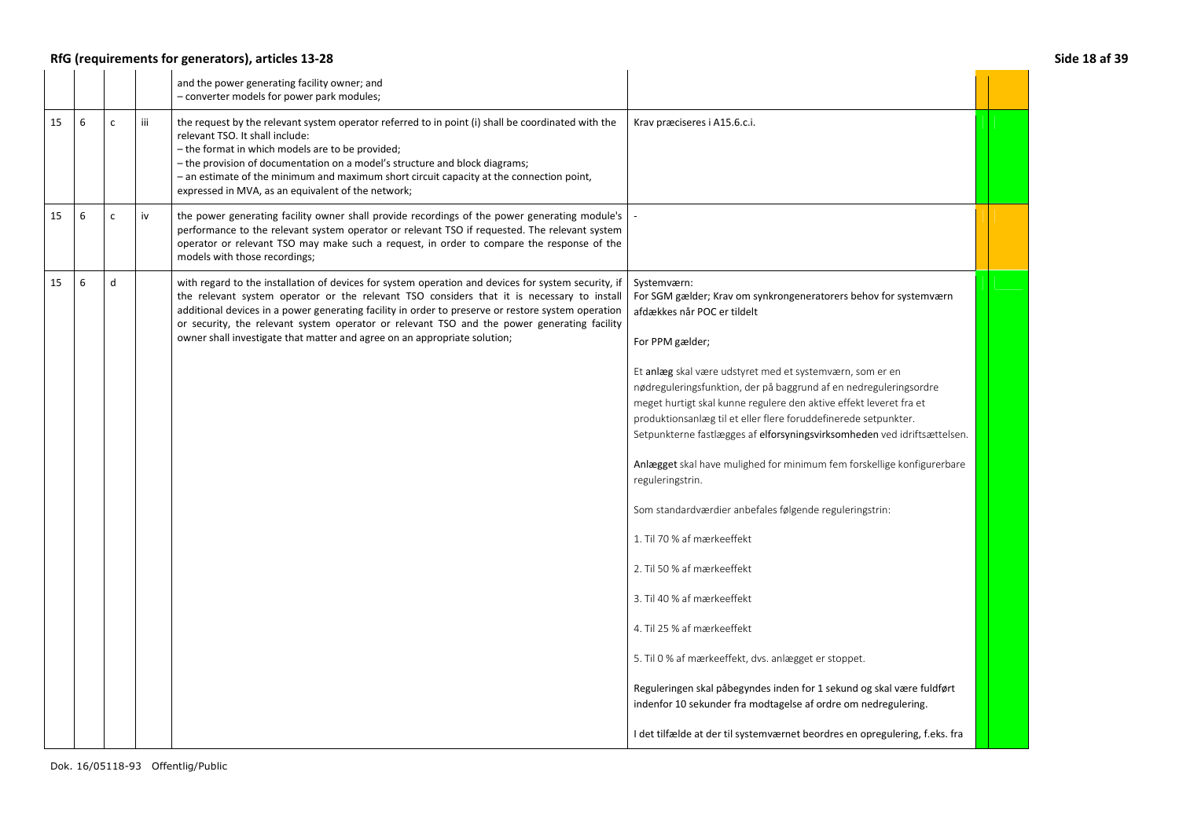## **RfG (requirements for generators), articles 13-28 Side 18 af 39**

|    |   |              |     | and the power generating facility owner; and<br>- converter models for power park modules;                                                                                                                                                                                                                                                                                                                                                                                          |                                                                                                                                                                                                                                                                                                                                                                                                                                                                                                                                                                                                                                                                                                                                                                                                                                                                                                                                                                                                                                                            |  |
|----|---|--------------|-----|-------------------------------------------------------------------------------------------------------------------------------------------------------------------------------------------------------------------------------------------------------------------------------------------------------------------------------------------------------------------------------------------------------------------------------------------------------------------------------------|------------------------------------------------------------------------------------------------------------------------------------------------------------------------------------------------------------------------------------------------------------------------------------------------------------------------------------------------------------------------------------------------------------------------------------------------------------------------------------------------------------------------------------------------------------------------------------------------------------------------------------------------------------------------------------------------------------------------------------------------------------------------------------------------------------------------------------------------------------------------------------------------------------------------------------------------------------------------------------------------------------------------------------------------------------|--|
| 15 | 6 | $\mathsf{C}$ | iii | the request by the relevant system operator referred to in point (i) shall be coordinated with the<br>relevant TSO. It shall include:<br>- the format in which models are to be provided;<br>- the provision of documentation on a model's structure and block diagrams;<br>- an estimate of the minimum and maximum short circuit capacity at the connection point,<br>expressed in MVA, as an equivalent of the network;                                                          | Krav præciseres i A15.6.c.i.                                                                                                                                                                                                                                                                                                                                                                                                                                                                                                                                                                                                                                                                                                                                                                                                                                                                                                                                                                                                                               |  |
| 15 | 6 | C.           | iv  | the power generating facility owner shall provide recordings of the power generating module's<br>performance to the relevant system operator or relevant TSO if requested. The relevant system<br>operator or relevant TSO may make such a request, in order to compare the response of the<br>models with those recordings;                                                                                                                                                        |                                                                                                                                                                                                                                                                                                                                                                                                                                                                                                                                                                                                                                                                                                                                                                                                                                                                                                                                                                                                                                                            |  |
| 15 | 6 | d            |     | with regard to the installation of devices for system operation and devices for system security, if<br>the relevant system operator or the relevant TSO considers that it is necessary to install<br>additional devices in a power generating facility in order to preserve or restore system operation<br>or security, the relevant system operator or relevant TSO and the power generating facility<br>owner shall investigate that matter and agree on an appropriate solution; | Systemværn:<br>For SGM gælder; Krav om synkrongeneratorers behov for systemværn<br>afdækkes når POC er tildelt<br>For PPM gælder;<br>Et anlæg skal være udstyret med et systemværn, som er en<br>nødreguleringsfunktion, der på baggrund af en nedreguleringsordre<br>meget hurtigt skal kunne regulere den aktive effekt leveret fra et<br>produktionsanlæg til et eller flere foruddefinerede setpunkter.<br>Setpunkterne fastlægges af elforsyningsvirksomheden ved idriftsættelsen.<br>Anlægget skal have mulighed for minimum fem forskellige konfigurerbare<br>reguleringstrin.<br>Som standardværdier anbefales følgende reguleringstrin:<br>1. Til 70 % af mærkeeffekt<br>2. Til 50 % af mærkeeffekt<br>3. Til 40 % af mærkeeffekt<br>4. Til 25 % af mærkeeffekt<br>5. Til 0 % af mærkeeffekt, dvs. anlægget er stoppet.<br>Reguleringen skal påbegyndes inden for 1 sekund og skal være fuldført<br>indenfor 10 sekunder fra modtagelse af ordre om nedregulering.<br>I det tilfælde at der til systemværnet beordres en opregulering, f.eks. fra |  |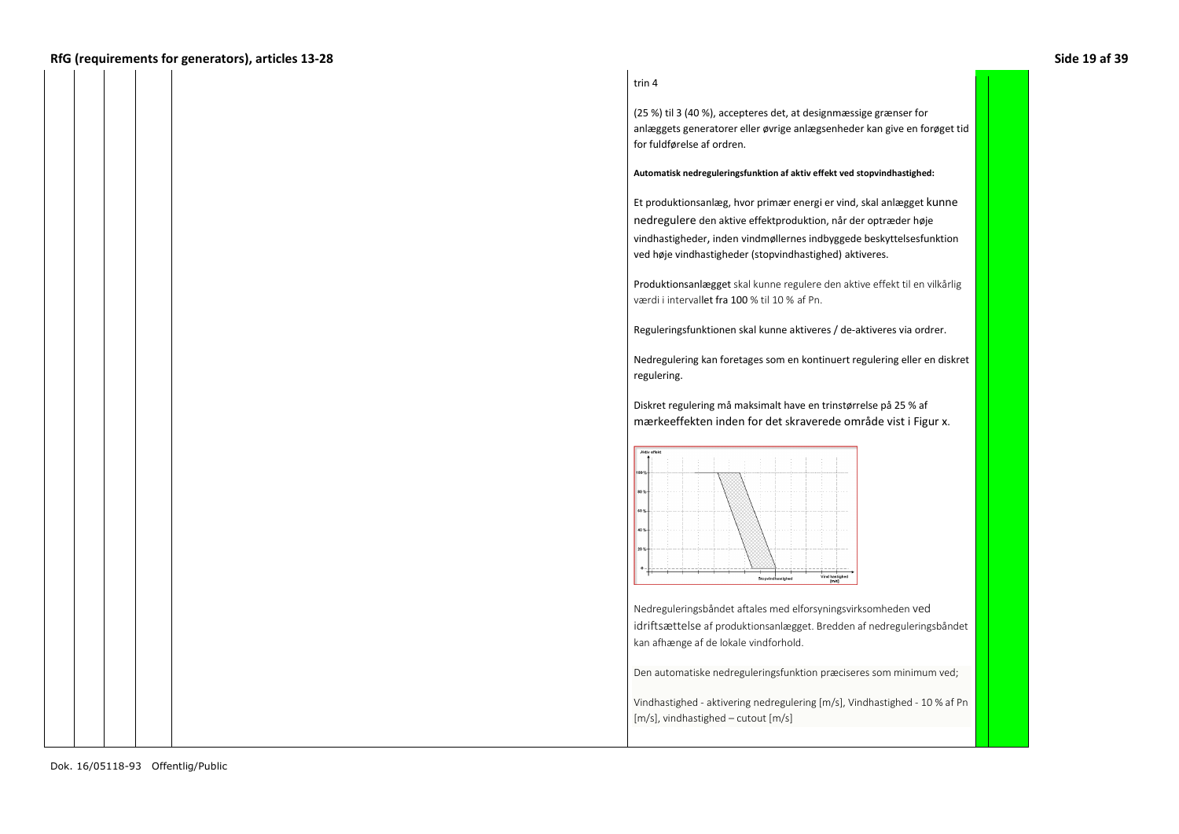### **RfG (requirements for generators), articles 13-28 Side 19 af 39**

#### trin 4

(25 %) til 3 (40 %), accepteres det, at designmæssige grænser for anlæggets generatorer eller øvrige anlægsenheder kan give en forøget tid for fuldførelse af ordren.

#### **Automatisk nedreguleringsfunktion af aktiv effekt ved stopvindhastighed:**

Et produktionsanlæg, hvor primær energi er vind, skal anlægget kunne nedregulere den aktive effektproduktion, når der optræder høje vindhastigheder, inden vindmøllernes indbyggede beskyttelsesfunktion ved høje vindhastigheder (stopvindhastighed) aktiveres.

Produktionsanlægget skal kunne regulere den aktive effekt til en vilkårlig værdi i intervallet fra 100 % til 10 % af Pn.

Reguleringsfunktionen skal kunne aktiveres / de-aktiveres via ordrer.

Nedregulering kan foretages som en kontinuert regulering eller en diskret regulering.

Diskret regulering må maksimalt have en trinstørrelse på 25 % af mærkeeffekten inden for det skraverede område vist i Figur x.



Nedreguleringsbåndet aftales med elforsyningsvirksomheden ved idriftsættelse af produktionsanlægget. Bredden af nedreguleringsbåndet kan afhænge af de lokale vindforhold.

Den automatiske nedreguleringsfunktion præciseres som minimum ved;

Vindhastighed - aktivering nedregulering [m/s], Vindhastighed - 10 % af Pn [m/s], vindhastighed – cutout [m/s]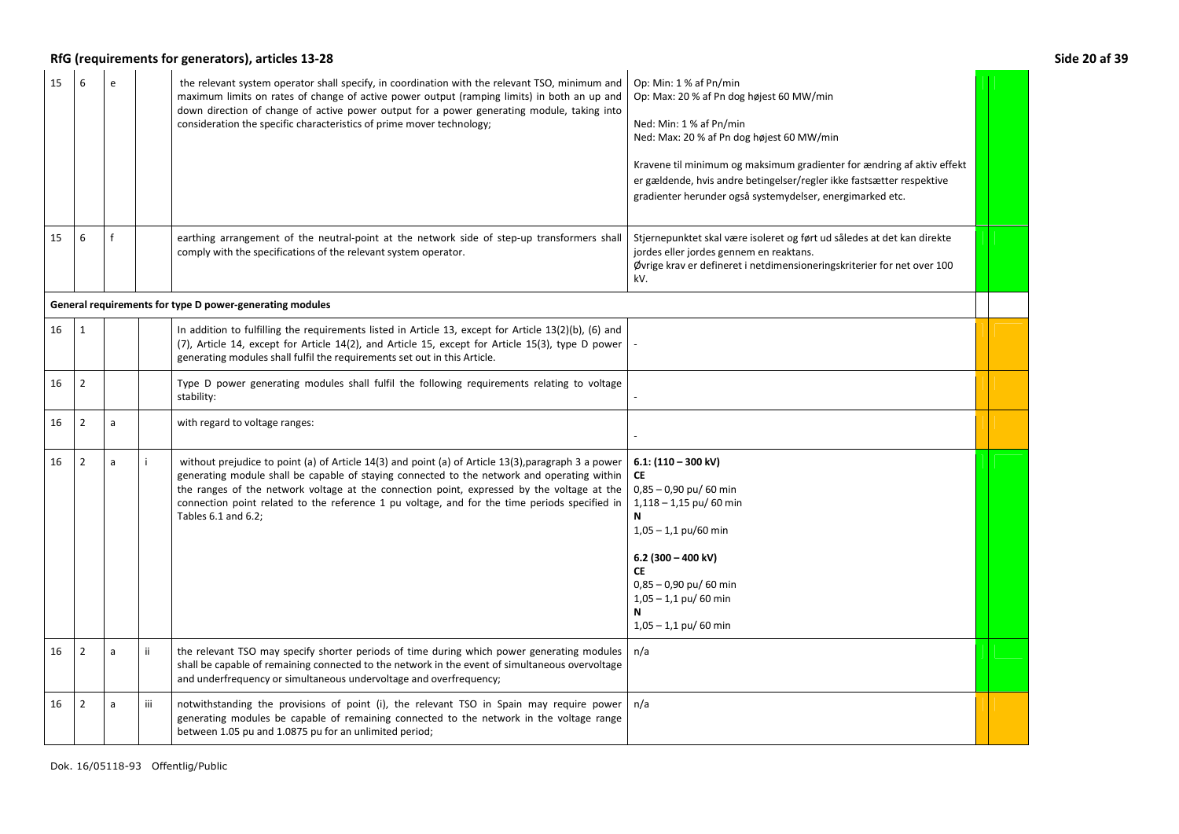# RfG (requirements for generators), articles 13-28 **Side 20 af 39** Side 20 af 39

| 15 | 6              | $\epsilon$ |     | the relevant system operator shall specify, in coordination with the relevant TSO, minimum and<br>maximum limits on rates of change of active power output (ramping limits) in both an up and<br>down direction of change of active power output for a power generating module, taking into<br>consideration the specific characteristics of prime mover technology;                                                     | Op: Min: 1 % af Pn/min<br>Op: Max: 20 % af Pn dog højest 60 MW/min<br>Ned: Min: 1 % af Pn/min<br>Ned: Max: 20 % af Pn dog højest 60 MW/min<br>Kravene til minimum og maksimum gradienter for ændring af aktiv effekt<br>er gældende, hvis andre betingelser/regler ikke fastsætter respektive<br>gradienter herunder også systemydelser, energimarked etc. |  |
|----|----------------|------------|-----|--------------------------------------------------------------------------------------------------------------------------------------------------------------------------------------------------------------------------------------------------------------------------------------------------------------------------------------------------------------------------------------------------------------------------|------------------------------------------------------------------------------------------------------------------------------------------------------------------------------------------------------------------------------------------------------------------------------------------------------------------------------------------------------------|--|
| 15 | 6              |            |     | earthing arrangement of the neutral-point at the network side of step-up transformers shall<br>comply with the specifications of the relevant system operator.                                                                                                                                                                                                                                                           | Stjernepunktet skal være isoleret og ført ud således at det kan direkte<br>jordes eller jordes gennem en reaktans.<br>Øvrige krav er defineret i netdimensioneringskriterier for net over 100<br>kV.                                                                                                                                                       |  |
|    |                |            |     | General requirements for type D power-generating modules                                                                                                                                                                                                                                                                                                                                                                 |                                                                                                                                                                                                                                                                                                                                                            |  |
| 16 | $\mathbf{1}$   |            |     | In addition to fulfilling the requirements listed in Article 13, except for Article $13(2)(b)$ , (6) and<br>(7), Article 14, except for Article 14(2), and Article 15, except for Article 15(3), type D power<br>generating modules shall fulfil the requirements set out in this Article.                                                                                                                               |                                                                                                                                                                                                                                                                                                                                                            |  |
| 16 | $\overline{2}$ |            |     | Type D power generating modules shall fulfil the following requirements relating to voltage<br>stability:                                                                                                                                                                                                                                                                                                                |                                                                                                                                                                                                                                                                                                                                                            |  |
| 16 | $\overline{2}$ | a          |     | with regard to voltage ranges:                                                                                                                                                                                                                                                                                                                                                                                           |                                                                                                                                                                                                                                                                                                                                                            |  |
| 16 | $\overline{2}$ | a          |     | without prejudice to point (a) of Article 14(3) and point (a) of Article 13(3), paragraph 3 a power<br>generating module shall be capable of staying connected to the network and operating within<br>the ranges of the network voltage at the connection point, expressed by the voltage at the<br>connection point related to the reference 1 pu voltage, and for the time periods specified in<br>Tables 6.1 and 6.2; | 6.1: $(110 - 300 \text{ kV})$<br>CE<br>$0.85 - 0.90$ pu/ 60 min<br>$1,118 - 1,15$ pu/ 60 min<br>N<br>$1,05 - 1,1$ pu/60 min<br>6.2 (300 - 400 kV)<br><b>CE</b><br>$0,85 - 0,90$ pu/ 60 min<br>$1,05 - 1,1$ pu/ 60 min<br>N<br>$1,05 - 1,1$ pu/ 60 min                                                                                                      |  |
| 16 | $\overline{2}$ | a          | ii. | the relevant TSO may specify shorter periods of time during which power generating modules<br>shall be capable of remaining connected to the network in the event of simultaneous overvoltage<br>and underfrequency or simultaneous undervoltage and overfrequency;                                                                                                                                                      | n/a                                                                                                                                                                                                                                                                                                                                                        |  |
| 16 | $\overline{2}$ | a          | iii | notwithstanding the provisions of point (i), the relevant TSO in Spain may require power<br>generating modules be capable of remaining connected to the network in the voltage range<br>between 1.05 pu and 1.0875 pu for an unlimited period;                                                                                                                                                                           | n/a                                                                                                                                                                                                                                                                                                                                                        |  |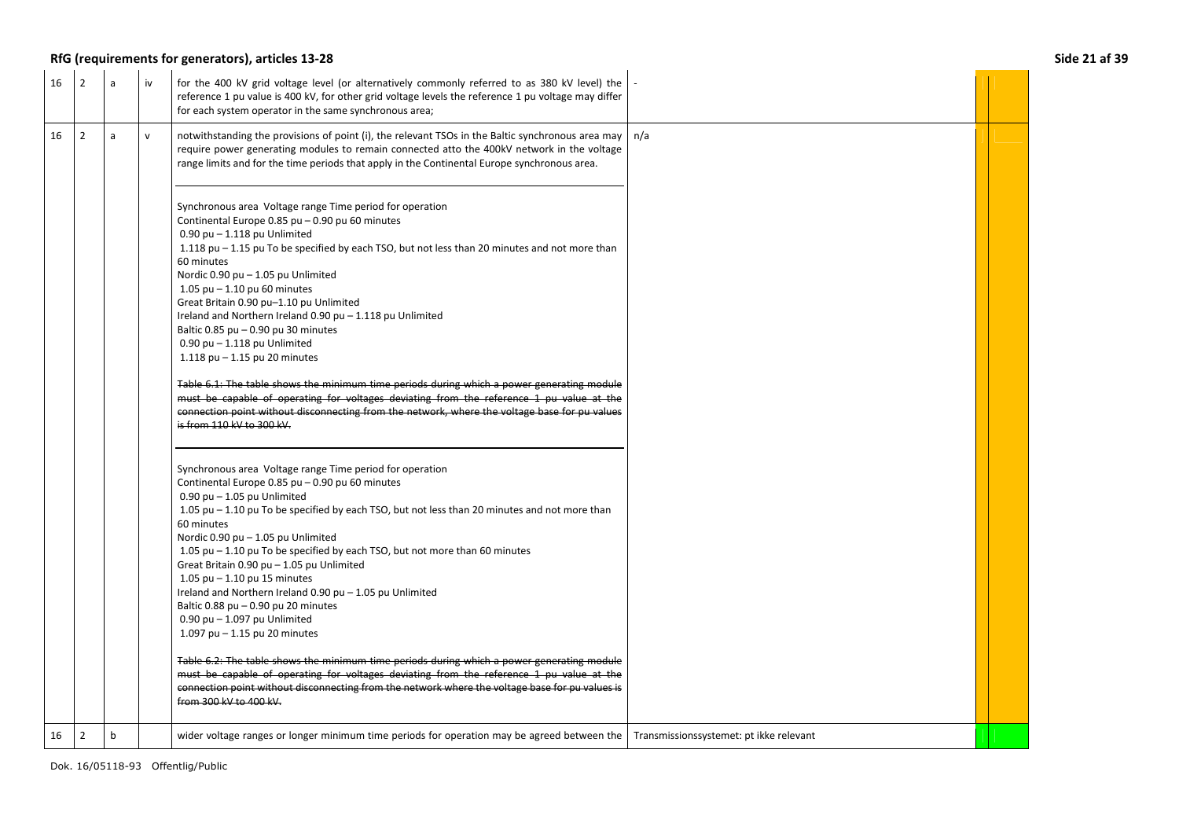## **RfG (requirements for generators), articles 13-28 Side 21 af 39**

| 16 | $\overline{2}$ | a | iv           | for the 400 kV grid voltage level (or alternatively commonly referred to as 380 kV level) the<br>reference 1 pu value is 400 kV, for other grid voltage levels the reference 1 pu voltage may differ<br>for each system operator in the same synchronous area;                                                                                                                                                                                                                                                                                                                                                                                                                                                                                                                                                                                                                                                                                                    |                                         |  |
|----|----------------|---|--------------|-------------------------------------------------------------------------------------------------------------------------------------------------------------------------------------------------------------------------------------------------------------------------------------------------------------------------------------------------------------------------------------------------------------------------------------------------------------------------------------------------------------------------------------------------------------------------------------------------------------------------------------------------------------------------------------------------------------------------------------------------------------------------------------------------------------------------------------------------------------------------------------------------------------------------------------------------------------------|-----------------------------------------|--|
| 16 | $\overline{2}$ | a | $\mathsf{v}$ | notwithstanding the provisions of point (i), the relevant TSOs in the Baltic synchronous area may<br>require power generating modules to remain connected atto the 400kV network in the voltage<br>range limits and for the time periods that apply in the Continental Europe synchronous area.                                                                                                                                                                                                                                                                                                                                                                                                                                                                                                                                                                                                                                                                   | n/a                                     |  |
|    |                |   |              | Synchronous area Voltage range Time period for operation<br>Continental Europe 0.85 pu - 0.90 pu 60 minutes<br>$0.90$ pu $- 1.118$ pu Unlimited<br>1.118 pu $-$ 1.15 pu To be specified by each TSO, but not less than 20 minutes and not more than<br>60 minutes<br>Nordic 0.90 pu - 1.05 pu Unlimited<br>1.05 pu $-$ 1.10 pu 60 minutes<br>Great Britain 0.90 pu-1.10 pu Unlimited<br>Ireland and Northern Ireland 0.90 pu - 1.118 pu Unlimited<br>Baltic 0.85 pu - 0.90 pu 30 minutes<br>$0.90$ pu $- 1.118$ pu Unlimited<br>1.118 pu $-$ 1.15 pu 20 minutes<br>Table 6.1: The table shows the minimum time periods during which a power generating module<br>must be capable of operating for voltages deviating from the reference 1 pu value at the<br>connection point without disconnecting from the network, where the voltage base for pu values<br>is from 110 kV to 300 kV.                                                                           |                                         |  |
|    |                |   |              | Synchronous area Voltage range Time period for operation<br>Continental Europe 0.85 pu - 0.90 pu 60 minutes<br>$0.90$ pu $-1.05$ pu Unlimited<br>1.05 pu - 1.10 pu To be specified by each TSO, but not less than 20 minutes and not more than<br>60 minutes<br>Nordic 0.90 pu - 1.05 pu Unlimited<br>1.05 pu – 1.10 pu To be specified by each TSO, but not more than 60 minutes<br>Great Britain 0.90 pu - 1.05 pu Unlimited<br>1.05 pu $-$ 1.10 pu 15 minutes<br>Ireland and Northern Ireland 0.90 pu - 1.05 pu Unlimited<br>Baltic 0.88 pu - 0.90 pu 20 minutes<br>$0.90$ pu $- 1.097$ pu Unlimited<br>1.097 pu $-$ 1.15 pu 20 minutes<br>Table 6.2: The table shows the minimum time periods during which a power generating module<br>must be capable of operating for voltages deviating from the reference 1 pu value at the<br>connection point without disconnecting from the network where the voltage base for pu values is<br>from 300 kV to 400 kV. |                                         |  |
| 16 | $\overline{2}$ | b |              | wider voltage ranges or longer minimum time periods for operation may be agreed between the                                                                                                                                                                                                                                                                                                                                                                                                                                                                                                                                                                                                                                                                                                                                                                                                                                                                       | Transmissionssystemet: pt ikke relevant |  |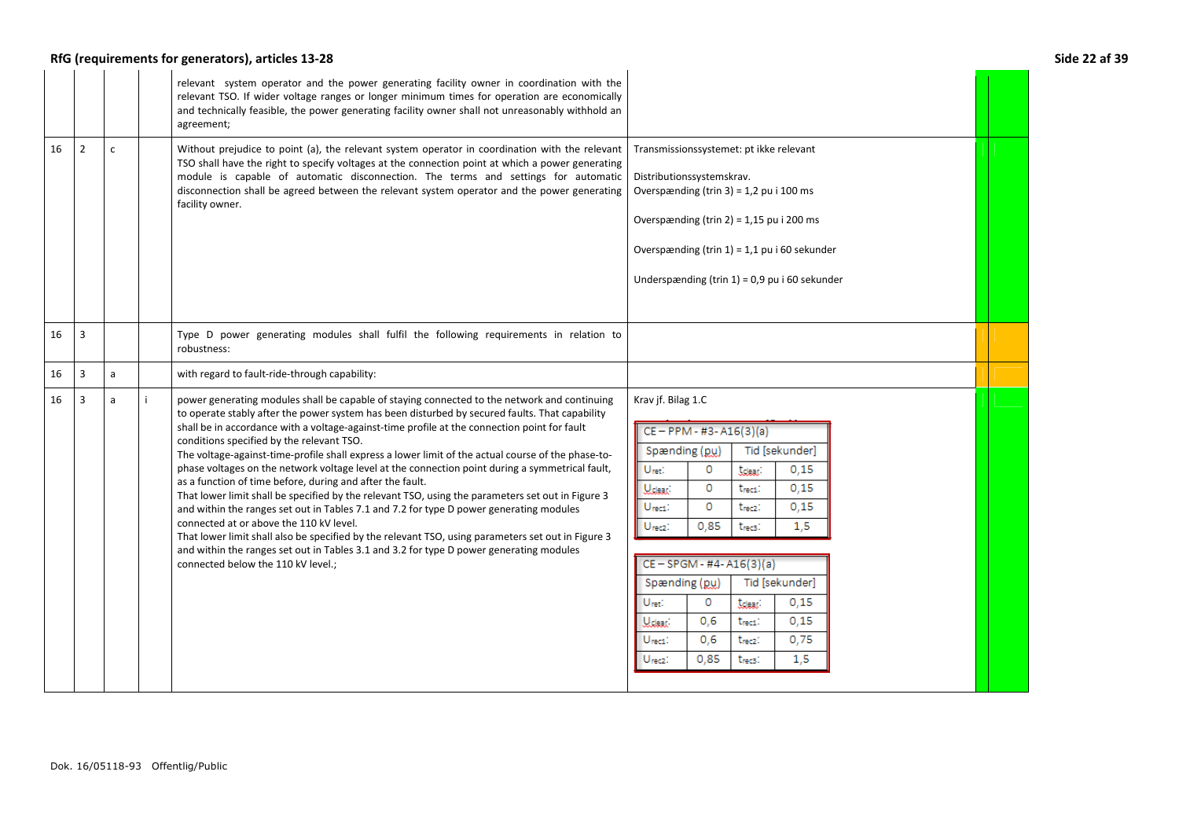## **RfG (requirements for generators), articles 13-28 Side 22 af 39**

|    |                |              | relevant system operator and the power generating facility owner in coordination with the<br>relevant TSO. If wider voltage ranges or longer minimum times for operation are economically<br>and technically feasible, the power generating facility owner shall not unreasonably withhold an<br>agreement;                                                                                                                                                                                                                                                                                                                                                                                                                                                                                                                                                                                                                                                                                                                                                                                         |                                                                                                                                                                                                                                                                                                                                                                                                                                                                                                                                                                         |  |
|----|----------------|--------------|-----------------------------------------------------------------------------------------------------------------------------------------------------------------------------------------------------------------------------------------------------------------------------------------------------------------------------------------------------------------------------------------------------------------------------------------------------------------------------------------------------------------------------------------------------------------------------------------------------------------------------------------------------------------------------------------------------------------------------------------------------------------------------------------------------------------------------------------------------------------------------------------------------------------------------------------------------------------------------------------------------------------------------------------------------------------------------------------------------|-------------------------------------------------------------------------------------------------------------------------------------------------------------------------------------------------------------------------------------------------------------------------------------------------------------------------------------------------------------------------------------------------------------------------------------------------------------------------------------------------------------------------------------------------------------------------|--|
| 16 | $\overline{2}$ | $\mathsf{C}$ | Without prejudice to point (a), the relevant system operator in coordination with the relevant<br>TSO shall have the right to specify voltages at the connection point at which a power generating<br>module is capable of automatic disconnection. The terms and settings for automatic<br>disconnection shall be agreed between the relevant system operator and the power generating<br>facility owner.                                                                                                                                                                                                                                                                                                                                                                                                                                                                                                                                                                                                                                                                                          | Transmissionssystemet: pt ikke relevant<br>Distributionssystemskrav.<br>Overspænding (trin 3) = $1,2$ pu i 100 ms<br>Overspænding (trin 2) = $1,15$ pu i 200 ms<br>Overspænding (trin $1$ ) = 1,1 pu i 60 sekunder<br>Underspænding (trin 1) = 0,9 pu i 60 sekunder                                                                                                                                                                                                                                                                                                     |  |
| 16 | $\overline{3}$ |              | Type D power generating modules shall fulfil the following requirements in relation to<br>robustness:                                                                                                                                                                                                                                                                                                                                                                                                                                                                                                                                                                                                                                                                                                                                                                                                                                                                                                                                                                                               |                                                                                                                                                                                                                                                                                                                                                                                                                                                                                                                                                                         |  |
| 16 | 3              | a            | with regard to fault-ride-through capability:                                                                                                                                                                                                                                                                                                                                                                                                                                                                                                                                                                                                                                                                                                                                                                                                                                                                                                                                                                                                                                                       |                                                                                                                                                                                                                                                                                                                                                                                                                                                                                                                                                                         |  |
| 16 | 3              | a            | power generating modules shall be capable of staying connected to the network and continuing<br>to operate stably after the power system has been disturbed by secured faults. That capability<br>shall be in accordance with a voltage-against-time profile at the connection point for fault<br>conditions specified by the relevant TSO.<br>The voltage-against-time-profile shall express a lower limit of the actual course of the phase-to-<br>phase voltages on the network voltage level at the connection point during a symmetrical fault,<br>as a function of time before, during and after the fault.<br>That lower limit shall be specified by the relevant TSO, using the parameters set out in Figure 3<br>and within the ranges set out in Tables 7.1 and 7.2 for type D power generating modules<br>connected at or above the 110 kV level.<br>That lower limit shall also be specified by the relevant TSO, using parameters set out in Figure 3<br>and within the ranges set out in Tables 3.1 and 3.2 for type D power generating modules<br>connected below the 110 kV level.; | Krav jf. Bilag 1.C<br>$CE - PPM - #3 - A16(3)(a)$<br>Spænding (pu)<br>Tid [sekunder]<br>Uret:<br>0.15<br>0<br>tolear.<br>0<br>0,15<br><b>U</b> clear<br>t <sub>rec1</sub> :<br>0<br>0,15<br>$U_{\text{rect}}$ :<br>t <sub>rec2</sub> :<br>0,85<br>1,5<br>Urec2:<br>t <sub>rec3</sub> :<br>$CE - SPGM - #4 - A16(3)(a)$<br>Spænding (pu)<br>Tid [sekunder]<br>0<br>U <sub>ret</sub> :<br>0,15<br>tclear:<br>0,6<br>0.15<br>Welear: I<br>t <sub>rec1</sub> :<br>0,75<br>0,6<br>$U_{\text{rect}}$ :<br>t <sub>rec2</sub> :<br>1,5<br>Urec2:<br>0,85<br>t <sub>rec3</sub> : |  |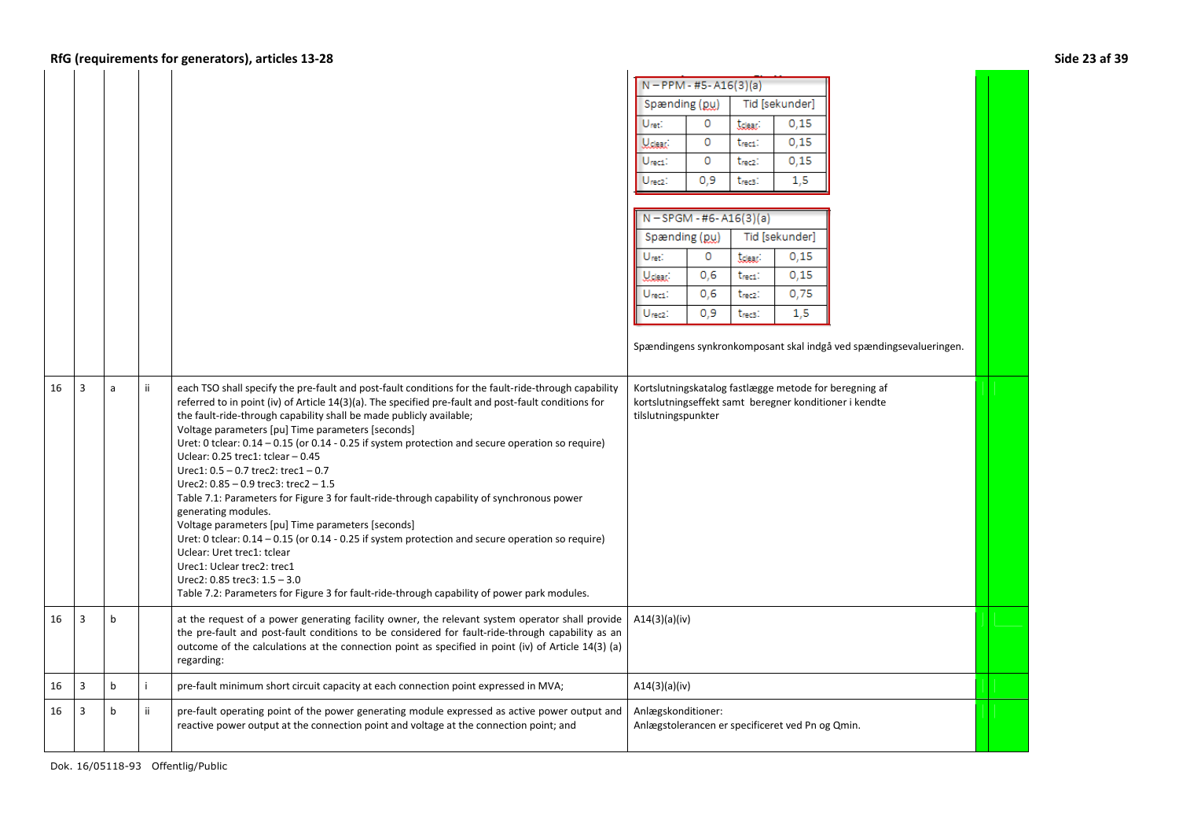## **RfG (requirements for generators), articles 13-28 Side 23 af 39**

|    |                |              |     |                                                                                                                                                                                                                                                                                                                                                                                                                                                                                                                                                                                                                                                                                                                                                                                                                                                                                                                                                                                                                                                          | $N - PPM - #5 - A16(3)(a)$  |         |                     |                                                  |                                                                                                                  |  |
|----|----------------|--------------|-----|----------------------------------------------------------------------------------------------------------------------------------------------------------------------------------------------------------------------------------------------------------------------------------------------------------------------------------------------------------------------------------------------------------------------------------------------------------------------------------------------------------------------------------------------------------------------------------------------------------------------------------------------------------------------------------------------------------------------------------------------------------------------------------------------------------------------------------------------------------------------------------------------------------------------------------------------------------------------------------------------------------------------------------------------------------|-----------------------------|---------|---------------------|--------------------------------------------------|------------------------------------------------------------------------------------------------------------------|--|
|    |                |              |     |                                                                                                                                                                                                                                                                                                                                                                                                                                                                                                                                                                                                                                                                                                                                                                                                                                                                                                                                                                                                                                                          | Spænding (pu)               |         |                     | Tid [sekunder]                                   |                                                                                                                  |  |
|    |                |              |     |                                                                                                                                                                                                                                                                                                                                                                                                                                                                                                                                                                                                                                                                                                                                                                                                                                                                                                                                                                                                                                                          | Uret:                       | 0       | <b>tdear</b>        | 0.15                                             |                                                                                                                  |  |
|    |                |              |     |                                                                                                                                                                                                                                                                                                                                                                                                                                                                                                                                                                                                                                                                                                                                                                                                                                                                                                                                                                                                                                                          | Udear:                      | 0       | t <sub>rec1</sub> : | 0,15                                             |                                                                                                                  |  |
|    |                |              |     |                                                                                                                                                                                                                                                                                                                                                                                                                                                                                                                                                                                                                                                                                                                                                                                                                                                                                                                                                                                                                                                          | $ U_{\text{rect}} $         | $\circ$ | t <sub>rec2</sub> : | 0,15                                             |                                                                                                                  |  |
|    |                |              |     |                                                                                                                                                                                                                                                                                                                                                                                                                                                                                                                                                                                                                                                                                                                                                                                                                                                                                                                                                                                                                                                          | Urec2:                      | 0.9     | t <sub>rec3</sub> : | 1,5                                              |                                                                                                                  |  |
|    |                |              |     |                                                                                                                                                                                                                                                                                                                                                                                                                                                                                                                                                                                                                                                                                                                                                                                                                                                                                                                                                                                                                                                          |                             |         |                     |                                                  |                                                                                                                  |  |
|    |                |              |     |                                                                                                                                                                                                                                                                                                                                                                                                                                                                                                                                                                                                                                                                                                                                                                                                                                                                                                                                                                                                                                                          | $N - SPGM - #6 - A16(3)(a)$ |         |                     |                                                  |                                                                                                                  |  |
|    |                |              |     |                                                                                                                                                                                                                                                                                                                                                                                                                                                                                                                                                                                                                                                                                                                                                                                                                                                                                                                                                                                                                                                          | Spænding (pu)               |         |                     | Tid [sekunder]                                   |                                                                                                                  |  |
|    |                |              |     |                                                                                                                                                                                                                                                                                                                                                                                                                                                                                                                                                                                                                                                                                                                                                                                                                                                                                                                                                                                                                                                          | Uret:                       | $\circ$ | tdear:              | 0,15                                             |                                                                                                                  |  |
|    |                |              |     |                                                                                                                                                                                                                                                                                                                                                                                                                                                                                                                                                                                                                                                                                                                                                                                                                                                                                                                                                                                                                                                          | <b>U</b> clear              | 0,6     | t <sub>rec1</sub> : | 0.15                                             |                                                                                                                  |  |
|    |                |              |     |                                                                                                                                                                                                                                                                                                                                                                                                                                                                                                                                                                                                                                                                                                                                                                                                                                                                                                                                                                                                                                                          | Urec1:                      | 0,6     | t <sub>rec2</sub> : | 0,75                                             |                                                                                                                  |  |
|    |                |              |     |                                                                                                                                                                                                                                                                                                                                                                                                                                                                                                                                                                                                                                                                                                                                                                                                                                                                                                                                                                                                                                                          | Urecz:                      | 0.9     | t <sub>rec3</sub> : | 1,5                                              |                                                                                                                  |  |
|    |                |              |     |                                                                                                                                                                                                                                                                                                                                                                                                                                                                                                                                                                                                                                                                                                                                                                                                                                                                                                                                                                                                                                                          |                             |         |                     |                                                  |                                                                                                                  |  |
|    |                |              |     |                                                                                                                                                                                                                                                                                                                                                                                                                                                                                                                                                                                                                                                                                                                                                                                                                                                                                                                                                                                                                                                          |                             |         |                     |                                                  | Spændingens synkronkomposant skal indgå ved spændingsevalueringen.                                               |  |
|    |                |              |     |                                                                                                                                                                                                                                                                                                                                                                                                                                                                                                                                                                                                                                                                                                                                                                                                                                                                                                                                                                                                                                                          |                             |         |                     |                                                  |                                                                                                                  |  |
| 16 | 3              | a            | iί  | each TSO shall specify the pre-fault and post-fault conditions for the fault-ride-through capability<br>referred to in point (iv) of Article 14(3)(a). The specified pre-fault and post-fault conditions for<br>the fault-ride-through capability shall be made publicly available;<br>Voltage parameters [pu] Time parameters [seconds]<br>Uret: 0 tclear: 0.14 - 0.15 (or 0.14 - 0.25 if system protection and secure operation so require)<br>Uclear: 0.25 trec1: tclear - 0.45<br>Urec1: $0.5 - 0.7$ trec2: trec1 $-0.7$<br>Urec2: $0.85 - 0.9$ trec3: trec2 $-1.5$<br>Table 7.1: Parameters for Figure 3 for fault-ride-through capability of synchronous power<br>generating modules.<br>Voltage parameters [pu] Time parameters [seconds]<br>Uret: 0 tclear: $0.14 - 0.15$ (or $0.14 - 0.25$ if system protection and secure operation so require)<br>Uclear: Uret trec1: tclear<br>Urec1: Uclear trec2: trec1<br>Urec2: $0.85$ trec3: $1.5 - 3.0$<br>Table 7.2: Parameters for Figure 3 for fault-ride-through capability of power park modules. | tilslutningspunkter         |         |                     |                                                  | Kortslutningskatalog fastlægge metode for beregning af<br>kortslutningseffekt samt beregner konditioner i kendte |  |
| 16 | 3              | b            |     | at the request of a power generating facility owner, the relevant system operator shall provide<br>the pre-fault and post-fault conditions to be considered for fault-ride-through capability as an<br>outcome of the calculations at the connection point as specified in point (iv) of Article 14(3) (a)<br>regarding:                                                                                                                                                                                                                                                                                                                                                                                                                                                                                                                                                                                                                                                                                                                                 | A14(3)(a)(iv)               |         |                     |                                                  |                                                                                                                  |  |
| 16 | $\overline{3}$ | $\mathsf{b}$ |     | pre-fault minimum short circuit capacity at each connection point expressed in MVA;                                                                                                                                                                                                                                                                                                                                                                                                                                                                                                                                                                                                                                                                                                                                                                                                                                                                                                                                                                      | A14(3)(a)(iv)               |         |                     |                                                  |                                                                                                                  |  |
| 16 | 3              | $\mathsf b$  | ii. | pre-fault operating point of the power generating module expressed as active power output and<br>reactive power output at the connection point and voltage at the connection point; and                                                                                                                                                                                                                                                                                                                                                                                                                                                                                                                                                                                                                                                                                                                                                                                                                                                                  | Anlægskonditioner:          |         |                     | Anlægstolerancen er specificeret ved Pn og Qmin. |                                                                                                                  |  |

16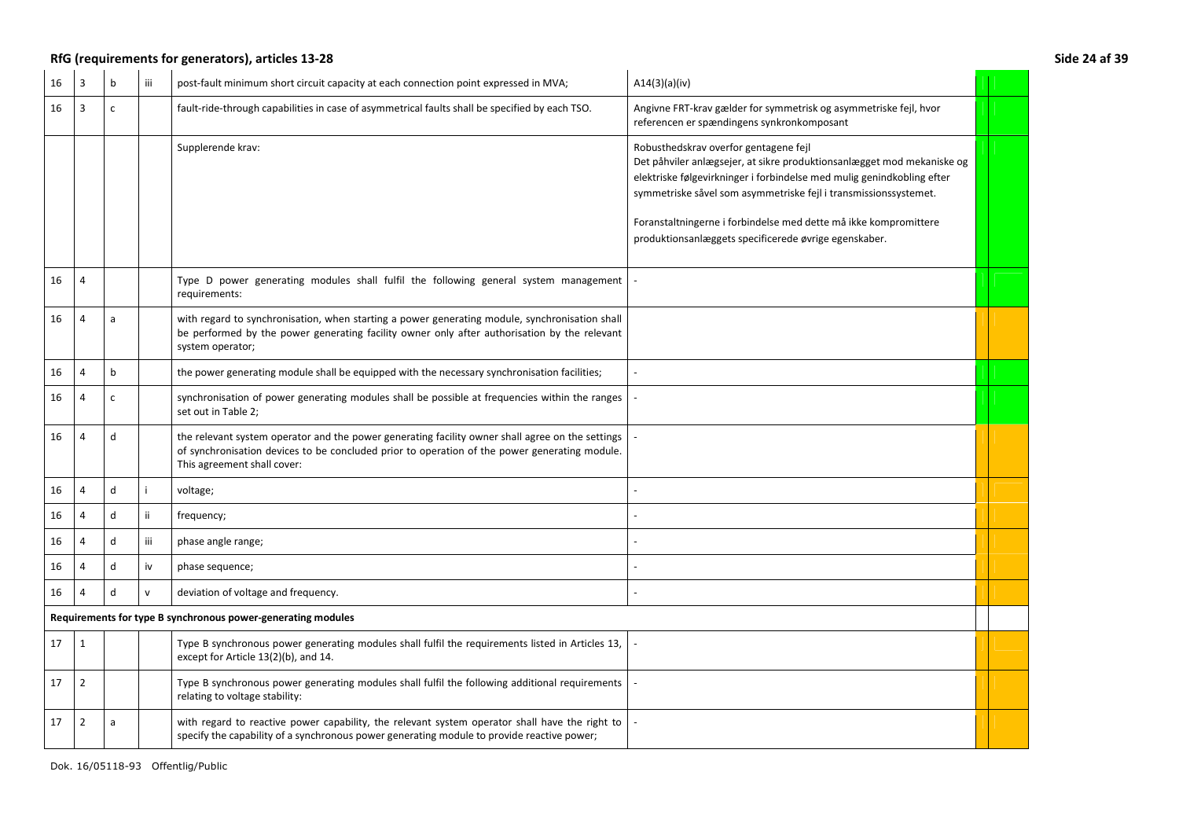|    | RfG (requirements for generators), articles 13-28<br>Side 24 af 39 |              |              |                                                                                                                                                                                                                                  |                                                                                                                                                                                                                                                                                                                                                                                            |  |  |
|----|--------------------------------------------------------------------|--------------|--------------|----------------------------------------------------------------------------------------------------------------------------------------------------------------------------------------------------------------------------------|--------------------------------------------------------------------------------------------------------------------------------------------------------------------------------------------------------------------------------------------------------------------------------------------------------------------------------------------------------------------------------------------|--|--|
| 16 | $\overline{3}$                                                     | b            | iii          | post-fault minimum short circuit capacity at each connection point expressed in MVA;                                                                                                                                             | A14(3)(a)(iv)                                                                                                                                                                                                                                                                                                                                                                              |  |  |
| 16 | 3                                                                  | $\mathsf{C}$ |              | fault-ride-through capabilities in case of asymmetrical faults shall be specified by each TSO.                                                                                                                                   | Angivne FRT-krav gælder for symmetrisk og asymmetriske fejl, hvor<br>referencen er spændingens synkronkomposant                                                                                                                                                                                                                                                                            |  |  |
|    |                                                                    |              |              | Supplerende krav:                                                                                                                                                                                                                | Robusthedskrav overfor gentagene fejl<br>Det påhviler anlægsejer, at sikre produktionsanlægget mod mekaniske og<br>elektriske følgevirkninger i forbindelse med mulig genindkobling efter<br>symmetriske såvel som asymmetriske fejl i transmissionssystemet.<br>Foranstaltningerne i forbindelse med dette må ikke kompromittere<br>produktionsanlæggets specificerede øvrige egenskaber. |  |  |
| 16 | $\overline{4}$                                                     |              |              | Type D power generating modules shall fulfil the following general system management<br>requirements:                                                                                                                            |                                                                                                                                                                                                                                                                                                                                                                                            |  |  |
| 16 | $\overline{4}$                                                     | a            |              | with regard to synchronisation, when starting a power generating module, synchronisation shall<br>be performed by the power generating facility owner only after authorisation by the relevant<br>system operator;               |                                                                                                                                                                                                                                                                                                                                                                                            |  |  |
| 16 | 4                                                                  | $\mathbf b$  |              | the power generating module shall be equipped with the necessary synchronisation facilities;                                                                                                                                     |                                                                                                                                                                                                                                                                                                                                                                                            |  |  |
| 16 | 4                                                                  | $\mathsf{C}$ |              | synchronisation of power generating modules shall be possible at frequencies within the ranges<br>set out in Table 2;                                                                                                            |                                                                                                                                                                                                                                                                                                                                                                                            |  |  |
| 16 | $\overline{4}$                                                     | $\mathsf{d}$ |              | the relevant system operator and the power generating facility owner shall agree on the settings<br>of synchronisation devices to be concluded prior to operation of the power generating module.<br>This agreement shall cover: |                                                                                                                                                                                                                                                                                                                                                                                            |  |  |
| 16 | 4                                                                  | d            |              | voltage;                                                                                                                                                                                                                         |                                                                                                                                                                                                                                                                                                                                                                                            |  |  |
| 16 | $\overline{4}$                                                     | d            | ii.          | frequency;                                                                                                                                                                                                                       |                                                                                                                                                                                                                                                                                                                                                                                            |  |  |
| 16 | $\overline{4}$                                                     | d            | iii          | phase angle range;                                                                                                                                                                                                               |                                                                                                                                                                                                                                                                                                                                                                                            |  |  |
| 16 | $\overline{4}$                                                     | d            | iv           | phase sequence;                                                                                                                                                                                                                  |                                                                                                                                                                                                                                                                                                                                                                                            |  |  |
| 16 | $\overline{a}$                                                     | d            | $\mathsf{v}$ | deviation of voltage and frequency.                                                                                                                                                                                              |                                                                                                                                                                                                                                                                                                                                                                                            |  |  |
|    |                                                                    |              |              | Requirements for type B synchronous power-generating modules                                                                                                                                                                     |                                                                                                                                                                                                                                                                                                                                                                                            |  |  |
| 17 | $\mathbf{1}$                                                       |              |              | Type B synchronous power generating modules shall fulfil the requirements listed in Articles 13,<br>except for Article 13(2)(b), and 14.                                                                                         |                                                                                                                                                                                                                                                                                                                                                                                            |  |  |
| 17 | $\overline{2}$                                                     |              |              | Type B synchronous power generating modules shall fulfil the following additional requirements<br>relating to voltage stability:                                                                                                 |                                                                                                                                                                                                                                                                                                                                                                                            |  |  |
| 17 | $\overline{2}$                                                     | a            |              | with regard to reactive power capability, the relevant system operator shall have the right to<br>specify the capability of a synchronous power generating module to provide reactive power;                                     |                                                                                                                                                                                                                                                                                                                                                                                            |  |  |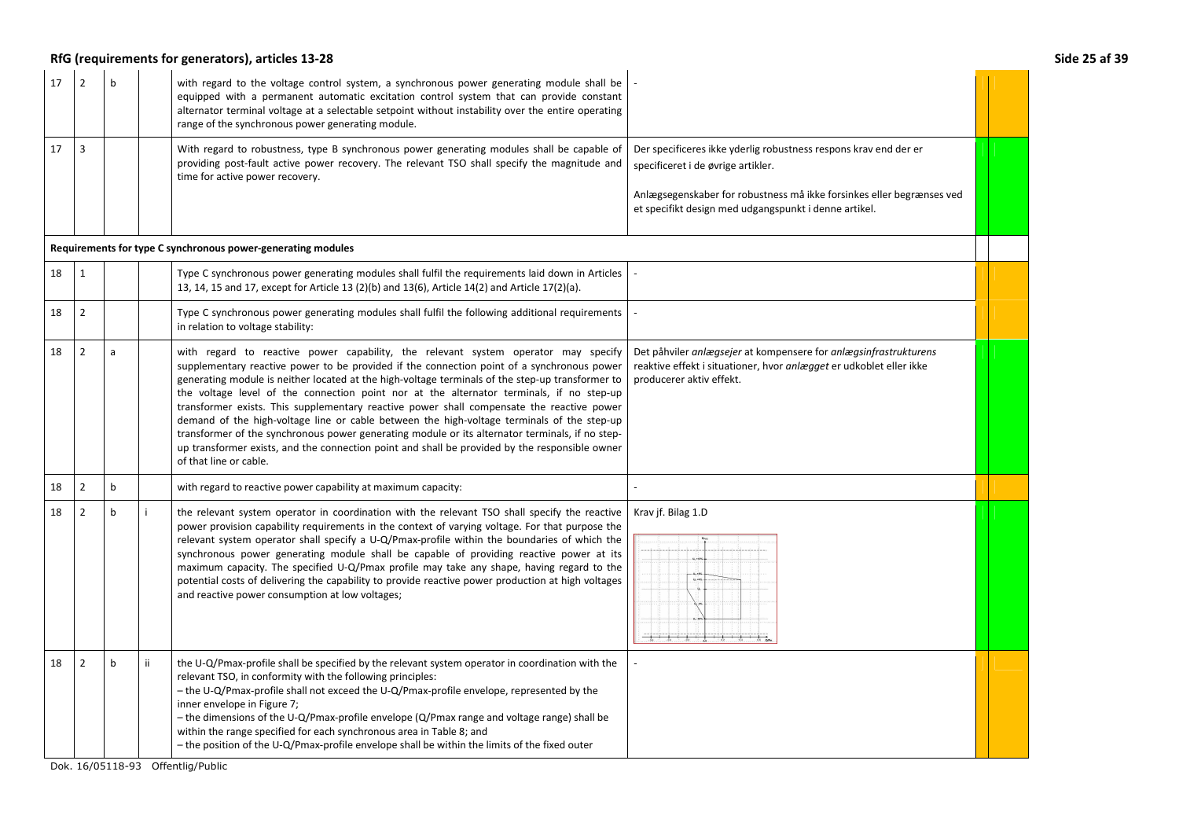## **RfG (requirements for generators), articles 13-28 Side 25 af 39**

| 17 | $\overline{2}$                                               | h            |     | with regard to the voltage control system, a synchronous power generating module shall be<br>equipped with a permanent automatic excitation control system that can provide constant<br>alternator terminal voltage at a selectable setpoint without instability over the entire operating<br>range of the synchronous power generating module.                                                                                                                                                                                                                                                                                                                                                                                                                                                            |                                                                                                                                                                                                                                          |  |  |  |
|----|--------------------------------------------------------------|--------------|-----|------------------------------------------------------------------------------------------------------------------------------------------------------------------------------------------------------------------------------------------------------------------------------------------------------------------------------------------------------------------------------------------------------------------------------------------------------------------------------------------------------------------------------------------------------------------------------------------------------------------------------------------------------------------------------------------------------------------------------------------------------------------------------------------------------------|------------------------------------------------------------------------------------------------------------------------------------------------------------------------------------------------------------------------------------------|--|--|--|
| 17 | 3                                                            |              |     | With regard to robustness, type B synchronous power generating modules shall be capable of<br>providing post-fault active power recovery. The relevant TSO shall specify the magnitude and<br>time for active power recovery.                                                                                                                                                                                                                                                                                                                                                                                                                                                                                                                                                                              | Der specificeres ikke yderlig robustness respons krav end der er<br>specificeret i de øvrige artikler.<br>Anlægsegenskaber for robustness må ikke forsinkes eller begrænses ved<br>et specifikt design med udgangspunkt i denne artikel. |  |  |  |
|    | Requirements for type C synchronous power-generating modules |              |     |                                                                                                                                                                                                                                                                                                                                                                                                                                                                                                                                                                                                                                                                                                                                                                                                            |                                                                                                                                                                                                                                          |  |  |  |
| 18 | $\mathbf{1}$                                                 |              |     | Type C synchronous power generating modules shall fulfil the requirements laid down in Articles<br>13, 14, 15 and 17, except for Article 13 (2)(b) and 13(6), Article 14(2) and Article 17(2)(a).                                                                                                                                                                                                                                                                                                                                                                                                                                                                                                                                                                                                          |                                                                                                                                                                                                                                          |  |  |  |
| 18 | $\overline{2}$                                               |              |     | Type C synchronous power generating modules shall fulfil the following additional requirements<br>in relation to voltage stability:                                                                                                                                                                                                                                                                                                                                                                                                                                                                                                                                                                                                                                                                        |                                                                                                                                                                                                                                          |  |  |  |
| 18 | $\overline{2}$                                               | a            |     | with regard to reactive power capability, the relevant system operator may specify<br>supplementary reactive power to be provided if the connection point of a synchronous power<br>generating module is neither located at the high-voltage terminals of the step-up transformer to<br>the voltage level of the connection point nor at the alternator terminals, if no step-up<br>transformer exists. This supplementary reactive power shall compensate the reactive power<br>demand of the high-voltage line or cable between the high-voltage terminals of the step-up<br>transformer of the synchronous power generating module or its alternator terminals, if no step-<br>up transformer exists, and the connection point and shall be provided by the responsible owner<br>of that line or cable. | Det påhviler anlægsejer at kompensere for anlægsinfrastrukturens<br>reaktive effekt i situationer, hvor anlægget er udkoblet eller ikke<br>producerer aktiv effekt.                                                                      |  |  |  |
| 18 | $\overline{2}$                                               | $\mathbf b$  |     | with regard to reactive power capability at maximum capacity:                                                                                                                                                                                                                                                                                                                                                                                                                                                                                                                                                                                                                                                                                                                                              |                                                                                                                                                                                                                                          |  |  |  |
| 18 | $\overline{2}$                                               | $\mathbf b$  |     | the relevant system operator in coordination with the relevant TSO shall specify the reactive<br>power provision capability requirements in the context of varying voltage. For that purpose the<br>relevant system operator shall specify a U-Q/Pmax-profile within the boundaries of which the<br>synchronous power generating module shall be capable of providing reactive power at its<br>maximum capacity. The specified U-Q/Pmax profile may take any shape, having regard to the<br>potential costs of delivering the capability to provide reactive power production at high voltages<br>and reactive power consumption at low voltages;                                                                                                                                                          | Krav jf. Bilag 1.D                                                                                                                                                                                                                       |  |  |  |
| 18 | $\overline{2}$                                               | $\mathsf{b}$ | ii. | the U-Q/Pmax-profile shall be specified by the relevant system operator in coordination with the<br>relevant TSO, in conformity with the following principles:<br>- the U-Q/Pmax-profile shall not exceed the U-Q/Pmax-profile envelope, represented by the<br>inner envelope in Figure 7;<br>$-$ the dimensions of the U-Q/Pmax-profile envelope (Q/Pmax range and voltage range) shall be<br>within the range specified for each synchronous area in Table 8; and<br>- the position of the U-Q/Pmax-profile envelope shall be within the limits of the fixed outer                                                                                                                                                                                                                                       |                                                                                                                                                                                                                                          |  |  |  |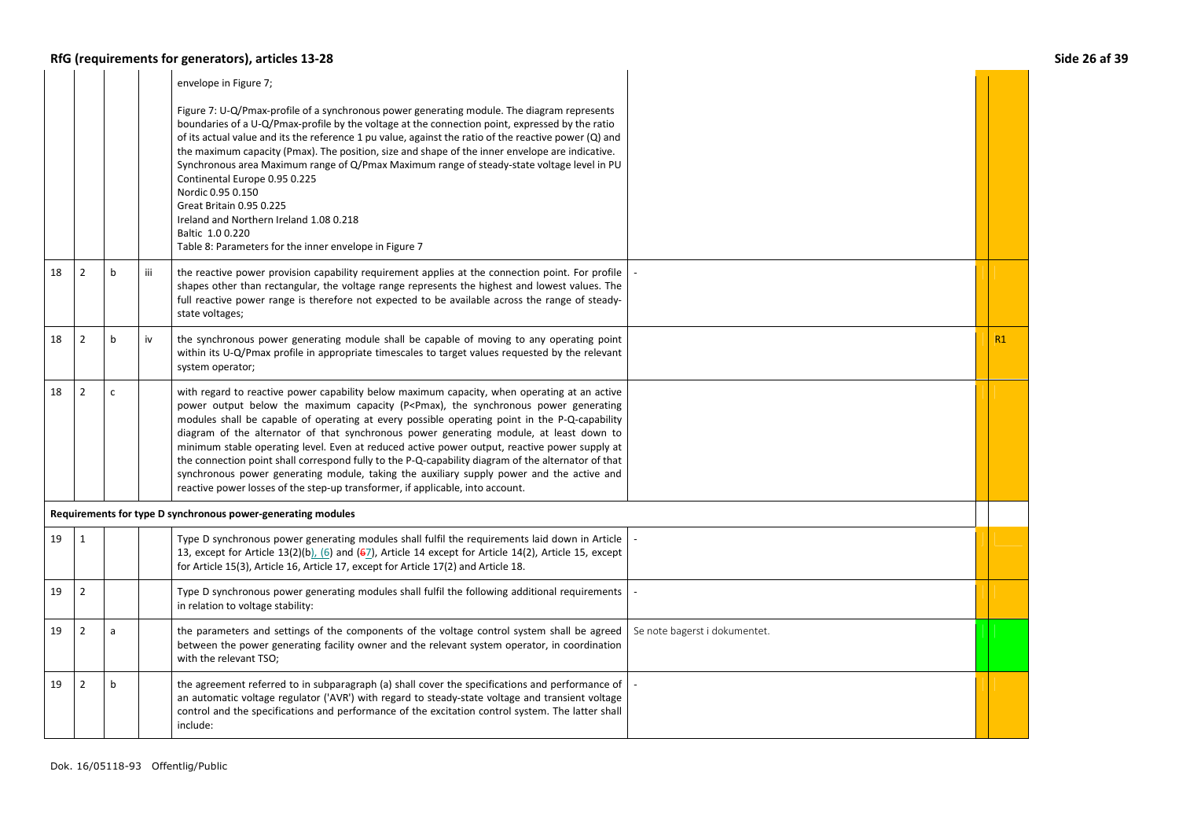## **RfG (requirements for generators), articles 13-28 Side 26 af 39**

|    |                |              |     | envelope in Figure 7;                                                                                                                                                                                                                                                                                                                                                                                                                                                                                                                                                                                                                                                                                                                                                                            |                               |    |
|----|----------------|--------------|-----|--------------------------------------------------------------------------------------------------------------------------------------------------------------------------------------------------------------------------------------------------------------------------------------------------------------------------------------------------------------------------------------------------------------------------------------------------------------------------------------------------------------------------------------------------------------------------------------------------------------------------------------------------------------------------------------------------------------------------------------------------------------------------------------------------|-------------------------------|----|
|    |                |              |     | Figure 7: U-Q/Pmax-profile of a synchronous power generating module. The diagram represents<br>boundaries of a U-Q/Pmax-profile by the voltage at the connection point, expressed by the ratio<br>of its actual value and its the reference 1 pu value, against the ratio of the reactive power (Q) and<br>the maximum capacity (Pmax). The position, size and shape of the inner envelope are indicative.<br>Synchronous area Maximum range of Q/Pmax Maximum range of steady-state voltage level in PU<br>Continental Europe 0.95 0.225<br>Nordic 0.95 0.150<br>Great Britain 0.95 0.225<br>Ireland and Northern Ireland 1.08 0.218<br>Baltic 1.0 0.220<br>Table 8: Parameters for the inner envelope in Figure 7                                                                              |                               |    |
| 18 | $\overline{2}$ | b            | iii | the reactive power provision capability requirement applies at the connection point. For profile<br>shapes other than rectangular, the voltage range represents the highest and lowest values. The<br>full reactive power range is therefore not expected to be available across the range of steady-<br>state voltages;                                                                                                                                                                                                                                                                                                                                                                                                                                                                         |                               |    |
| 18 | $\overline{2}$ | $\mathbf b$  | iv  | the synchronous power generating module shall be capable of moving to any operating point<br>within its U-Q/Pmax profile in appropriate timescales to target values requested by the relevant<br>system operator;                                                                                                                                                                                                                                                                                                                                                                                                                                                                                                                                                                                |                               | R1 |
| 18 | $\overline{2}$ | $\mathsf{C}$ |     | with regard to reactive power capability below maximum capacity, when operating at an active<br>power output below the maximum capacity (P <pmax), generating<br="" power="" synchronous="" the="">modules shall be capable of operating at every possible operating point in the P-Q-capability<br/>diagram of the alternator of that synchronous power generating module, at least down to<br/>minimum stable operating level. Even at reduced active power output, reactive power supply at<br/>the connection point shall correspond fully to the P-Q-capability diagram of the alternator of that<br/>synchronous power generating module, taking the auxiliary supply power and the active and<br/>reactive power losses of the step-up transformer, if applicable, into account.</pmax),> |                               |    |
|    |                |              |     | Requirements for type D synchronous power-generating modules                                                                                                                                                                                                                                                                                                                                                                                                                                                                                                                                                                                                                                                                                                                                     |                               |    |
| 19 | $\mathbf{1}$   |              |     | Type D synchronous power generating modules shall fulfil the requirements laid down in Article<br>13, except for Article 13(2)(b), (6) and ( $67$ ), Article 14 except for Article 14(2), Article 15, except<br>for Article 15(3), Article 16, Article 17, except for Article 17(2) and Article 18.                                                                                                                                                                                                                                                                                                                                                                                                                                                                                              |                               |    |
| 19 | $\overline{2}$ |              |     | Type D synchronous power generating modules shall fulfil the following additional requirements<br>in relation to voltage stability:                                                                                                                                                                                                                                                                                                                                                                                                                                                                                                                                                                                                                                                              |                               |    |
| 19 | $\overline{2}$ | a            |     | the parameters and settings of the components of the voltage control system shall be agreed<br>between the power generating facility owner and the relevant system operator, in coordination<br>with the relevant TSO;                                                                                                                                                                                                                                                                                                                                                                                                                                                                                                                                                                           | Se note bagerst i dokumentet. |    |
| 19 | $\overline{2}$ | $\mathbf b$  |     | the agreement referred to in subparagraph (a) shall cover the specifications and performance of<br>an automatic voltage regulator ('AVR') with regard to steady-state voltage and transient voltage<br>control and the specifications and performance of the excitation control system. The latter shall<br>include:                                                                                                                                                                                                                                                                                                                                                                                                                                                                             |                               |    |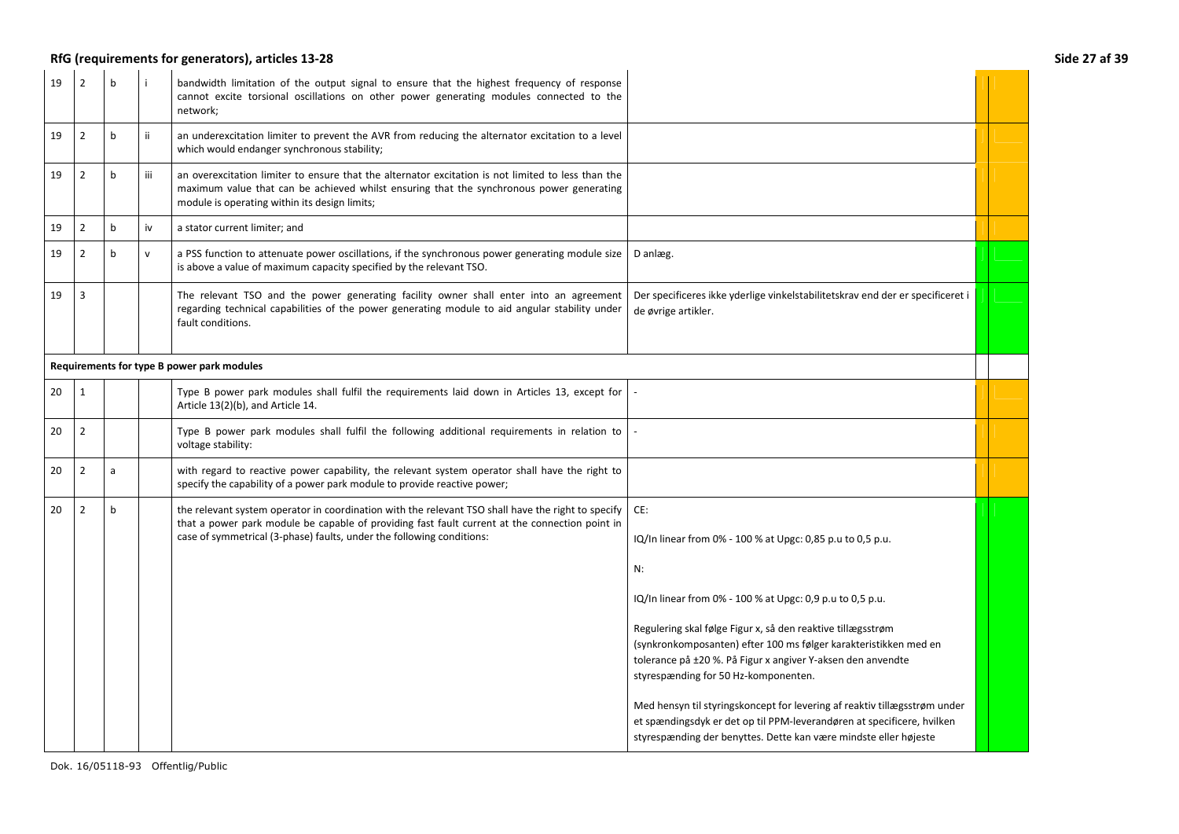## **RfG (requirements for generators), articles 13-28 Side 27 af 39**

| 19 | $\overline{2}$ | b           |              | bandwidth limitation of the output signal to ensure that the highest frequency of response<br>cannot excite torsional oscillations on other power generating modules connected to the<br>network;                                                                             |                                                                                                                                                                                                                                                                                                                                                                                                                                                                                                                                                                                                           |  |
|----|----------------|-------------|--------------|-------------------------------------------------------------------------------------------------------------------------------------------------------------------------------------------------------------------------------------------------------------------------------|-----------------------------------------------------------------------------------------------------------------------------------------------------------------------------------------------------------------------------------------------------------------------------------------------------------------------------------------------------------------------------------------------------------------------------------------------------------------------------------------------------------------------------------------------------------------------------------------------------------|--|
| 19 | $\overline{2}$ | $\mathbf b$ | ii           | an underexcitation limiter to prevent the AVR from reducing the alternator excitation to a level<br>which would endanger synchronous stability;                                                                                                                               |                                                                                                                                                                                                                                                                                                                                                                                                                                                                                                                                                                                                           |  |
| 19 | $\overline{2}$ | $\mathbf b$ | iii          | an overexcitation limiter to ensure that the alternator excitation is not limited to less than the<br>maximum value that can be achieved whilst ensuring that the synchronous power generating<br>module is operating within its design limits;                               |                                                                                                                                                                                                                                                                                                                                                                                                                                                                                                                                                                                                           |  |
| 19 | $\overline{2}$ | b           | iv           | a stator current limiter; and                                                                                                                                                                                                                                                 |                                                                                                                                                                                                                                                                                                                                                                                                                                                                                                                                                                                                           |  |
| 19 | $\overline{2}$ | b           | $\mathsf{v}$ | a PSS function to attenuate power oscillations, if the synchronous power generating module size<br>is above a value of maximum capacity specified by the relevant TSO.                                                                                                        | D anlæg.                                                                                                                                                                                                                                                                                                                                                                                                                                                                                                                                                                                                  |  |
| 19 | $\overline{3}$ |             |              | The relevant TSO and the power generating facility owner shall enter into an agreement<br>regarding technical capabilities of the power generating module to aid angular stability under<br>fault conditions.                                                                 | Der specificeres ikke yderlige vinkelstabilitetskrav end der er specificeret i<br>de øvrige artikler.                                                                                                                                                                                                                                                                                                                                                                                                                                                                                                     |  |
|    |                |             |              | Requirements for type B power park modules                                                                                                                                                                                                                                    |                                                                                                                                                                                                                                                                                                                                                                                                                                                                                                                                                                                                           |  |
| 20 | 1              |             |              | Type B power park modules shall fulfil the requirements laid down in Articles 13, except for<br>Article 13(2)(b), and Article 14.                                                                                                                                             |                                                                                                                                                                                                                                                                                                                                                                                                                                                                                                                                                                                                           |  |
| 20 | $\overline{2}$ |             |              | Type B power park modules shall fulfil the following additional requirements in relation to<br>voltage stability:                                                                                                                                                             |                                                                                                                                                                                                                                                                                                                                                                                                                                                                                                                                                                                                           |  |
| 20 | $\overline{2}$ | a           |              | with regard to reactive power capability, the relevant system operator shall have the right to<br>specify the capability of a power park module to provide reactive power;                                                                                                    |                                                                                                                                                                                                                                                                                                                                                                                                                                                                                                                                                                                                           |  |
| 20 | $\overline{2}$ | b           |              | the relevant system operator in coordination with the relevant TSO shall have the right to specify<br>that a power park module be capable of providing fast fault current at the connection point in<br>case of symmetrical (3-phase) faults, under the following conditions: | CE:<br>IQ/In linear from 0% - 100 % at Upgc: 0,85 p.u to 0,5 p.u.<br>N:<br>IQ/In linear from 0% - 100 % at Upgc: 0,9 p.u to 0,5 p.u.<br>Regulering skal følge Figur x, så den reaktive tillægsstrøm<br>(synkronkomposanten) efter 100 ms følger karakteristikken med en<br>tolerance på ±20 %. På Figur x angiver Y-aksen den anvendte<br>styrespænding for 50 Hz-komponenten.<br>Med hensyn til styringskoncept for levering af reaktiv tillægsstrøm under<br>et spændingsdyk er det op til PPM-leverandøren at specificere, hvilken<br>styrespænding der benyttes. Dette kan være mindste eller højeste |  |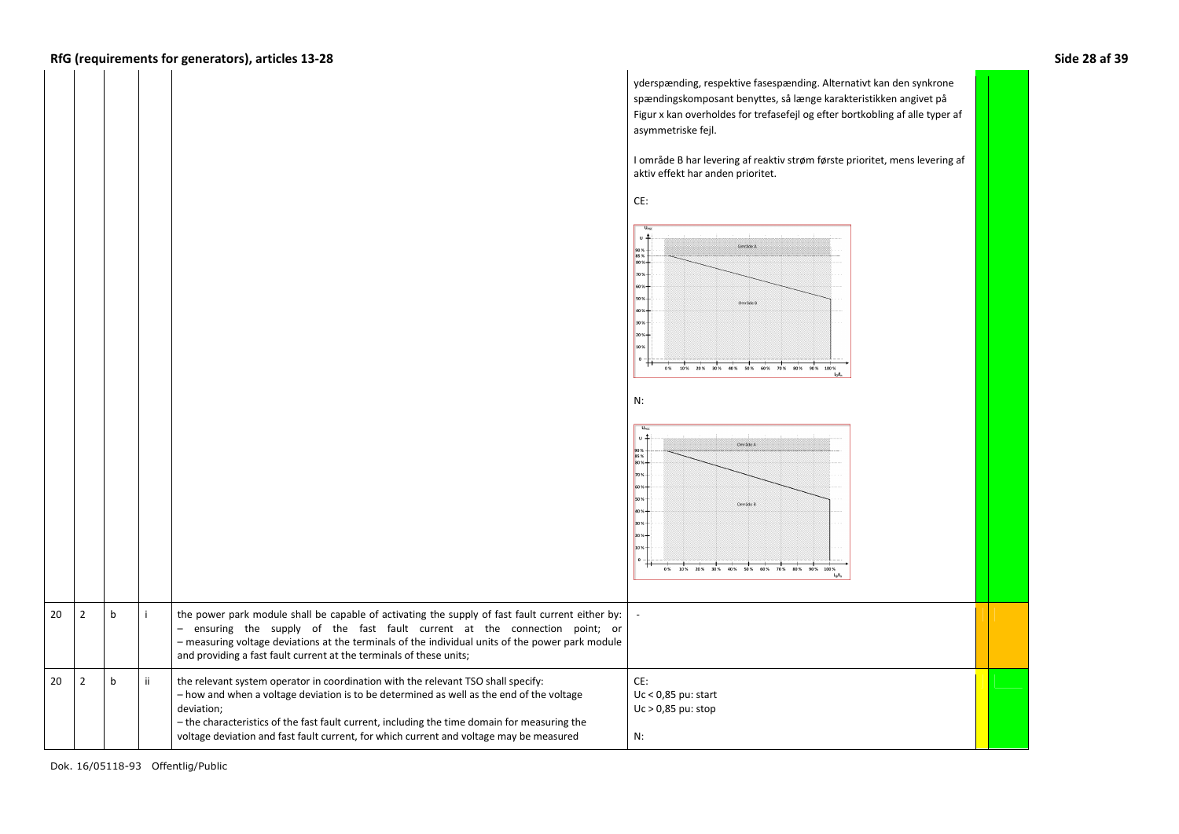yderspænding, respektive fasespænding. Alternativt kan den synkrone spændingskomposant benyttes, så længe karakteristikken angivet på Figur x kan overholdes for trefasefejl og efter bortkobling af alle typer af asymmetriske fejl. I område B har levering af reaktiv strøm første prioritet, mens levering af aktiv effekt har anden prioritet. CE:  $\overline{ }$  $\sim$ Concide & 90 %<br>85 %<br>80 %  $\vert$ <sub>703</sub> 503  $\vert$ <sub>30</sub> 10 % 0% 10% 20% 30% 40% 50% 60% 70% 80% 90% 100% N:  $\overline{a}$ . . ا Crocade A 90 %<br>85 %<br>80 % 70 % Område i 305  $\vert_{10}$ 0% 10% 20% 30% 40% 50% 60%  $\sin \omega$  $2$  b the power park module shall be capable of activating the supply of fast fault current either by: and prover park module shall be capable of activating the supply of fast fault current either by:<br>
- ensuring the supply of the fast fault current at the connection point; or<br>
- measuring voltage deviations at the terminal – ensuring the supply of the fast fault current at the connection point; or – measuring voltage deviations at the terminals of the individual units of the power park module  $2 h$  $ii$  the relevant system operator in coordination with the relevant TSO shall specify: CE:– how and when a voltage deviation is to be determined as well as the end of the voltage Uc < 0,85 pu: start deviation; Uc > 0,85 pu: stop – the characteristics of the fast fault current, including the time domain for measuring the N: voltage deviation and fast fault current, for which current and voltage may be measured

20

20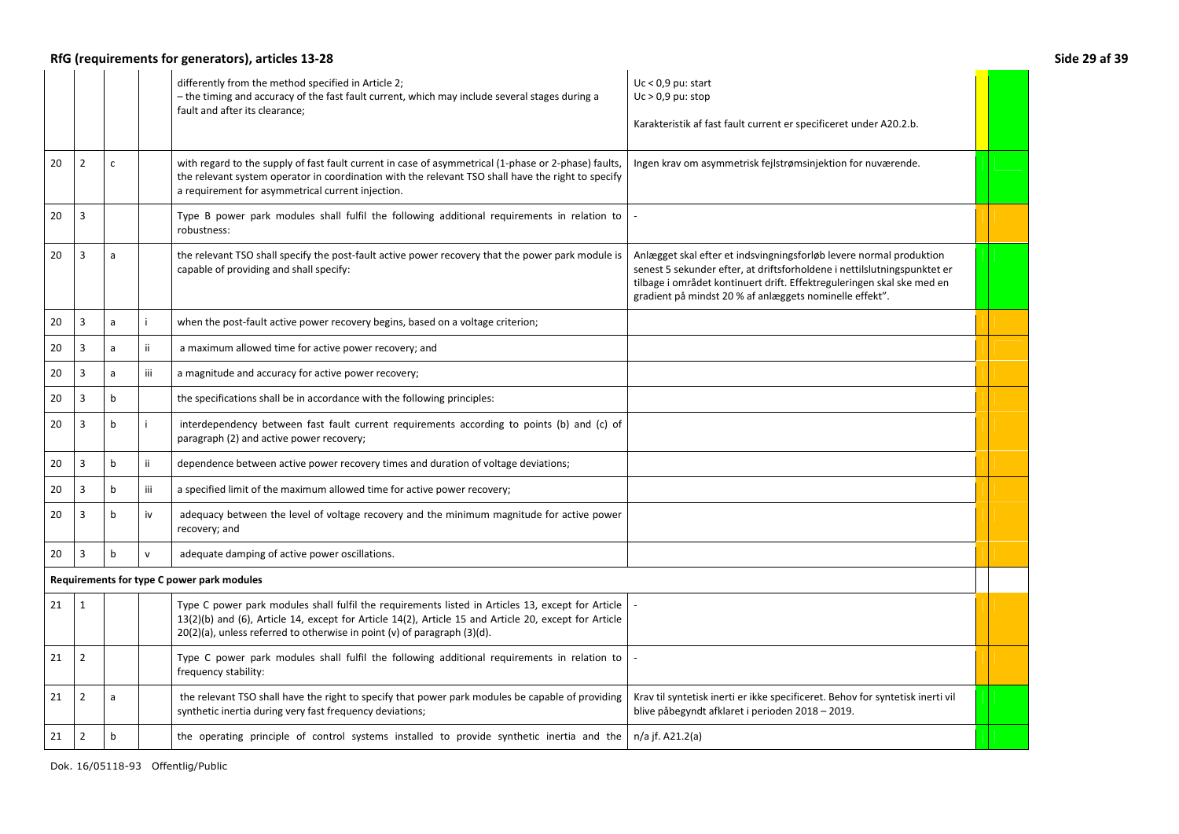## **RfG (requirements for generators), articles 13-28 Side 29 af 39**

|    |                |              |              | differently from the method specified in Article 2;<br>- the timing and accuracy of the fast fault current, which may include several stages during a<br>fault and after its clearance;                                                                                                | $Uc < 0.9$ pu: start<br>$Uc > 0.9$ pu: stop<br>Karakteristik af fast fault current er specificeret under A20.2.b.                                                                                                                                                                    |  |
|----|----------------|--------------|--------------|----------------------------------------------------------------------------------------------------------------------------------------------------------------------------------------------------------------------------------------------------------------------------------------|--------------------------------------------------------------------------------------------------------------------------------------------------------------------------------------------------------------------------------------------------------------------------------------|--|
| 20 | $\overline{2}$ | $\mathsf{C}$ |              | with regard to the supply of fast fault current in case of asymmetrical (1-phase or 2-phase) faults,<br>the relevant system operator in coordination with the relevant TSO shall have the right to specify<br>a requirement for asymmetrical current injection.                        | Ingen krav om asymmetrisk fejlstrømsinjektion for nuværende.                                                                                                                                                                                                                         |  |
| 20 | 3              |              |              | Type B power park modules shall fulfil the following additional requirements in relation to<br>robustness:                                                                                                                                                                             |                                                                                                                                                                                                                                                                                      |  |
| 20 | 3              | a            |              | the relevant TSO shall specify the post-fault active power recovery that the power park module is<br>capable of providing and shall specify:                                                                                                                                           | Anlægget skal efter et indsvingningsforløb levere normal produktion<br>senest 5 sekunder efter, at driftsforholdene i nettilslutningspunktet er<br>tilbage i området kontinuert drift. Effektreguleringen skal ske med en<br>gradient på mindst 20 % af anlæggets nominelle effekt". |  |
| 20 | 3              | a            | i.           | when the post-fault active power recovery begins, based on a voltage criterion;                                                                                                                                                                                                        |                                                                                                                                                                                                                                                                                      |  |
| 20 | 3              | a            | ij.          | a maximum allowed time for active power recovery; and                                                                                                                                                                                                                                  |                                                                                                                                                                                                                                                                                      |  |
| 20 | 3              | a            | iii          | a magnitude and accuracy for active power recovery;                                                                                                                                                                                                                                    |                                                                                                                                                                                                                                                                                      |  |
| 20 | 3              | b            |              | the specifications shall be in accordance with the following principles:                                                                                                                                                                                                               |                                                                                                                                                                                                                                                                                      |  |
| 20 | 3              | $\mathbf b$  |              | interdependency between fast fault current requirements according to points (b) and (c) of<br>paragraph (2) and active power recovery;                                                                                                                                                 |                                                                                                                                                                                                                                                                                      |  |
| 20 | 3              | $\mathbf b$  | ij.          | dependence between active power recovery times and duration of voltage deviations;                                                                                                                                                                                                     |                                                                                                                                                                                                                                                                                      |  |
| 20 | 3              | $\mathbf b$  | iii.         | a specified limit of the maximum allowed time for active power recovery;                                                                                                                                                                                                               |                                                                                                                                                                                                                                                                                      |  |
| 20 | 3              | $\mathbf b$  | iv           | adequacy between the level of voltage recovery and the minimum magnitude for active power<br>recovery; and                                                                                                                                                                             |                                                                                                                                                                                                                                                                                      |  |
| 20 | 3              | $\mathbf b$  | $\mathsf{v}$ | adequate damping of active power oscillations.                                                                                                                                                                                                                                         |                                                                                                                                                                                                                                                                                      |  |
|    |                |              |              | Requirements for type C power park modules                                                                                                                                                                                                                                             |                                                                                                                                                                                                                                                                                      |  |
| 21 | 1              |              |              | Type C power park modules shall fulfil the requirements listed in Articles 13, except for Article<br>13(2)(b) and (6), Article 14, except for Article 14(2), Article 15 and Article 20, except for Article<br>20(2)(a), unless referred to otherwise in point (v) of paragraph (3)(d). |                                                                                                                                                                                                                                                                                      |  |
| 21 | $\overline{2}$ |              |              | Type C power park modules shall fulfil the following additional requirements in relation to<br>frequency stability:                                                                                                                                                                    |                                                                                                                                                                                                                                                                                      |  |
| 21 | $\overline{2}$ | a            |              | the relevant TSO shall have the right to specify that power park modules be capable of providing<br>synthetic inertia during very fast frequency deviations;                                                                                                                           | Krav til syntetisk inerti er ikke specificeret. Behov for syntetisk inerti vil<br>blive påbegyndt afklaret i perioden 2018 - 2019.                                                                                                                                                   |  |
| 21 | $\overline{2}$ | $\mathbf b$  |              | the operating principle of control systems installed to provide synthetic inertia and the                                                                                                                                                                                              | n/a jf. A21.2(a)                                                                                                                                                                                                                                                                     |  |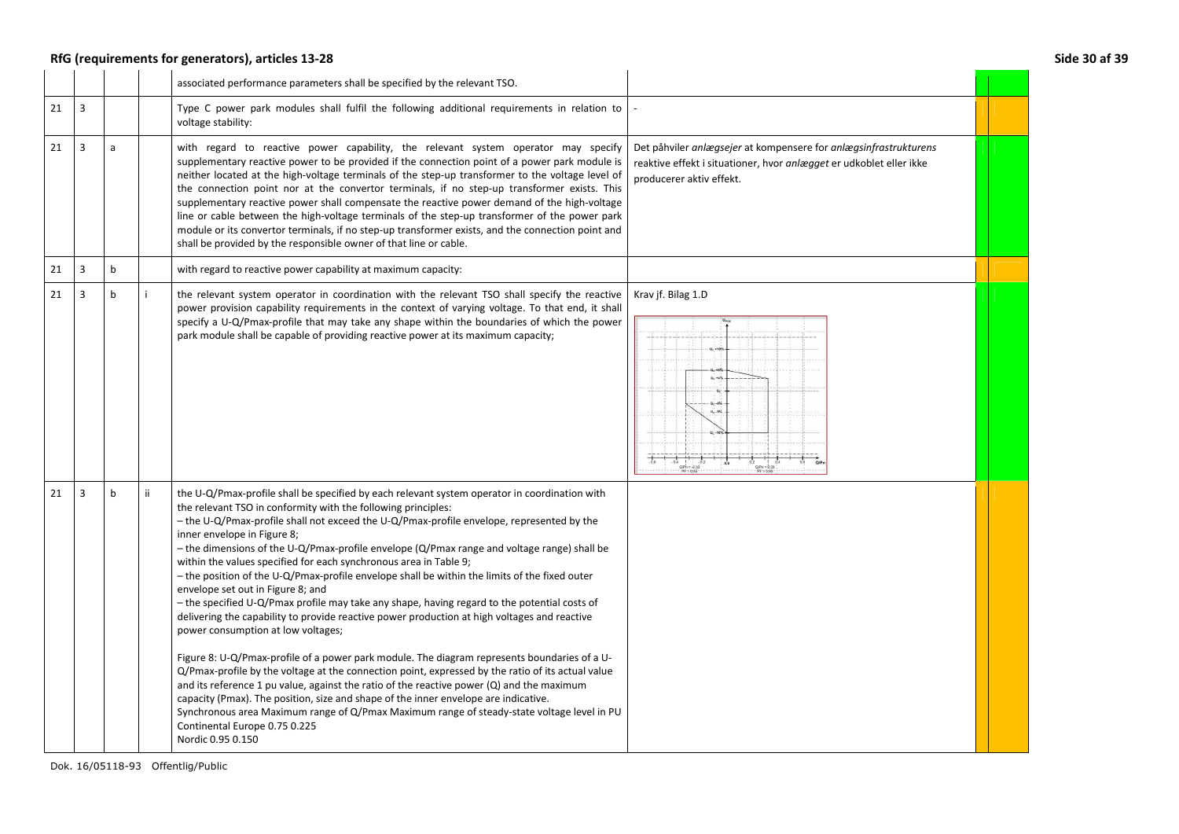## **RfG (requirements for generators), articles 13-28 Side 30 af 39**

|    |                |              |    | associated performance parameters shall be specified by the relevant TSO.                                                                                                                                                                                                                                                                                                                                                                                                                                                                                                                                                                                                                                                                                                                                                                                                                                                                                                                                                                                                                                                                                                                                                                                                                                                                                                                 |                                                                                                                                                                     |  |
|----|----------------|--------------|----|-------------------------------------------------------------------------------------------------------------------------------------------------------------------------------------------------------------------------------------------------------------------------------------------------------------------------------------------------------------------------------------------------------------------------------------------------------------------------------------------------------------------------------------------------------------------------------------------------------------------------------------------------------------------------------------------------------------------------------------------------------------------------------------------------------------------------------------------------------------------------------------------------------------------------------------------------------------------------------------------------------------------------------------------------------------------------------------------------------------------------------------------------------------------------------------------------------------------------------------------------------------------------------------------------------------------------------------------------------------------------------------------|---------------------------------------------------------------------------------------------------------------------------------------------------------------------|--|
| 21 | 3              |              |    | Type C power park modules shall fulfil the following additional requirements in relation to<br>voltage stability:                                                                                                                                                                                                                                                                                                                                                                                                                                                                                                                                                                                                                                                                                                                                                                                                                                                                                                                                                                                                                                                                                                                                                                                                                                                                         |                                                                                                                                                                     |  |
| 21 | $\overline{3}$ | a            |    | with regard to reactive power capability, the relevant system operator may specify<br>supplementary reactive power to be provided if the connection point of a power park module is<br>neither located at the high-voltage terminals of the step-up transformer to the voltage level of<br>the connection point nor at the convertor terminals, if no step-up transformer exists. This<br>supplementary reactive power shall compensate the reactive power demand of the high-voltage<br>line or cable between the high-voltage terminals of the step-up transformer of the power park<br>module or its convertor terminals, if no step-up transformer exists, and the connection point and<br>shall be provided by the responsible owner of that line or cable.                                                                                                                                                                                                                                                                                                                                                                                                                                                                                                                                                                                                                          | Det påhviler anlægsejer at kompensere for anlægsinfrastrukturens<br>reaktive effekt i situationer, hvor anlægget er udkoblet eller ikke<br>producerer aktiv effekt. |  |
| 21 | $\overline{3}$ | $\mathsf{b}$ |    | with regard to reactive power capability at maximum capacity:                                                                                                                                                                                                                                                                                                                                                                                                                                                                                                                                                                                                                                                                                                                                                                                                                                                                                                                                                                                                                                                                                                                                                                                                                                                                                                                             |                                                                                                                                                                     |  |
| 21 | 3              | $\mathsf b$  | i. | the relevant system operator in coordination with the relevant TSO shall specify the reactive<br>power provision capability requirements in the context of varying voltage. To that end, it shall<br>specify a U-Q/Pmax-profile that may take any shape within the boundaries of which the power<br>park module shall be capable of providing reactive power at its maximum capacity;                                                                                                                                                                                                                                                                                                                                                                                                                                                                                                                                                                                                                                                                                                                                                                                                                                                                                                                                                                                                     | Krav jf. Bilag 1.D<br>$u_c - 5%$<br>$-0.4$   $-0.2$<br>QPn = 0.33<br>PF = 0.95<br>$Q/Pn = 0.33$<br>$PF = 0.95$                                                      |  |
| 21 | $\overline{3}$ | b            | ii | the U-Q/Pmax-profile shall be specified by each relevant system operator in coordination with<br>the relevant TSO in conformity with the following principles:<br>- the U-Q/Pmax-profile shall not exceed the U-Q/Pmax-profile envelope, represented by the<br>inner envelope in Figure 8;<br>- the dimensions of the U-Q/Pmax-profile envelope (Q/Pmax range and voltage range) shall be<br>within the values specified for each synchronous area in Table 9;<br>- the position of the U-Q/Pmax-profile envelope shall be within the limits of the fixed outer<br>envelope set out in Figure 8; and<br>- the specified U-Q/Pmax profile may take any shape, having regard to the potential costs of<br>delivering the capability to provide reactive power production at high voltages and reactive<br>power consumption at low voltages;<br>Figure 8: U-Q/Pmax-profile of a power park module. The diagram represents boundaries of a U-<br>Q/Pmax-profile by the voltage at the connection point, expressed by the ratio of its actual value<br>and its reference 1 pu value, against the ratio of the reactive power $(Q)$ and the maximum<br>capacity (Pmax). The position, size and shape of the inner envelope are indicative.<br>Synchronous area Maximum range of Q/Pmax Maximum range of steady-state voltage level in PU<br>Continental Europe 0.75 0.225<br>Nordic 0.95 0.150 |                                                                                                                                                                     |  |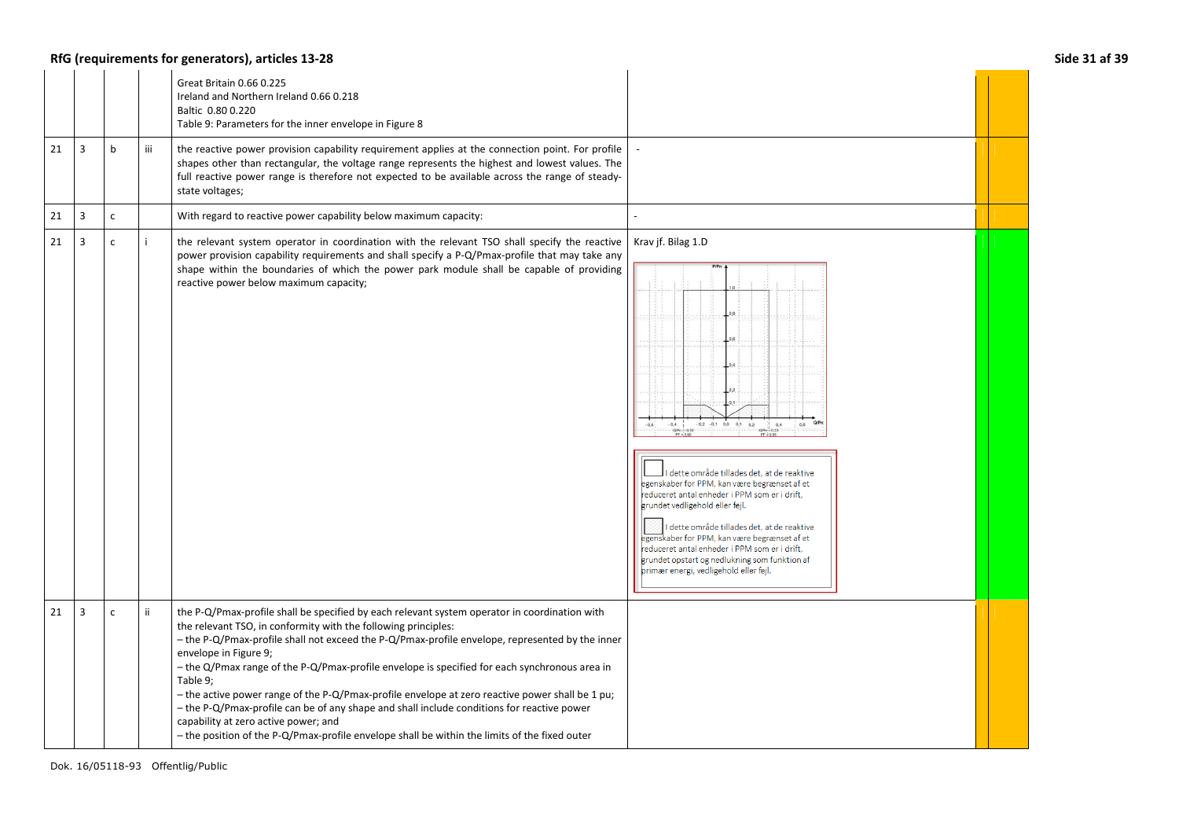## **RfG (requirements for generators), articles 13-28 Side 31 af 39**

|    |   |              |     | Great Britain 0.66 0.225<br>Ireland and Northern Ireland 0.66 0.218<br>Baltic 0.80 0.220<br>Table 9: Parameters for the inner envelope in Figure 8                                                                                                                                                                                                                                                                                                                                                                                                                                                                                                                                                                                                 |                                                                                                                                                                                                                                                                                                                                                                                                                                                                                                               |  |
|----|---|--------------|-----|----------------------------------------------------------------------------------------------------------------------------------------------------------------------------------------------------------------------------------------------------------------------------------------------------------------------------------------------------------------------------------------------------------------------------------------------------------------------------------------------------------------------------------------------------------------------------------------------------------------------------------------------------------------------------------------------------------------------------------------------------|---------------------------------------------------------------------------------------------------------------------------------------------------------------------------------------------------------------------------------------------------------------------------------------------------------------------------------------------------------------------------------------------------------------------------------------------------------------------------------------------------------------|--|
| 21 | 3 | b            | iii | the reactive power provision capability requirement applies at the connection point. For profile<br>shapes other than rectangular, the voltage range represents the highest and lowest values. The<br>full reactive power range is therefore not expected to be available across the range of steady-<br>state voltages;                                                                                                                                                                                                                                                                                                                                                                                                                           |                                                                                                                                                                                                                                                                                                                                                                                                                                                                                                               |  |
| 21 | 3 | $\mathsf{C}$ |     | With regard to reactive power capability below maximum capacity:                                                                                                                                                                                                                                                                                                                                                                                                                                                                                                                                                                                                                                                                                   |                                                                                                                                                                                                                                                                                                                                                                                                                                                                                                               |  |
| 21 | 3 | $\mathsf{C}$ |     | the relevant system operator in coordination with the relevant TSO shall specify the reactive<br>power provision capability requirements and shall specify a P-Q/Pmax-profile that may take any<br>shape within the boundaries of which the power park module shall be capable of providing<br>reactive power below maximum capacity;                                                                                                                                                                                                                                                                                                                                                                                                              | Krav jf. Bilag 1.D<br>$-0.2 -0.1$ 0.0 0.1 0.2<br>$-0.6$<br>$-0.4 - 1$<br>0.4<br>0,6<br>dette område tillades det, at de reaktive<br>egenskaber for PPM, kan være begrænset af et<br>reduceret antal enheder i PPM som er i drift,<br>grundet vedligehold eller fejl.<br>dette område tillades det, at de reaktive<br>egenskaber for PPM, kan være begrænset af et<br>reduceret antal enheder i PPM som er i drift,<br>grundet opstart og nedlukning som funktion af<br>primær energi, vedligehold eller fejl. |  |
| 21 | 3 | $\mathsf{C}$ | ii  | the P-Q/Pmax-profile shall be specified by each relevant system operator in coordination with<br>the relevant TSO, in conformity with the following principles:<br>- the P-Q/Pmax-profile shall not exceed the P-Q/Pmax-profile envelope, represented by the inner<br>envelope in Figure 9;<br>- the Q/Pmax range of the P-Q/Pmax-profile envelope is specified for each synchronous area in<br>Table 9;<br>- the active power range of the P-Q/Pmax-profile envelope at zero reactive power shall be 1 pu;<br>- the P-Q/Pmax-profile can be of any shape and shall include conditions for reactive power<br>capability at zero active power; and<br>- the position of the P-Q/Pmax-profile envelope shall be within the limits of the fixed outer |                                                                                                                                                                                                                                                                                                                                                                                                                                                                                                               |  |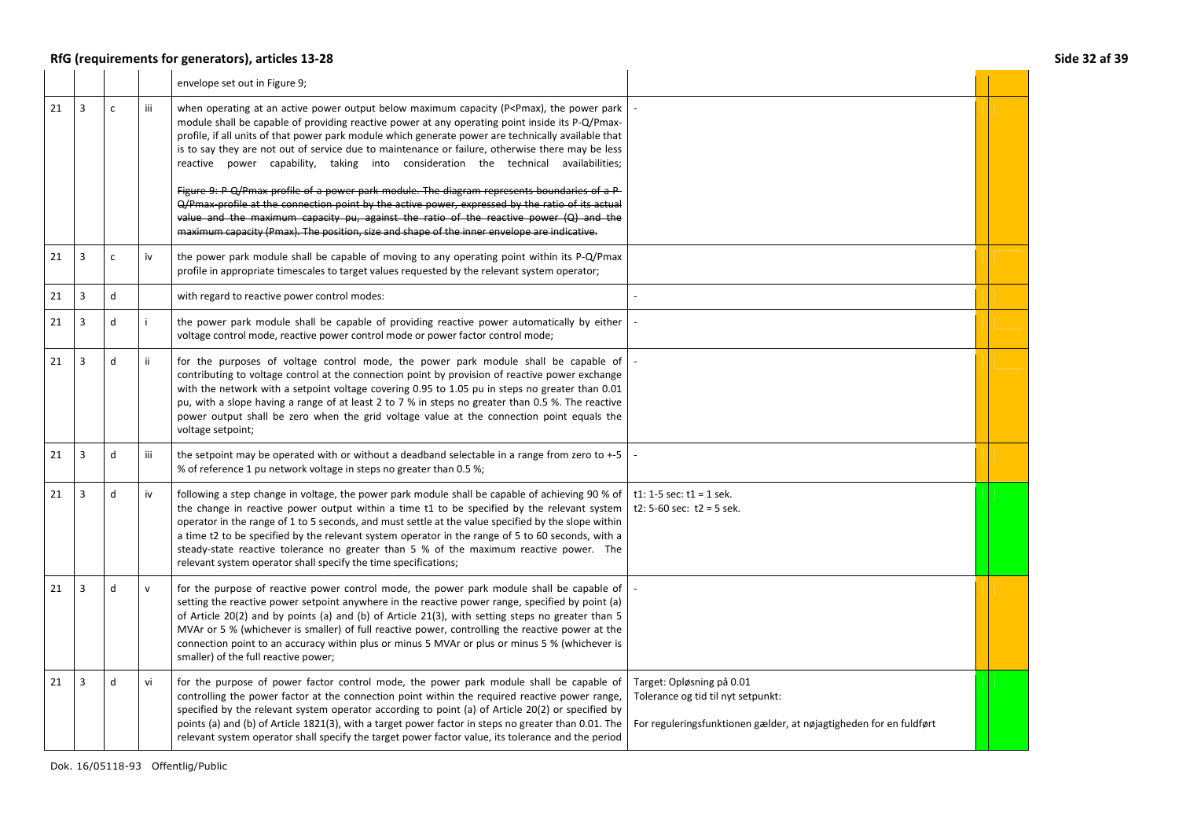|    |                |              |              | RfG (requirements for generators), articles 13-28                                                                                                                                                                                                                                                                                                                                                                                                                                                                                                                                                                  |                                                                                                                                       | Side 32 af 39 |
|----|----------------|--------------|--------------|--------------------------------------------------------------------------------------------------------------------------------------------------------------------------------------------------------------------------------------------------------------------------------------------------------------------------------------------------------------------------------------------------------------------------------------------------------------------------------------------------------------------------------------------------------------------------------------------------------------------|---------------------------------------------------------------------------------------------------------------------------------------|---------------|
|    |                |              |              | envelope set out in Figure 9;                                                                                                                                                                                                                                                                                                                                                                                                                                                                                                                                                                                      |                                                                                                                                       |               |
| 21 | $\overline{3}$ | $\mathsf{C}$ | iii          | when operating at an active power output below maximum capacity (P <pmax), park<br="" power="" the="">module shall be capable of providing reactive power at any operating point inside its P-Q/Pmax-<br/>profile, if all units of that power park module which generate power are technically available that<br/>is to say they are not out of service due to maintenance or failure, otherwise there may be less<br/>reactive power capability, taking into consideration the technical availabilities;<br/>Figure 9: P Q/Pmax profile of a power park module. The diagram represents boundaries of a P</pmax),> |                                                                                                                                       |               |
|    |                |              |              | Q/Pmax-profile at the connection point by the active power, expressed by the ratio of its actual<br>value and the maximum capacity pu, against the ratio of the reactive power (Q) and the<br>maximum capacity (Pmax). The position, size and shape of the inner envelope are indicative.                                                                                                                                                                                                                                                                                                                          |                                                                                                                                       |               |
| 21 | 3              | $\mathsf{C}$ | iv           | the power park module shall be capable of moving to any operating point within its P-Q/Pmax<br>profile in appropriate timescales to target values requested by the relevant system operator;                                                                                                                                                                                                                                                                                                                                                                                                                       |                                                                                                                                       |               |
| 21 | $\overline{3}$ | $\mathsf{d}$ |              | with regard to reactive power control modes:                                                                                                                                                                                                                                                                                                                                                                                                                                                                                                                                                                       |                                                                                                                                       |               |
| 21 | 3              | d            |              | the power park module shall be capable of providing reactive power automatically by either<br>voltage control mode, reactive power control mode or power factor control mode;                                                                                                                                                                                                                                                                                                                                                                                                                                      |                                                                                                                                       |               |
| 21 | $\overline{3}$ | $\mathsf{d}$ | ii.          | for the purposes of voltage control mode, the power park module shall be capable of<br>contributing to voltage control at the connection point by provision of reactive power exchange<br>with the network with a setpoint voltage covering 0.95 to 1.05 pu in steps no greater than 0.01<br>pu, with a slope having a range of at least 2 to 7 % in steps no greater than 0.5 %. The reactive<br>power output shall be zero when the grid voltage value at the connection point equals the<br>voltage setpoint;                                                                                                   |                                                                                                                                       |               |
| 21 | $\overline{3}$ | ${\sf d}$    | iii          | the setpoint may be operated with or without a deadband selectable in a range from zero to +-5<br>% of reference 1 pu network voltage in steps no greater than 0.5 %;                                                                                                                                                                                                                                                                                                                                                                                                                                              |                                                                                                                                       |               |
| 21 | $\overline{3}$ | $\mathbf d$  | iv           | following a step change in voltage, the power park module shall be capable of achieving 90 % of<br>the change in reactive power output within a time t1 to be specified by the relevant system<br>operator in the range of 1 to 5 seconds, and must settle at the value specified by the slope within<br>a time t2 to be specified by the relevant system operator in the range of 5 to 60 seconds, with a<br>steady-state reactive tolerance no greater than 5 % of the maximum reactive power. The<br>relevant system operator shall specify the time specifications;                                            | t1: 1-5 sec: $t1 = 1$ sek.<br>t2: 5-60 sec: $t2 = 5$ sek.                                                                             |               |
| 21 | 3              | $\mathsf{d}$ | $\mathsf{v}$ | for the purpose of reactive power control mode, the power park module shall be capable of<br>setting the reactive power setpoint anywhere in the reactive power range, specified by point (a)<br>of Article 20(2) and by points (a) and (b) of Article 21(3), with setting steps no greater than 5<br>MVAr or 5 % (whichever is smaller) of full reactive power, controlling the reactive power at the<br>connection point to an accuracy within plus or minus 5 MVAr or plus or minus 5 % (whichever is<br>smaller) of the full reactive power;                                                                   |                                                                                                                                       |               |
| 21 | 3              | d            | vi           | for the purpose of power factor control mode, the power park module shall be capable of<br>controlling the power factor at the connection point within the required reactive power range,<br>specified by the relevant system operator according to point (a) of Article 20(2) or specified by<br>points (a) and (b) of Article 1821(3), with a target power factor in steps no greater than 0.01. The<br>relevant system operator shall specify the target power factor value, its tolerance and the period                                                                                                       | Target: Opløsning på 0.01<br>Tolerance og tid til nyt setpunkt:<br>For reguleringsfunktionen gælder, at nøjagtigheden for en fuldført |               |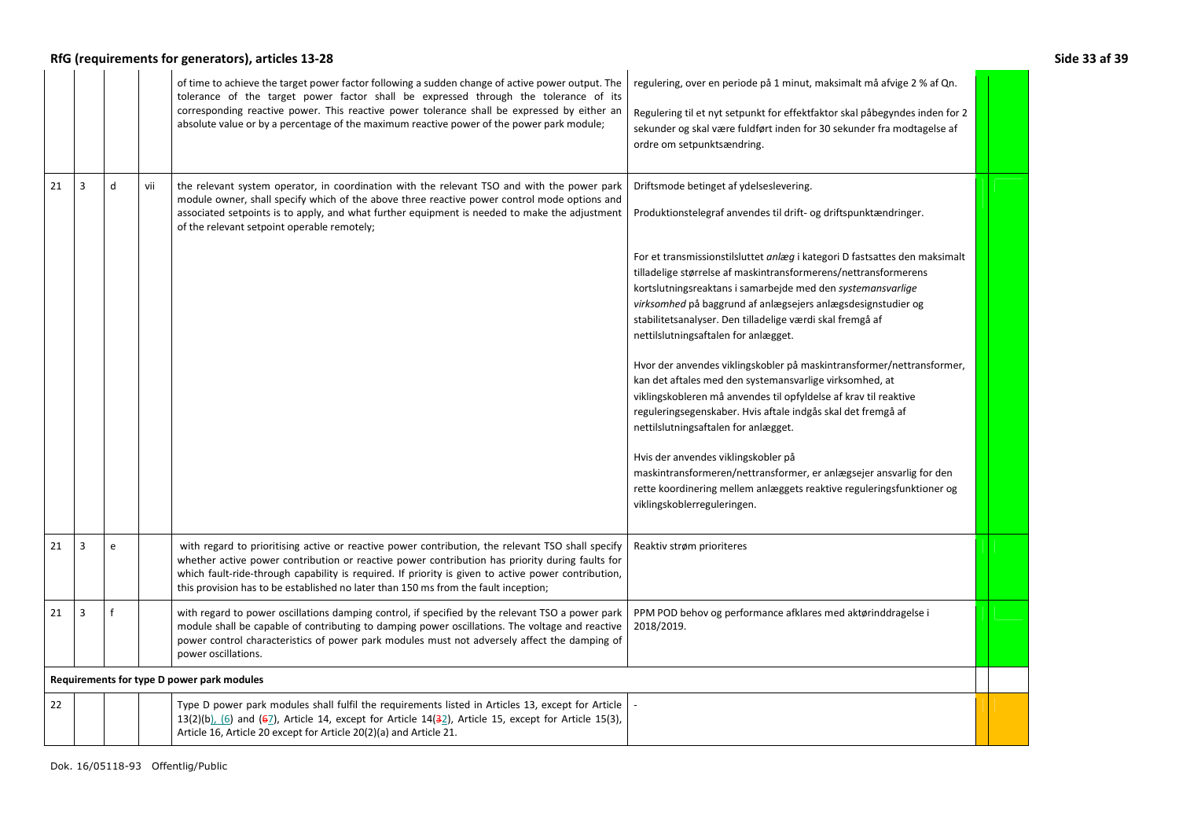|    |                |   |     | RfG (requirements for generators), articles 13-28                                                                                                                                                                                                                                                                                                                                                  |                                                                                                                                                                                                                                                                                                                                                                                                                                                                                                                                                                                                                                                                                                                                                                                                                                                                                                                                                                                                                                        | Side 33 af 39 |
|----|----------------|---|-----|----------------------------------------------------------------------------------------------------------------------------------------------------------------------------------------------------------------------------------------------------------------------------------------------------------------------------------------------------------------------------------------------------|----------------------------------------------------------------------------------------------------------------------------------------------------------------------------------------------------------------------------------------------------------------------------------------------------------------------------------------------------------------------------------------------------------------------------------------------------------------------------------------------------------------------------------------------------------------------------------------------------------------------------------------------------------------------------------------------------------------------------------------------------------------------------------------------------------------------------------------------------------------------------------------------------------------------------------------------------------------------------------------------------------------------------------------|---------------|
|    |                |   |     | of time to achieve the target power factor following a sudden change of active power output. The<br>tolerance of the target power factor shall be expressed through the tolerance of its<br>corresponding reactive power. This reactive power tolerance shall be expressed by either an<br>absolute value or by a percentage of the maximum reactive power of the power park module;               | regulering, over en periode på 1 minut, maksimalt må afvige 2 % af Qn.<br>Regulering til et nyt setpunkt for effektfaktor skal påbegyndes inden for 2<br>sekunder og skal være fuldført inden for 30 sekunder fra modtagelse af<br>ordre om setpunktsændring.                                                                                                                                                                                                                                                                                                                                                                                                                                                                                                                                                                                                                                                                                                                                                                          |               |
| 21 | $\overline{3}$ | d | vii | the relevant system operator, in coordination with the relevant TSO and with the power park<br>module owner, shall specify which of the above three reactive power control mode options and<br>associated setpoints is to apply, and what further equipment is needed to make the adjustment<br>of the relevant setpoint operable remotely;                                                        | Driftsmode betinget af ydelseslevering.<br>Produktionstelegraf anvendes til drift- og driftspunktændringer.<br>For et transmissionstilsluttet anlæg i kategori D fastsattes den maksimalt<br>tilladelige størrelse af maskintransformerens/nettransformerens<br>kortslutningsreaktans i samarbejde med den systemansvarlige<br>virksomhed på baggrund af anlægsejers anlægsdesignstudier og<br>stabilitetsanalyser. Den tilladelige værdi skal fremgå af<br>nettilslutningsaftalen for anlægget.<br>Hvor der anvendes viklingskobler på maskintransformer/nettransformer,<br>kan det aftales med den systemansvarlige virksomhed, at<br>viklingskobleren må anvendes til opfyldelse af krav til reaktive<br>reguleringsegenskaber. Hvis aftale indgås skal det fremgå af<br>nettilslutningsaftalen for anlægget.<br>Hvis der anvendes viklingskobler på<br>maskintransformeren/nettransformer, er anlægsejer ansvarlig for den<br>rette koordinering mellem anlæggets reaktive reguleringsfunktioner og<br>viklingskoblerreguleringen. |               |
| 21 | 3              | e |     | with regard to prioritising active or reactive power contribution, the relevant TSO shall specify<br>whether active power contribution or reactive power contribution has priority during faults for<br>which fault-ride-through capability is required. If priority is given to active power contribution,<br>this provision has to be established no later than 150 ms from the fault inception; | Reaktiv strøm prioriteres                                                                                                                                                                                                                                                                                                                                                                                                                                                                                                                                                                                                                                                                                                                                                                                                                                                                                                                                                                                                              |               |
| 21 | 3              |   |     | with regard to power oscillations damping control, if specified by the relevant TSO a power park<br>module shall be capable of contributing to damping power oscillations. The voltage and reactive<br>power control characteristics of power park modules must not adversely affect the damping of<br>power oscillations.                                                                         | PPM POD behov og performance afklares med aktørinddragelse i<br>2018/2019.                                                                                                                                                                                                                                                                                                                                                                                                                                                                                                                                                                                                                                                                                                                                                                                                                                                                                                                                                             |               |
|    |                |   |     | Requirements for type D power park modules                                                                                                                                                                                                                                                                                                                                                         |                                                                                                                                                                                                                                                                                                                                                                                                                                                                                                                                                                                                                                                                                                                                                                                                                                                                                                                                                                                                                                        |               |
| 22 |                |   |     | Type D power park modules shall fulfil the requirements listed in Articles 13, except for Article<br>$13(2)(b)$ , (6) and (67), Article 14, except for Article 14(32), Article 15, except for Article 15(3),<br>Article 16, Article 20 except for Article 20(2)(a) and Article 21.                                                                                                                 |                                                                                                                                                                                                                                                                                                                                                                                                                                                                                                                                                                                                                                                                                                                                                                                                                                                                                                                                                                                                                                        |               |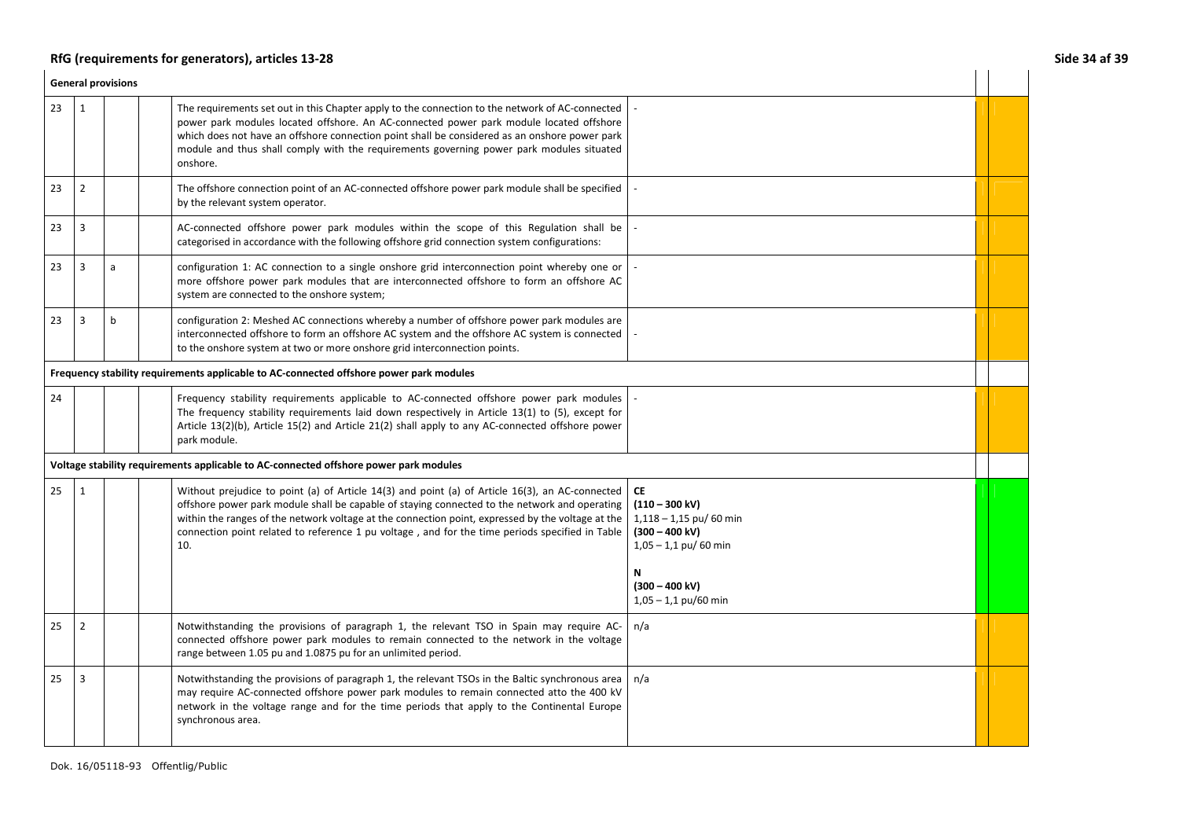# RfG (requirements for generators), articles 13-28 **Side 34 af 39** Side 34 af 39 **Side 34 af 39**

|    | <b>General provisions</b> |   |                                                                                                                                                                                                                                                                                                                                                                                                                 |                                                                                                                                                                              |  |  |  |
|----|---------------------------|---|-----------------------------------------------------------------------------------------------------------------------------------------------------------------------------------------------------------------------------------------------------------------------------------------------------------------------------------------------------------------------------------------------------------------|------------------------------------------------------------------------------------------------------------------------------------------------------------------------------|--|--|--|
| 23 | 1                         |   | The requirements set out in this Chapter apply to the connection to the network of AC-connected<br>power park modules located offshore. An AC-connected power park module located offshore<br>which does not have an offshore connection point shall be considered as an onshore power park<br>module and thus shall comply with the requirements governing power park modules situated<br>onshore.             |                                                                                                                                                                              |  |  |  |
| 23 | $\overline{2}$            |   | The offshore connection point of an AC-connected offshore power park module shall be specified<br>by the relevant system operator.                                                                                                                                                                                                                                                                              |                                                                                                                                                                              |  |  |  |
| 23 | 3                         |   | AC-connected offshore power park modules within the scope of this Regulation shall be<br>categorised in accordance with the following offshore grid connection system configurations:                                                                                                                                                                                                                           |                                                                                                                                                                              |  |  |  |
| 23 | $\overline{3}$            | a | configuration 1: AC connection to a single onshore grid interconnection point whereby one or<br>more offshore power park modules that are interconnected offshore to form an offshore AC<br>system are connected to the onshore system;                                                                                                                                                                         |                                                                                                                                                                              |  |  |  |
| 23 | 3                         | b | configuration 2: Meshed AC connections whereby a number of offshore power park modules are<br>interconnected offshore to form an offshore AC system and the offshore AC system is connected<br>to the onshore system at two or more onshore grid interconnection points.                                                                                                                                        |                                                                                                                                                                              |  |  |  |
|    |                           |   | Frequency stability requirements applicable to AC-connected offshore power park modules                                                                                                                                                                                                                                                                                                                         |                                                                                                                                                                              |  |  |  |
| 24 |                           |   | Frequency stability requirements applicable to AC-connected offshore power park modules<br>The frequency stability requirements laid down respectively in Article 13(1) to (5), except for<br>Article 13(2)(b), Article 15(2) and Article 21(2) shall apply to any AC-connected offshore power<br>park module.                                                                                                  |                                                                                                                                                                              |  |  |  |
|    |                           |   | Voltage stability requirements applicable to AC-connected offshore power park modules                                                                                                                                                                                                                                                                                                                           |                                                                                                                                                                              |  |  |  |
| 25 | $\mathbf{1}$              |   | Without prejudice to point (a) of Article 14(3) and point (a) of Article 16(3), an AC-connected<br>offshore power park module shall be capable of staying connected to the network and operating<br>within the ranges of the network voltage at the connection point, expressed by the voltage at the<br>connection point related to reference 1 pu voltage, and for the time periods specified in Table<br>10. | <b>CE</b><br>$(110 - 300 \text{ kV})$<br>$1,118 - 1,15$ pu/ 60 min<br>$(300 - 400 \text{ kV})$<br>$1,05 - 1,1$ pu/ 60 min<br>N<br>$(300 - 400$ kV)<br>$1,05 - 1,1$ pu/60 min |  |  |  |
| 25 | $\overline{2}$            |   | Notwithstanding the provisions of paragraph 1, the relevant TSO in Spain may require AC-<br>connected offshore power park modules to remain connected to the network in the voltage<br>range between 1.05 pu and 1.0875 pu for an unlimited period.                                                                                                                                                             | n/a                                                                                                                                                                          |  |  |  |
| 25 | 3                         |   | Notwithstanding the provisions of paragraph 1, the relevant TSOs in the Baltic synchronous area<br>may require AC-connected offshore power park modules to remain connected atto the 400 kV<br>network in the voltage range and for the time periods that apply to the Continental Europe<br>synchronous area.                                                                                                  | n/a                                                                                                                                                                          |  |  |  |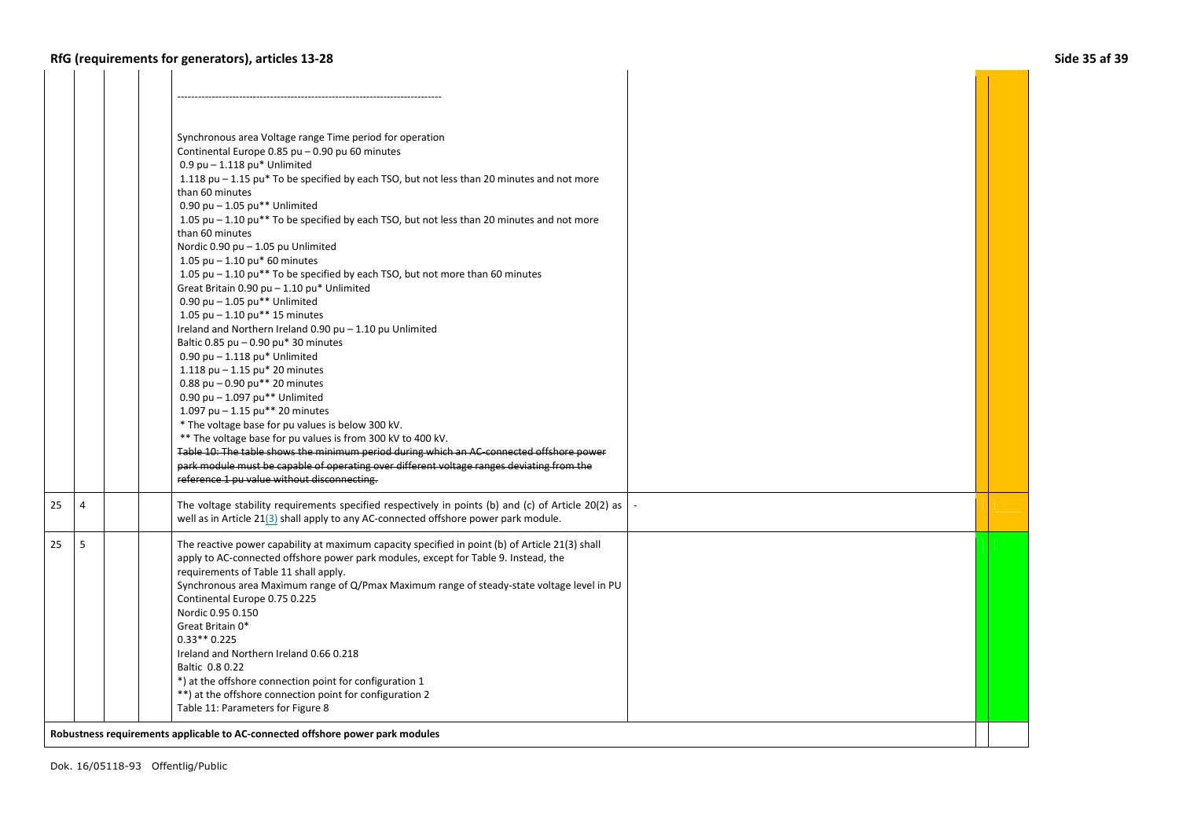- 1

| Synchronous area Voltage range Time period for operation<br>Continental Europe 0.85 pu - 0.90 pu 60 minutes<br>$0.9$ pu $- 1.118$ pu* Unlimited<br>1.118 pu - 1.15 pu* To be specified by each TSO, but not less than 20 minutes and not more<br>than 60 minutes<br>0.90 pu $-$ 1.05 pu** Unlimited<br>1.05 pu – 1.10 pu** To be specified by each TSO, but not less than 20 minutes and not more<br>than 60 minutes<br>Nordic 0.90 pu - 1.05 pu Unlimited<br>1.05 pu $-$ 1.10 pu* 60 minutes<br>1.05 pu - 1.10 pu** To be specified by each TSO, but not more than 60 minutes<br>Great Britain 0.90 pu - 1.10 pu* Unlimited<br>0.90 pu $-$ 1.05 pu** Unlimited<br>1.05 pu $-$ 1.10 pu** 15 minutes<br>Ireland and Northern Ireland 0.90 pu - 1.10 pu Unlimited<br>Baltic 0.85 pu $-$ 0.90 pu* 30 minutes<br>$0.90$ pu $- 1.118$ pu* Unlimited<br>1.118 pu $-$ 1.15 pu* 20 minutes<br>0.88 pu $-$ 0.90 pu** 20 minutes<br>0.90 pu $-$ 1.097 pu** Unlimited<br>1.097 pu $-$ 1.15 pu** 20 minutes<br>* The voltage base for pu values is below 300 kV.<br>** The voltage base for pu values is from 300 kV to 400 kV.<br>Table 10: The table shows the minimum period during which an AC connected offshore power<br>park module must be capable of operating over different voltage ranges deviating from the |                                                                                                                                     |
|--------------------------------------------------------------------------------------------------------------------------------------------------------------------------------------------------------------------------------------------------------------------------------------------------------------------------------------------------------------------------------------------------------------------------------------------------------------------------------------------------------------------------------------------------------------------------------------------------------------------------------------------------------------------------------------------------------------------------------------------------------------------------------------------------------------------------------------------------------------------------------------------------------------------------------------------------------------------------------------------------------------------------------------------------------------------------------------------------------------------------------------------------------------------------------------------------------------------------------------------------------------------------------------------------------------|-------------------------------------------------------------------------------------------------------------------------------------|
| The voltage stability requirements specified respectively in points (b) and (c) of Article 20(2) as                                                                                                                                                                                                                                                                                                                                                                                                                                                                                                                                                                                                                                                                                                                                                                                                                                                                                                                                                                                                                                                                                                                                                                                                          |                                                                                                                                     |
| The reactive power capability at maximum capacity specified in point (b) of Article 21(3) shall<br>apply to AC-connected offshore power park modules, except for Table 9. Instead, the<br>requirements of Table 11 shall apply.<br>Synchronous area Maximum range of Q/Pmax Maximum range of steady-state voltage level in PU<br>Continental Europe 0.75 0.225<br>Nordic 0.95 0.150<br>Great Britain 0*<br>$0.33**0.225$<br>Ireland and Northern Ireland 0.66 0.218<br>Baltic 0.8 0.22                                                                                                                                                                                                                                                                                                                                                                                                                                                                                                                                                                                                                                                                                                                                                                                                                       |                                                                                                                                     |
|                                                                                                                                                                                                                                                                                                                                                                                                                                                                                                                                                                                                                                                                                                                                                                                                                                                                                                                                                                                                                                                                                                                                                                                                                                                                                                              | reference 1 pu value without disconnecting.<br>well as in Article 21(3) shall apply to any AC-connected offshore power park module. |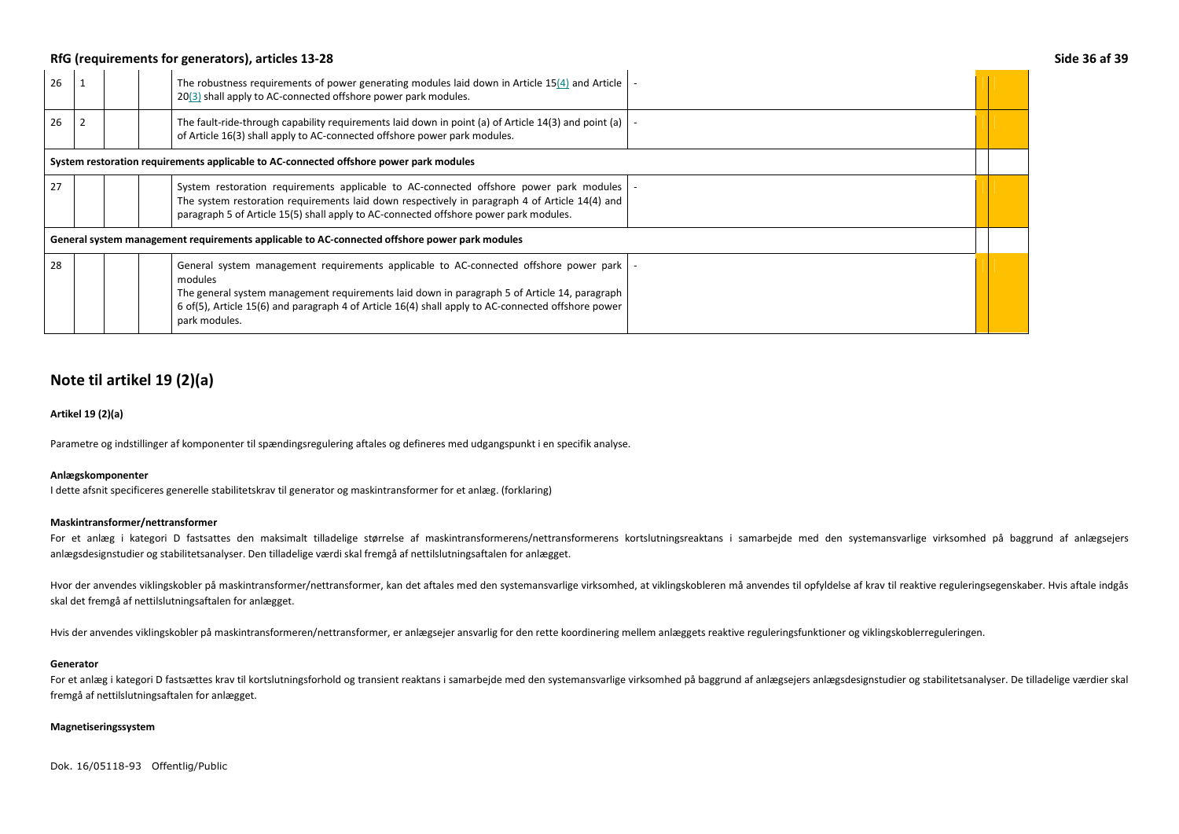### RfG (requirements for generators), articles 13-28 **Side 36 af 39** Side 36 af 39

| 26                                                                                            |  |  | The robustness requirements of power generating modules laid down in Article 15(4) and Article<br>20(3) shall apply to AC-connected offshore power park modules.                                                                                                                                                        |  |  |
|-----------------------------------------------------------------------------------------------|--|--|-------------------------------------------------------------------------------------------------------------------------------------------------------------------------------------------------------------------------------------------------------------------------------------------------------------------------|--|--|
| 26                                                                                            |  |  | The fault-ride-through capability requirements laid down in point (a) of Article 14(3) and point (a)<br>of Article 16(3) shall apply to AC-connected offshore power park modules.                                                                                                                                       |  |  |
| System restoration requirements applicable to AC-connected offshore power park modules        |  |  |                                                                                                                                                                                                                                                                                                                         |  |  |
| 27                                                                                            |  |  | System restoration requirements applicable to AC-connected offshore power park modules<br>The system restoration requirements laid down respectively in paragraph 4 of Article 14(4) and<br>paragraph 5 of Article 15(5) shall apply to AC-connected offshore power park modules.                                       |  |  |
| General system management requirements applicable to AC-connected offshore power park modules |  |  |                                                                                                                                                                                                                                                                                                                         |  |  |
| 28                                                                                            |  |  | General system management requirements applicable to AC-connected offshore power park<br>modules<br>The general system management requirements laid down in paragraph 5 of Article 14, paragraph<br>6 of(5), Article 15(6) and paragraph 4 of Article 16(4) shall apply to AC-connected offshore power<br>park modules. |  |  |

## **Note til artikel 19 (2)(a)**

### **Artikel 19 (2)(a)**

Parametre og indstillinger af komponenter til spændingsregulering aftales og defineres med udgangspunkt i en specifik analyse.

### **Anlægskomponenter**

I dette afsnit specificeres generelle stabilitetskrav til generator og maskintransformer for et anlæg. (forklaring)

#### **Maskintransformer/nettransformer**

For et anlæg i kategori D fastsattes den maksimalt tilladelige størrelse af maskintransformerens/nettransformerens kortslutningsreaktans i samarbejde med den systemansvarlige virksomhed på baggrund af anlægsejers anlægsdesignstudier og stabilitetsanalyser. Den tilladelige værdi skal fremgå af nettilslutningsaftalen for anlægget.

Hvor der anvendes viklingskobler på maskintransformer/nettransformer, kan det aftales med den systemansvarlige virksomhed, at viklingskobleren må anvendes til opfyldelse af krav til reaktive reguleringsegenskaber. Hvis aft skal det fremgå af nettilslutningsaftalen for anlægget.

Hvis der anvendes viklingskobler på maskintransformeren/nettransformer, er anlægsejer ansvarlig for den rette koordinering mellem anlæggets reaktive reguleringsfunktioner og viklingskoblerreguleringen.

#### **Generator**

For et anlæg i kategori D fastsættes krav til kortslutningsforhold og transient reaktans i samarbejde med den systemansvarlige virksomhed på baggrund af anlægsejers anlægsdesignstudier og stabilitetsanalyser. De tilladelig fremgå af nettilslutningsaftalen for anlægget.

### **Magnetiseringssystem**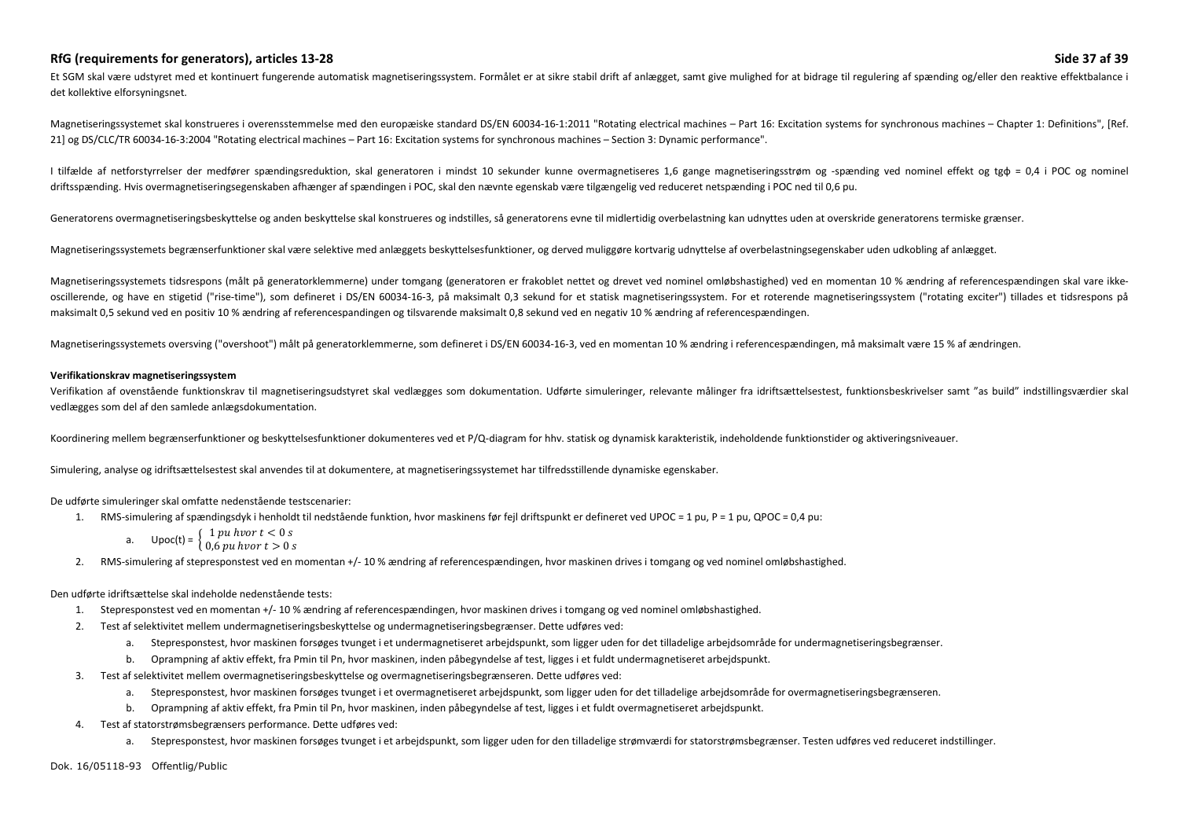## **RfG (requirements for generators), articles 13-28 Side 37 af 39**

Et SGM skal være udstyret med et kontinuert fungerende automatisk magnetiseringssystem. Formålet er at sikre stabil drift af anlægget, samt give mulighed for at bidrage til regulering af spænding og/eller den reaktive effe det kollektive elforsyningsnet.

Magnetiseringssystemet skal konstrueres i overensstemmelse med den europæiske standard DS/EN 60034-16-1:2011 "Rotating electrical machines - Part 16: Excitation systems for synchronous machines - Chapter 1: Definitions", [ 21] og DS/CLC/TR 60034-16-3:2004 "Rotating electrical machines – Part 16: Excitation systems for synchronous machines – Section 3: Dynamic performance".

I tilfælde af netforstyrrelser der medfører spændingsreduktion, skal generatoren i mindst 10 sekunder kunne overmagnetiseres 1,6 gange magnetiseringsstrøm og -spænding ved nominel effekt og tgф = 0,4 i POC og nominel driftsspænding. Hvis overmagnetiseringsegenskaben afhænger af spændingen i POC, skal den nævnte egenskab være tilgængelig ved reduceret netspænding i POC ned til 0,6 pu.

Generatorens overmagnetiseringsbeskyttelse og anden beskyttelse skal konstrueres og indstilles, så generatorens evne til midlertidig overbelastning kan udnyttes uden at overskride generatorens termiske grænser.

Magnetiseringssystemets begrænserfunktioner skal være selektive med anlæggets beskyttelsesfunktioner, og derved muliggøre kortvarig udnyttelse af overbelastningsegenskaber uden udkobling af anlægget.

Magnetiseringssystemets tidsrespons (målt på generatorklemmerne) under tomgang (generatoren er frakoblet nettet og drevet ved nominel omløbshastighed) ved en momentan 10 % ændring af referencespændingen skal vare ikkeoscillerende, og have en stigetid ("rise-time"), som defineret i DS/EN 60034-16-3, på maksimalt 0,3 sekund for et statisk magnetiseringssystem. For et roterende magnetiseringssystem ("rotating exciter") tillades et tidsres maksimalt 0,5 sekund ved en positiv 10 % ændring af referencespandingen og tilsvarende maksimalt 0,8 sekund ved en negativ 10 % ændring af referencespændingen.

Magnetiseringssystemets oversving ("overshoot") målt på generatorklemmerne, som defineret i DS/EN 60034-16-3, ved en momentan 10 % ændring i referencespændingen, må maksimalt være 15 % af ændringen.

#### **Verifikationskrav magnetiseringssystem**

Verifikation af ovenstående funktionskrav til magnetiseringsudstyret skal vedlægges som dokumentation. Udførte simuleringer, relevante målinger fra idriftsættelsestest, funktionsbeskrivelser samt "as build" indstillingsvær vedlægges som del af den samlede anlægsdokumentation.

Koordinering mellem begrænserfunktioner og beskyttelsesfunktioner dokumenteres ved et P/Q-diagram for hhv. statisk og dynamisk karakteristik, indeholdende funktionstider og aktiveringsniveauer.

Simulering, analyse og idriftsættelsestest skal anvendes til at dokumentere, at magnetiseringssystemet har tilfredsstillende dynamiske egenskaber.

### De udførte simuleringer skal omfatte nedenstående testscenarier:

- 1. RMS-simulering af spændingsdyk i henholdt til nedstående funktion, hvor maskinens før fejl driftspunkt er defineret ved UPOC = 1 pu, P = 1 pu, QPOC = 0,4 pu:
	-
	- a. Upoc(t) =  $\begin{cases} 1 \text{ pu hvor } t < 0 \text{ s} \\ 0.6 \text{ pu hvor } t > 0 \text{ s} \end{cases}$
- 2. RMS-simulering af stepresponstest ved en momentan +/- 10 % ændring af referencespændingen, hvor maskinen drives i tomgang og ved nominel omløbshastighed.

### Den udførte idriftsættelse skal indeholde nedenstående tests:

- 1.Stepresponstest ved en momentan +/- 10 % ændring af referencespændingen, hvor maskinen drives i tomgang og ved nominel omløbshastighed.
- 2. Test af selektivitet mellem undermagnetiseringsbeskyttelse og undermagnetiseringsbegrænser. Dette udføres ved:
	- a.Stepresponstest, hvor maskinen forsøges tvunget i et undermagnetiseret arbejdspunkt, som ligger uden for det tilladelige arbejdsområde for undermagnetiseringsbegrænser.
	- b. Oprampning af aktiv effekt, fra Pmin til Pn, hvor maskinen, inden påbegyndelse af test, ligges i et fuldt undermagnetiseret arbejdspunkt.
- 3. Test af selektivitet mellem overmagnetiseringsbeskyttelse og overmagnetiseringsbegrænseren. Dette udføres ved:
	- a. Stepresponstest, hvor maskinen forsøges tvunget i et overmagnetiseret arbejdspunkt, som ligger uden for det tilladelige arbejdsområde for overmagnetiseringsbegrænseren.
	- b. Oprampning af aktiv effekt, fra Pmin til Pn, hvor maskinen, inden påbegyndelse af test, ligges i et fuldt overmagnetiseret arbejdspunkt.
- 4. Test af statorstrømsbegrænsers performance. Dette udføres ved:
	- a. Stepresponstest, hvor maskinen forsøges tvunget i et arbejdspunkt, som ligger uden for den tilladelige strømværdi for statorstrømsbegrænser. Testen udføres ved reduceret indstillinger.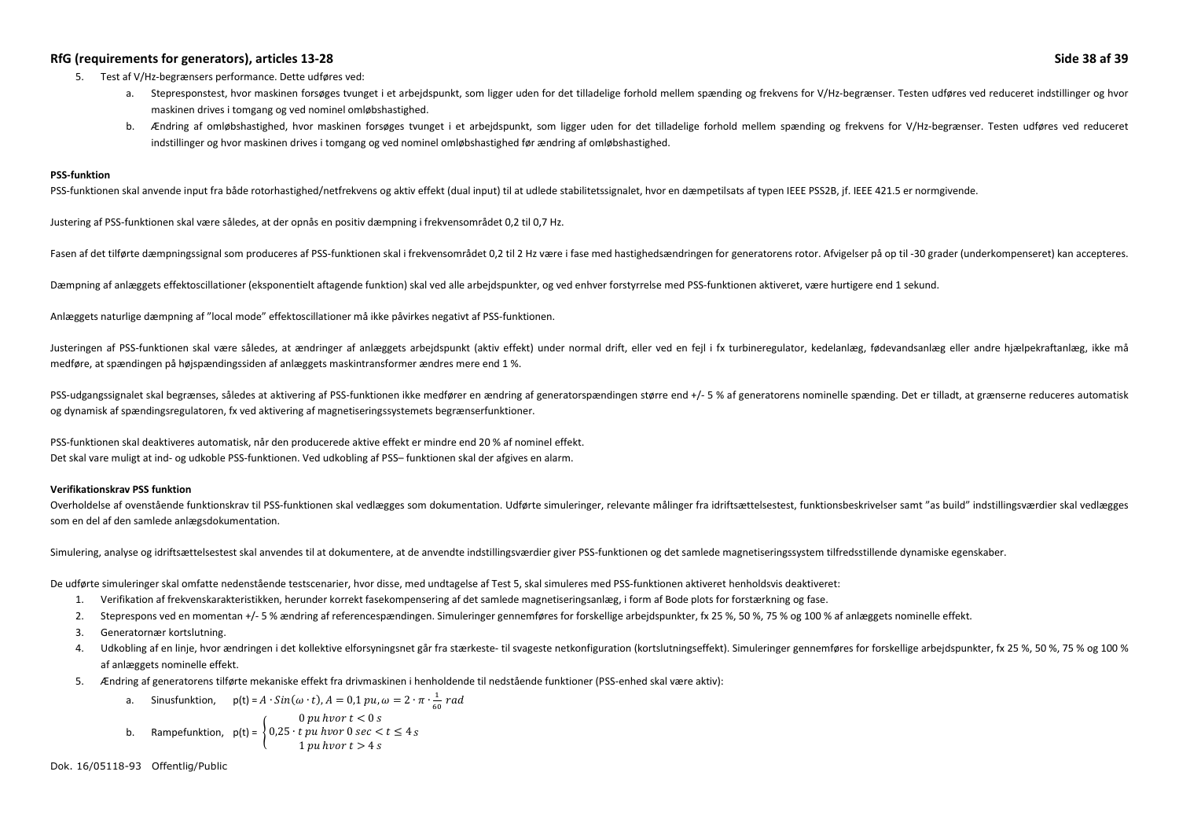### RfG (requirements for generators), articles 13-28 Side 38 af 39 **Side 38 af 39** Side 38 af 39 **Side 38 af 39** Side 38 af 39 **Side 38 af 39**

- 5. Test af V/Hz-begrænsers performance. Dette udføres ved:
	- a. Stepresponstest, hvor maskinen forsøges tvunget i et arbejdspunkt, som ligger uden for det tilladelige forhold mellem spænding og frekvens for V/Hz-begrænser. Testen udføres ved reduceret indstillinger og hvor maskinen drives i tomgang og ved nominel omløbshastighed.
	- b. Ændring af omløbshastighed, hvor maskinen forsøges tvunget i et arbejdspunkt, som ligger uden for det tilladelige forhold mellem spænding og frekvens for V/Hz-begrænser. Testen udføres ved reduceret indstillinger og hvor maskinen drives i tomgang og ved nominel omløbshastighed før ændring af omløbshastighed.

#### **PSS-funktion**

PSS-funktionen skal anvende input fra både rotorhastighed/netfrekvens og aktiv effekt (dual input) til at udlede stabilitetssignalet, hvor en dæmpetilsats af typen IEEE PSS2B, jf. IEEE 421.5 er normgivende.

Justering af PSS-funktionen skal være således, at der opnås en positiv dæmpning i frekvensområdet 0,2 til 0,7 Hz.

Fasen af det tilførte dæmpningssignal som produceres af PSS-funktionen skal i frekvensområdet 0,2 til 2 Hz være i fase med hastighedsændringen for generatorens rotor. Afvigelser på op til-30 grader (underkompenseret) kan a

Dæmpning af anlæggets effektoscillationer (eksponentielt aftagende funktion) skal ved alle arbejdspunkter, og ved enhver forstyrrelse med PSS-funktionen aktiveret, være hurtigere end 1 sekund.

Anlæggets naturlige dæmpning af "local mode" effektoscillationer må ikke påvirkes negativt af PSS-funktionen.

Justeringen af PSS-funktionen skal være således, at ændringer af anlæggets arbeidspunkt (aktiv effekt) under normal drift, eller ved en fejl i fx turbineregulator, kedelanlæg, fødevandsanlæg eller andre hjælpekraftanlæg, i medføre, at spændingen på højspændingssiden af anlæggets maskintransformer ændres mere end 1 %.

PSS-udgangssignalet skal begrænses, således at aktivering af PSS-funktionen ikke medfører en ændring af generatorspændingen større end +/- 5 % af generatorens nominelle spænding. Det er tilladt, at grænserne reduceres auto og dynamisk af spændingsregulatoren, fx ved aktivering af magnetiseringssystemets begrænserfunktioner.

PSS-funktionen skal deaktiveres automatisk, når den producerede aktive effekt er mindre end 20 % af nominel effekt. Det skal vare muligt at ind- og udkoble PSS-funktionen. Ved udkobling af PSS– funktionen skal der afgives en alarm.

#### **Verifikationskrav PSS funktion**

Overholdelse af ovenstående funktionskrav til PSS-funktionen skal vedlægges som dokumentation. Udførte simuleringer, relevante målinger fra idriftsættelsestest, funktionsbeskrivelser samt "as build" indstillingsværdier ska som en del af den samlede anlægsdokumentation.

Simulering, analyse og idriftsættelsestest skal anvendes til at dokumentere, at de anvendte indstillingsværdier giver PSS-funktionen og det samlede magnetiseringssystem tilfredsstillende dynamiske egenskaber.

De udførte simuleringer skal omfatte nedenstående testscenarier, hvor disse, med undtagelse af Test 5, skal simuleres med PSS-funktionen aktiveret henholdsvis deaktiveret:

- 1. Verifikation af frekvenskarakteristikken, herunder korrekt fasekompensering af det samlede magnetiseringsanlæg, i form af Bode plots for forstærkning og fase.
- 2. Steprespons ved en momentan +/- 5 % ændring af referencespændingen. Simuleringer gennemføres for forskellige arbejdspunkter, fx 25 %, 50 %, 75 % og 100 % af anlæggets nominelle effekt.
- 3.Generatornær kortslutning.
- 4. Udkobling af en linje, hvor ændringen i det kollektive elforsyningsnet går fra stærkeste- til svageste netkonfiguration (kortslutningseffekt). Simuleringer gennemføres for forskellige arbejdspunkter, fx 25 %, 50 %, 75 % af anlæggets nominelle effekt.
- 5. Ændring af generatorens tilførte mekaniske effekt fra drivmaskinen i henholdende til nedstående funktioner (PSS-enhed skal være aktiv):
	- a. Sinusfunktion,  $p(t) = A \cdot Sin(\omega \cdot t)$ ,  $A = 0,1 \, pu, \omega = 2 \cdot \pi \cdot \frac{1}{60} \, rad$ b.Rampefunktion,  $p(t) = \begin{cases} 0 \text{ pu } hvor \ t < 0 \text{ s} \\ 0.25 \cdot t \text{ pu } hvor \ 0 \text{ sec} < t \leq 4 \text{ s} \\ 1 \text{ pu } hvor \ t > 4 \text{ s} \end{cases}$